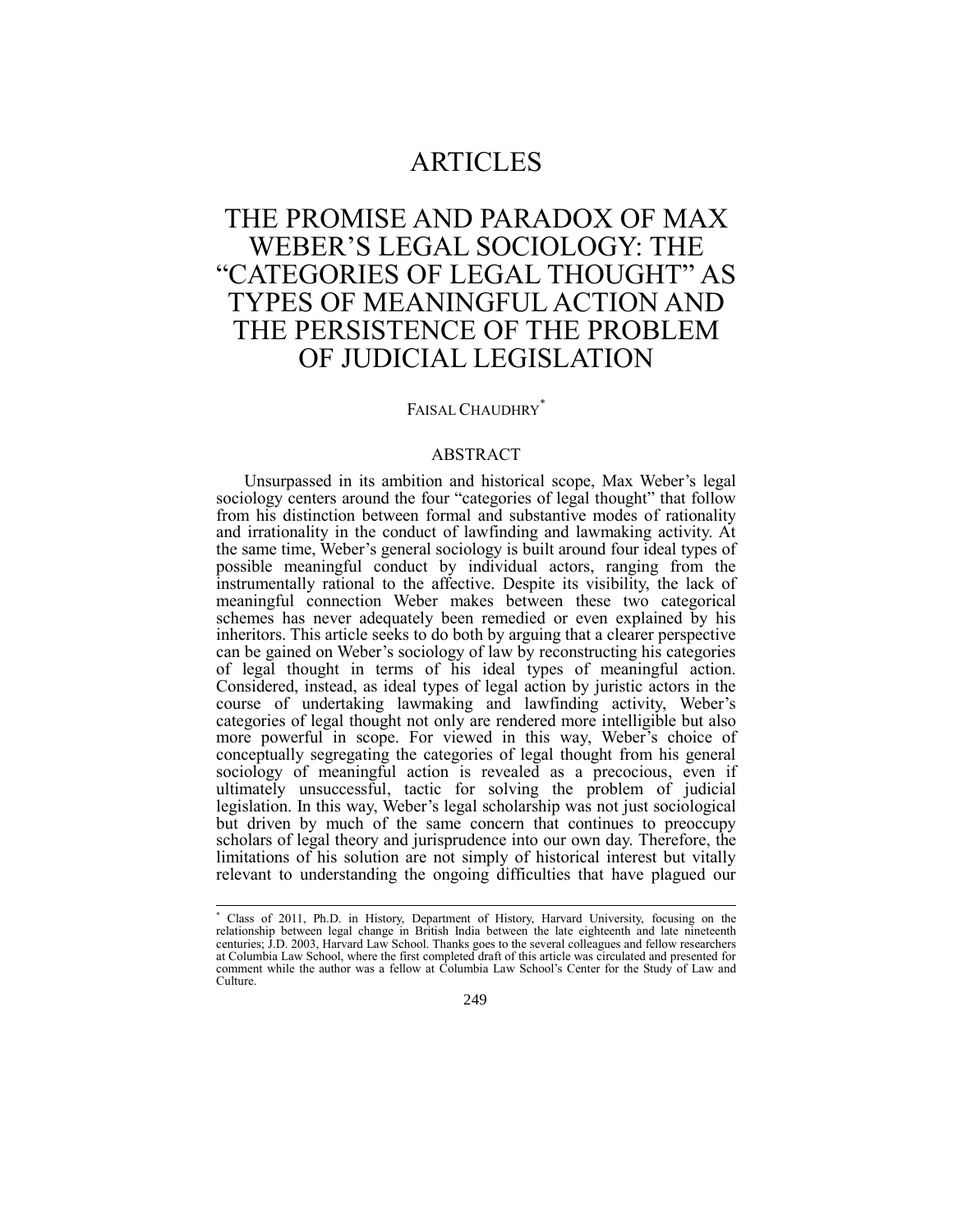## ARTICLES

# THE PROMISE AND PARADOX OF MAX WEBER'S LEGAL SOCIOLOGY: THE **"CATEGORIES OF LEGAL THOUGHT" AS** TYPES OF MEANINGFUL ACTION AND THE PERSISTENCE OF THE PROBLEM OF JUDICIAL LEGISLATION

## FAISAL CHAUDHRY<sup>\*</sup>

### ABSTRACT

Unsurpassed in its ambition and historical scope, Max Weber's legal sociology centers around the four "categories of legal thought" that follow from his distinction between formal and substantive modes of rationality and irrationality in the conduct of lawfinding and lawmaking activity. At the same time, Weber's general sociology is built around four ideal types of possible meaningful conduct by individual actors, ranging from the instrumentally rational to the affective. Despite its visibility, the lack of meaningful connection Weber makes between these two categorical schemes has never adequately been remedied or even explained by his inheritors. This article seeks to do both by arguing that a clearer perspective can be gained on Weber's sociology of law by reconstructing his categories of legal thought in terms of his ideal types of meaningful action. Considered, instead, as ideal types of legal action by juristic actors in the course of undertaking lawmaking and lawfinding activity, Weber's categories of legal thought not only are rendered more intelligible but also more powerful in scope. For viewed in this way, Weber's choice of conceptually segregating the categories of legal thought from his general sociology of meaningful action is revealed as a precocious, even if ultimately unsuccessful, tactic for solving the problem of judicial legislation. In this way, Weber's legal scholarship was not just sociological but driven by much of the same concern that continues to preoccupy scholars of legal theory and jurisprudence into our own day. Therefore, the limitations of his solution are not simply of historical interest but vitally relevant to understanding the ongoing difficulties that have plagued our

 $\overline{a}$ 

Class of 2011, Ph.D. in History, Department of History, Harvard University, focusing on the relationship between legal change in British India between the late eighteenth and late nineteenth centuries; J.D. 2003, Harvard Law School. Thanks goes to the several colleagues and fellow researchers at Columbia Law School, where the first completed draft of this article was circulated and presented for comment while the author was a fellow at Columbia Law School's Center for the Study of Law and Culture.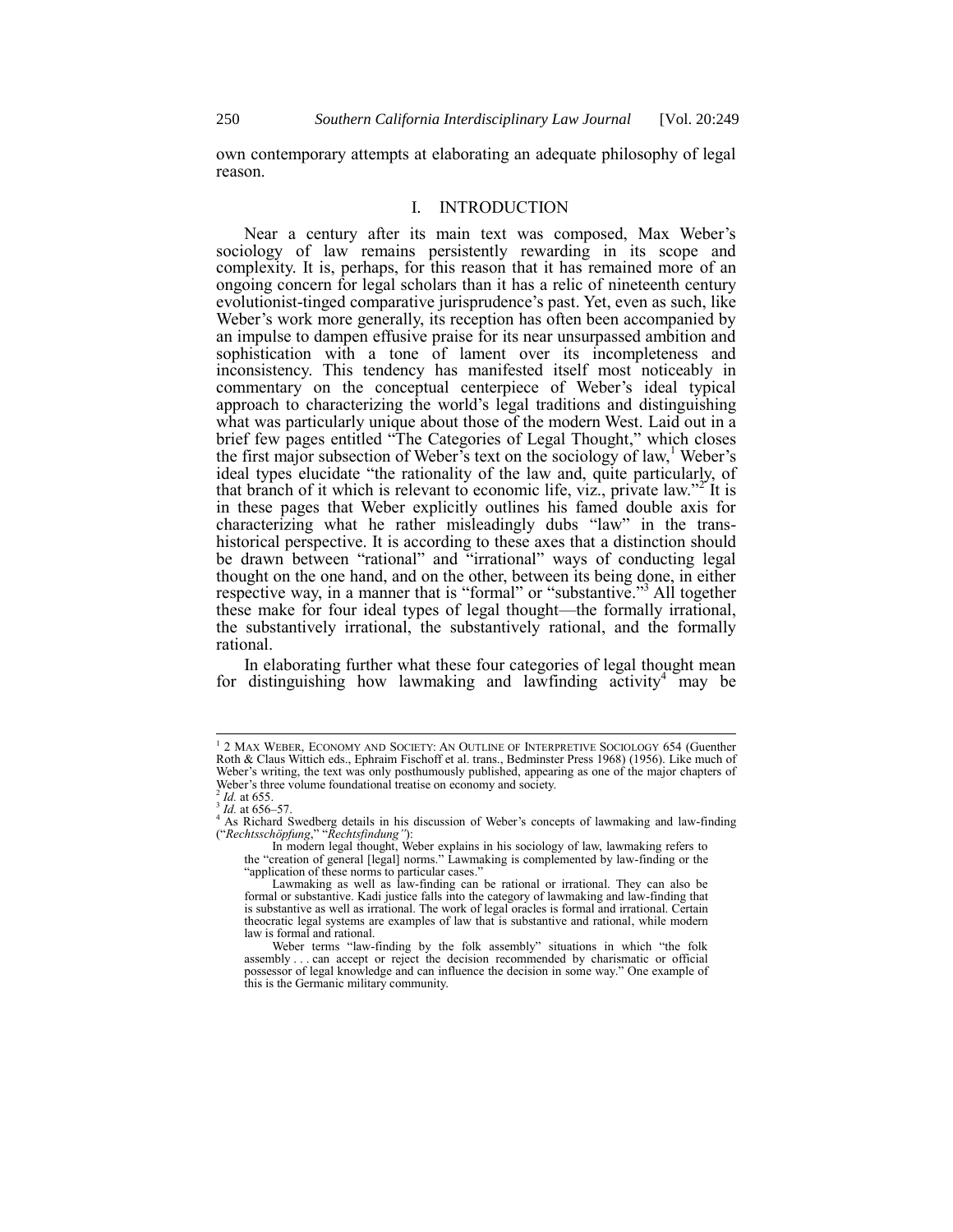own contemporary attempts at elaborating an adequate philosophy of legal reason.

### <span id="page-1-0"></span>I. INTRODUCTION

Near a century after its main text was composed, Max Weber's sociology of law remains persistently rewarding in its scope and complexity. It is, perhaps, for this reason that it has remained more of an ongoing concern for legal scholars than it has a relic of nineteenth century evolutionist-tinged comparative jurisprudence's past. Yet, even as such, like Weber's work more generally, its reception has often been accompanied by an impulse to dampen effusive praise for its near unsurpassed ambition and sophistication with a tone of lament over its incompleteness and inconsistency. This tendency has manifested itself most noticeably in commentary on the conceptual centerpiece of Weber's ideal typical approach to characterizing the world's legal traditions and distinguishing what was particularly unique about those of the modern West. Laid out in a brief few pages entitled "The Categories of Legal Thought," which closes the first major subsection of Weber's text on the sociology of law,<sup>1</sup> Weber's ideal types elucidate "the rationality of the law and, quite particularly, of that branch of it which is relevant to economic life, viz., private law."<sup>2</sup> It is in these pages that Weber explicitly outlines his famed double axis for characterizing what he rather misleadingly dubs "law" in the transhistorical perspective. It is according to these axes that a distinction should be drawn between "rational" and "irrational" ways of conducting legal thought on the one hand, and on the other, between its being done, in either respective way, in a manner that is "formal" or "substantive."<sup>3</sup> All together these make for four ideal types of legal thought—the formally irrational, the substantively irrational, the substantively rational, and the formally rational.

<span id="page-1-1"></span>In elaborating further what these four categories of legal thought mean for distinguishing how lawmaking and lawfinding activity<sup>4</sup> may be

 1 2 MAX WEBER, ECONOMY AND SOCIETY: AN OUTLINE OF INTERPRETIVE SOCIOLOGY 654 (Guenther Roth & Claus Wittich eds., Ephraim Fischoff et al. trans., Bedminster Press 1968) (1956). Like much of Weber's writing, the text was only posthumously published, appearing as one of the major chapters of Weber's three volume foundational treatise on economy and society.

*Id.* at 655.

<sup>3</sup> *Id.* at 656–57.

<sup>&</sup>lt;sup>4</sup> As Richard Swedberg details in his discussion of Weber's concepts of lawmaking and law-finding (―*Rechtsschöpfung*,‖ ―*Rechtsfindung"*): In modern legal thought, Weber explains in his sociology of law, lawmaking refers to

the "creation of general [legal] norms." Lawmaking is complemented by law-finding or the ―application of these norms to particular cases.‖ Lawmaking as well as law-finding can be rational or irrational. They can also be

formal or substantive. Kadi justice falls into the category of lawmaking and law-finding that is substantive as well as irrational. The work of legal oracles is formal and irrational. Certain theocratic legal systems are examples of law that is substantive and rational, while modern law is formal and rational.

Weber terms "law-finding by the folk assembly" situations in which "the folk assembly . . . can accept or reject the decision recommended by charismatic or official possessor of legal knowledge and can influence the decision in some way." One example of this is the Germanic military community.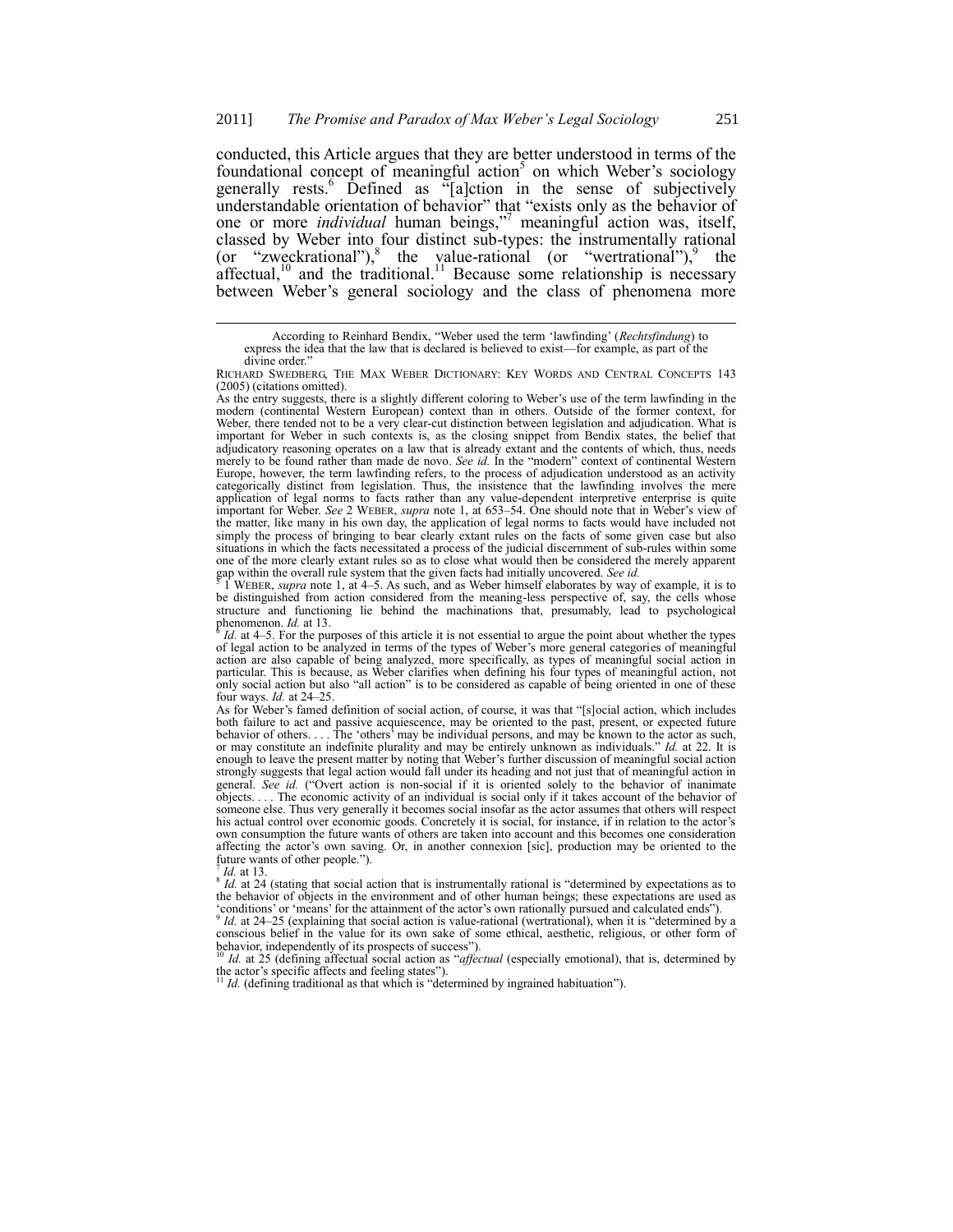conducted, this Article argues that they are better understood in terms of the foundational concept of meaningful action<sup>5</sup> on which Weber's sociology generally rests.<sup>6</sup> Defined as "[a]ction in the sense of subjectively understandable orientation of behavior" that "exists only as the behavior of one or more *individual* human beings,"<sup>7</sup> meaningful action was, itself, classed by Weber into four distinct sub-types: the instrumentally rational (or "zweckrational"), $\frac{8}{3}$  the value-rational (or "wertrational"), $\frac{9}{3}$  the affectual,<sup>10</sup> and the traditional.<sup>11</sup> Because some relationship is necessary between Weber's general sociology and the class of phenomena more

1 WEBER, *supra* not[e 1,](#page-1-0) at 4–5. As such, and as Weber himself elaborates by way of example, it is to be distinguished from action considered from the meaning-less perspective of, say, the cells whose structure and functioning lie behind the machinations that, presumably, lead to psychological phenomenon. *Id.* at 13.

l

<sup>8</sup> *Id.* at 24 (stating that social action that is instrumentally rational is "determined by expectations as to the behavior of objects in the environment and of other human beings; these expectations are used as 'conditions' or 'means' for the attainment of the actor's own rationally pursued and calculated ends").<br><sup>9</sup> *Id.* at 24–25 (explaining that social action is value-rational (wertrational), when it is "determined by a

conscious belief in the value for its own sake of some ethical, aesthetic, religious, or other form of behavior, independently of its prospects of success").<br><sup>10</sup> *Id.* at 25 (defining affectual social action as "*affectual* (especially emotional), that is, determined by

the actor's specific affects and feeling states").<br><sup>11</sup> *Id.* (defining traditional as that which is "determined by ingrained habituation").

According to Reinhard Bendix, "Weber used the term 'lawfinding' (*Rechtsfindung*) to express the idea that the law that is declared is believed to exist—for example, as part of the divine order.

RICHARD SWEDBERG, THE MAX WEBER DICTIONARY: KEY WORDS AND CENTRAL CONCEPTS 143 (2005) (citations omitted).

As the entry suggests, there is a slightly different coloring to Weber's use of the term lawfinding in the modern (continental Western European) context than in others. Outside of the former context, for Weber, there tended not to be a very clear-cut distinction between legislation and adjudication. What is important for Weber in such contexts is, as the closing snippet from Bendix states, the belief that adjudicatory reasoning operates on a law that is already extant and the contents of which, thus, needs merely to be found rather than made de novo. *See id.* In the "modern" context of continental Western Europe, however, the term lawfinding refers, to the process of adjudication understood as an activity categorically distinct from legislation. Thus, the insistence that the lawfinding involves the mere application of legal norms to facts rather than any value-dependent interpretive enterprise is quite important for Weber. *See* 2 WEBER, *supra* note [1,](#page-1-0) at 653–54. One should note that in Weber's view of the matter, like many in his own day, the application of legal norms to facts would have included not simply the process of bringing to bear clearly extant rules on the facts of some given case but also situations in which the facts necessitated a process of the judicial discernment of sub-rules within some one of the more clearly extant rules so as to close what would then be considered the merely apparent gap within the overall rule system that the given facts had initially uncovered. *See id.*<br><sup>5</sup> J WEBER, gung note l, at 4.5, As guab, and as Waber himself elaborates by way.

*Id.* at 4–5. For the purposes of this article it is not essential to argue the point about whether the types of legal action to be analyzed in terms of the types of Weber's more general categories of meaningful action are also capable of being analyzed, more specifically, as types of meaningful social action in particular. This is because, as Weber clarifies when defining his four types of meaningful action, not only social action but also "all action" is to be considered as capable of being oriented in one of these four ways. *Id.* at 24–25.

As for Weber's famed definition of social action, of course, it was that "[s]ocial action, which includes both failure to act and passive acquiescence, may be oriented to the past, present, or expected future behavior of others.... The 'others' may be individual persons, and may be known to the actor as such, or may constitute an indefinite plurality and may be entirely unknown as individuals." *Id.* at 22. It is enough to leave the present matter by noting that Weber's further discussion of meaningful social action strongly suggests that legal action would fall under its heading and not just that of meaningful action in general. See id. ("Overt action is non-social if it is oriented solely to the behavior of inanimate objects. . . . The economic activity of an individual is social only if it takes account of the behavior of someone else. Thus very generally it becomes social insofar as the actor assumes that others will respect his actual control over economic goods. Concretely it is social, for instance, if in relation to the actor's own consumption the future wants of others are taken into account and this becomes one consideration affecting the actor's own saving. Or, in another connexion [sic], production may be oriented to the future wants of other people.").

*Id.* at 13.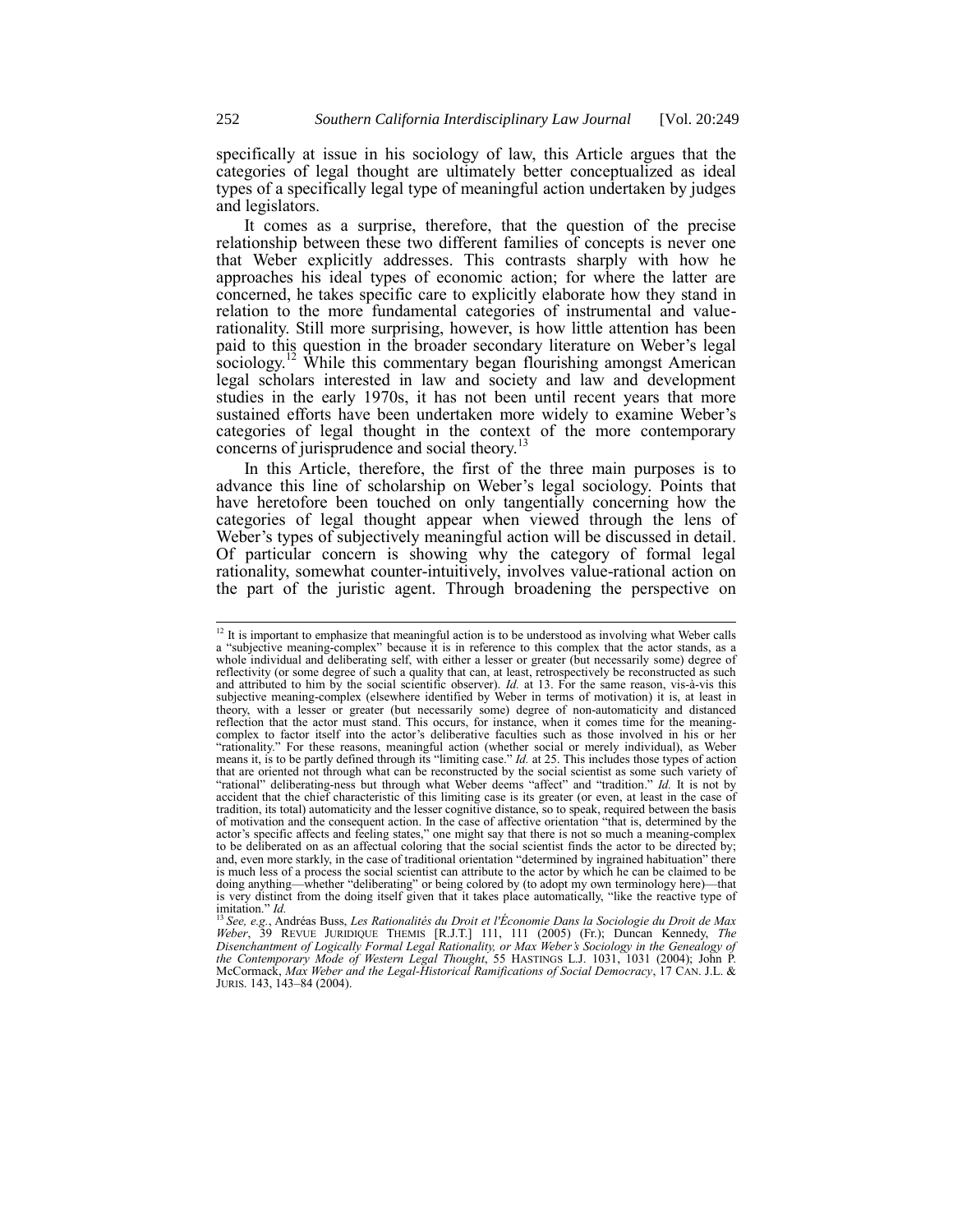specifically at issue in his sociology of law, this Article argues that the categories of legal thought are ultimately better conceptualized as ideal types of a specifically legal type of meaningful action undertaken by judges and legislators.

It comes as a surprise, therefore, that the question of the precise relationship between these two different families of concepts is never one that Weber explicitly addresses. This contrasts sharply with how he approaches his ideal types of economic action; for where the latter are concerned, he takes specific care to explicitly elaborate how they stand in relation to the more fundamental categories of instrumental and valuerationality. Still more surprising, however, is how little attention has been paid to this question in the broader secondary literature on Weber's legal sociology.<sup>12</sup> While this commentary began flourishing amongst American legal scholars interested in law and society and law and development studies in the early 1970s, it has not been until recent years that more sustained efforts have been undertaken more widely to examine Weber's categories of legal thought in the context of the more contemporary concerns of jurisprudence and social theory.<sup>13</sup>

<span id="page-3-0"></span>In this Article, therefore, the first of the three main purposes is to advance this line of scholarship on Weber's legal sociology. Points that have heretofore been touched on only tangentially concerning how the categories of legal thought appear when viewed through the lens of Weber's types of subjectively meaningful action will be discussed in detail. Of particular concern is showing why the category of formal legal rationality, somewhat counter-intuitively, involves value-rational action on the part of the juristic agent. Through broadening the perspective on

 $12$  It is important to emphasize that meaningful action is to be understood as involving what Weber calls a "subjective meaning-complex" because it is in reference to this complex that the actor stands, as a whole individual and deliberating self, with either a lesser or greater (but necessarily some) degree of reflectivity (or some degree of such a quality that can, at least, retrospectively be reconstructed as such and attributed to him by the social scientific observer). *Id.* at 13. For the same reason, vis-à-vis this subjective meaning-complex (elsewhere identified by Weber in terms of motivation) it is, at least in theory, with a lesser or greater (but necessarily some) degree of non-automaticity and distanced reflection that the actor must stand. This occurs, for instance, when it comes time for the meaningcomplex to factor itself into the actor's deliberative faculties such as those involved in his or her ―rationality.‖ For these reasons, meaningful action (whether social or merely individual), as Weber means it, is to be partly defined through its "limiting case." *Id.* at 25. This includes those types of action that are oriented not through what can be reconstructed by the social scientist as some such variety of "rational" deliberating-ness but through what Weber deems "affect" and "tradition." *Id.* It is not by accident that the chief characteristic of this limiting case is its greater (or even, at least in the case of tradition, its total) automaticity and the lesser cognitive distance, so to speak, required between the basis of motivation and the consequent action. In the case of affective orientation "that is, determined by the actor's specific affects and feeling states," one might say that there is not so much a meaning-complex to be directed by;<br>to be deliberated on as an affectual coloring that the social scientist finds the actor to be direc and, even more starkly, in the case of traditional orientation "determined by ingrained habituation" there is much less of a process the social scientist can attribute to the actor by which he can be claimed to be doing anything—whether "deliberating" or being colored by (to adopt my own terminology here)—that is very distinct from the doing itself given that it takes place automatically, "like the reactive type of  $\lim_{13 \text{ } \cap}$  *Id.* 

<sup>13</sup> *See, e.g.*, Andréas Buss, *Les Rationalités du Droit et l'Économie Dans la Sociologie du Droit de Max Weber*, 39 REVUE JURIDIQUE THEMIS [R.J.T.] 111, 111 (2005) (Fr.); Duncan Kennedy, *The Disenchantment of Logically Formal Legal Rationality, or Max Weber's Sociology in the Genealogy of the Contemporary Mode of Western Legal Thought*, 55 HASTINGS L.J. 1031, 1031 (2004); John P. McCormack, *Max Weber and the Legal-Historical Ramifications of Social Democracy*, 17 CAN. J.L. & JURIS. 143, 143–84 (2004).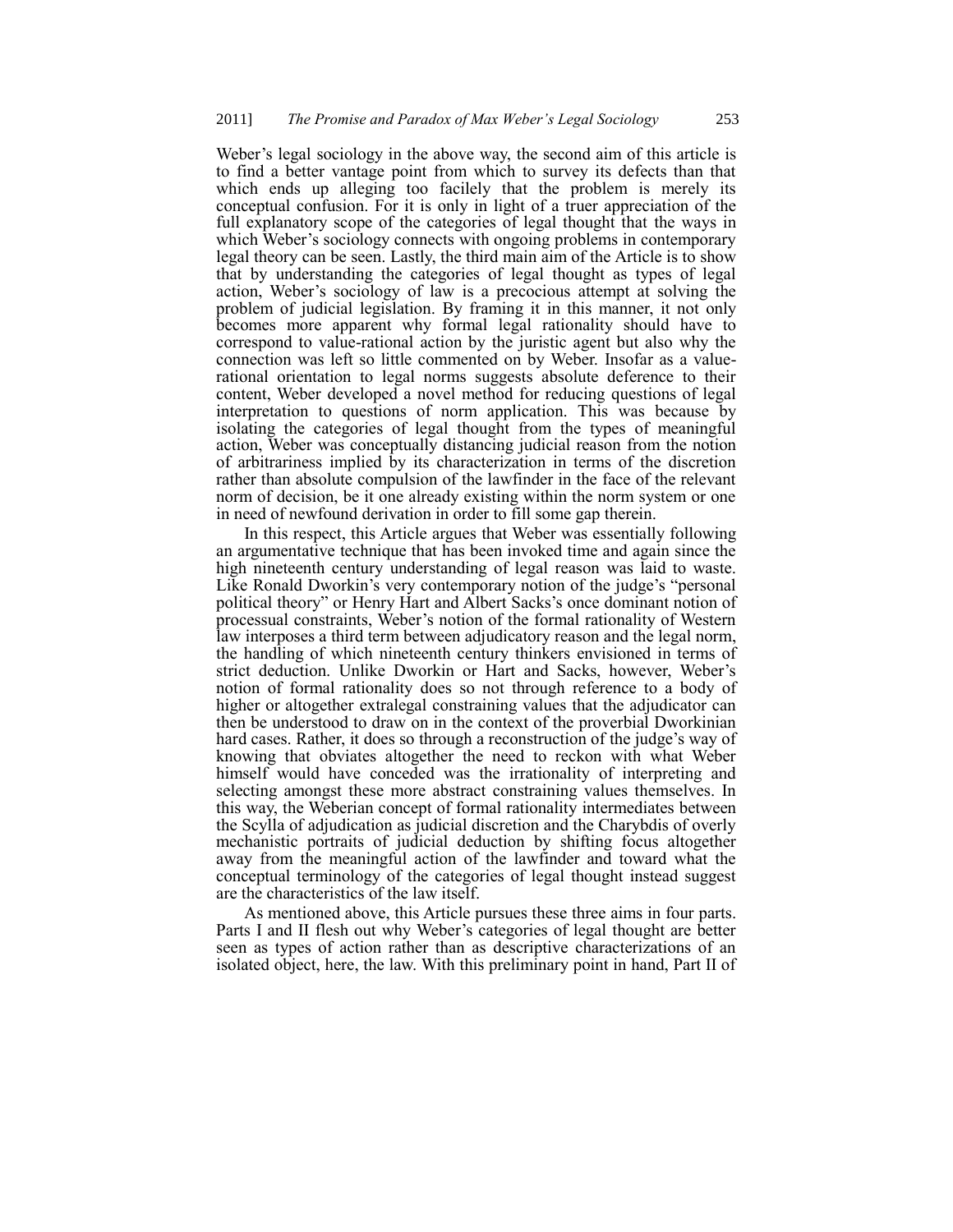Weber's legal sociology in the above way, the second aim of this article is to find a better vantage point from which to survey its defects than that which ends up alleging too facilely that the problem is merely its conceptual confusion. For it is only in light of a truer appreciation of the full explanatory scope of the categories of legal thought that the ways in which Weber's sociology connects with ongoing problems in contemporary legal theory can be seen. Lastly, the third main aim of the Article is to show that by understanding the categories of legal thought as types of legal action, Weber's sociology of law is a precocious attempt at solving the problem of judicial legislation. By framing it in this manner, it not only becomes more apparent why formal legal rationality should have to correspond to value-rational action by the juristic agent but also why the connection was left so little commented on by Weber. Insofar as a valuerational orientation to legal norms suggests absolute deference to their content, Weber developed a novel method for reducing questions of legal interpretation to questions of norm application. This was because by isolating the categories of legal thought from the types of meaningful action, Weber was conceptually distancing judicial reason from the notion of arbitrariness implied by its characterization in terms of the discretion rather than absolute compulsion of the lawfinder in the face of the relevant norm of decision, be it one already existing within the norm system or one in need of newfound derivation in order to fill some gap therein.

In this respect, this Article argues that Weber was essentially following an argumentative technique that has been invoked time and again since the high nineteenth century understanding of legal reason was laid to waste. Like Ronald Dworkin's very contemporary notion of the judge's "personal political theory" or Henry Hart and Albert Sacks's once dominant notion of processual constraints, Weber's notion of the formal rationality of Western law interposes a third term between adjudicatory reason and the legal norm, the handling of which nineteenth century thinkers envisioned in terms of strict deduction. Unlike Dworkin or Hart and Sacks, however, Weber's notion of formal rationality does so not through reference to a body of higher or altogether extralegal constraining values that the adjudicator can then be understood to draw on in the context of the proverbial Dworkinian hard cases. Rather, it does so through a reconstruction of the judge's way of knowing that obviates altogether the need to reckon with what Weber himself would have conceded was the irrationality of interpreting and selecting amongst these more abstract constraining values themselves. In this way, the Weberian concept of formal rationality intermediates between the Scylla of adjudication as judicial discretion and the Charybdis of overly mechanistic portraits of judicial deduction by shifting focus altogether away from the meaningful action of the lawfinder and toward what the conceptual terminology of the categories of legal thought instead suggest are the characteristics of the law itself.

As mentioned above, this Article pursues these three aims in four parts. Parts I and II flesh out why Weber's categories of legal thought are better seen as types of action rather than as descriptive characterizations of an isolated object, here, the law. With this preliminary point in hand, Part II of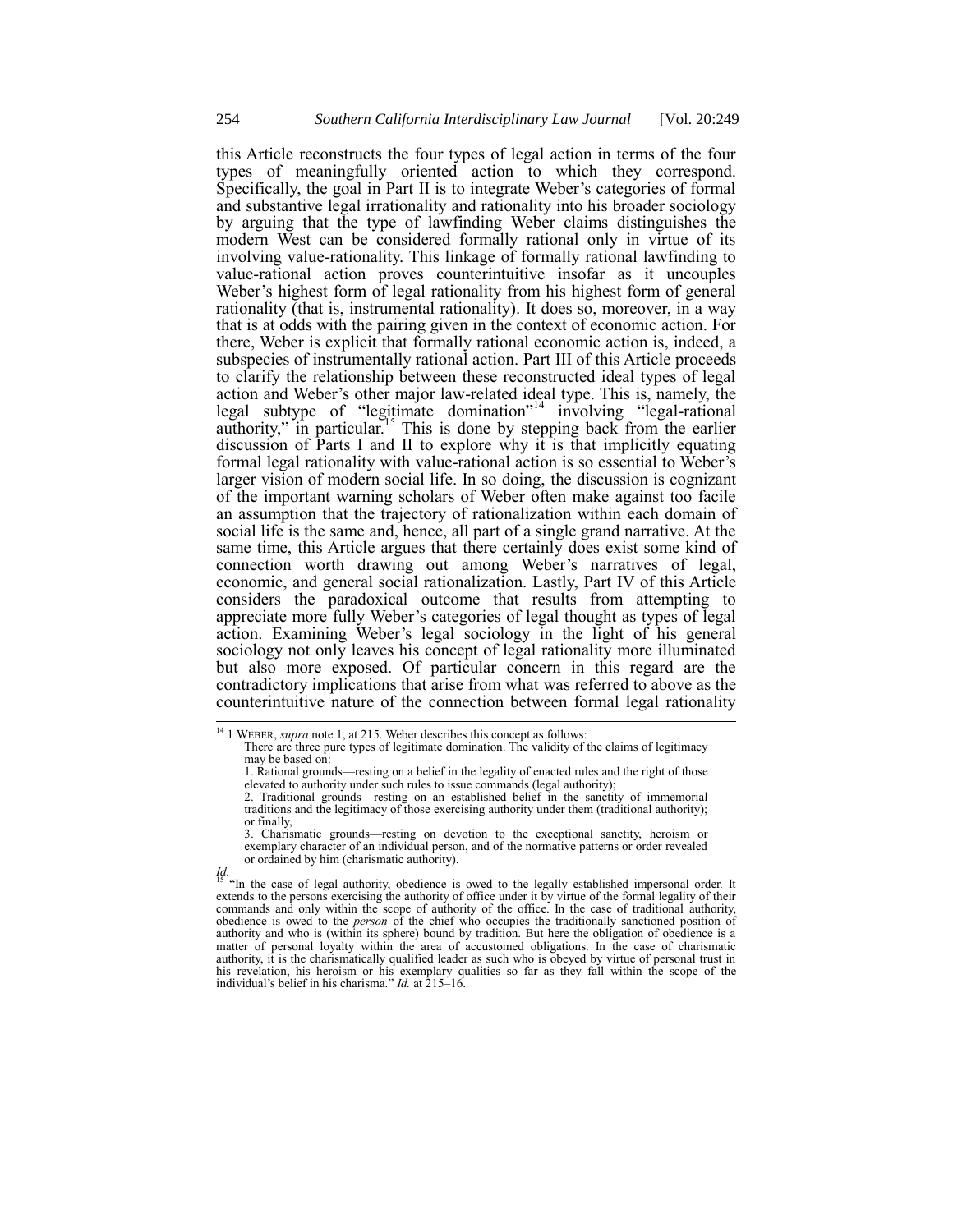this Article reconstructs the four types of legal action in terms of the four types of meaningfully oriented action to which they correspond. Specifically, the goal in Part II is to integrate Weber's categories of formal and substantive legal irrationality and rationality into his broader sociology by arguing that the type of lawfinding Weber claims distinguishes the modern West can be considered formally rational only in virtue of its involving value-rationality. This linkage of formally rational lawfinding to value-rational action proves counterintuitive insofar as it uncouples Weber's highest form of legal rationality from his highest form of general rationality (that is, instrumental rationality). It does so, moreover, in a way that is at odds with the pairing given in the context of economic action. For there, Weber is explicit that formally rational economic action is, indeed, a subspecies of instrumentally rational action. Part III of this Article proceeds to clarify the relationship between these reconstructed ideal types of legal action and Weber's other major law-related ideal type. This is, namely, the legal subtype of "legitimate domination"<sup>14</sup> involving "legal-rational authority," in particular.<sup>15</sup> This is done by stepping back from the earlier discussion of Parts I and II to explore why it is that implicitly equating formal legal rationality with value-rational action is so essential to Weber's larger vision of modern social life. In so doing, the discussion is cognizant of the important warning scholars of Weber often make against too facile an assumption that the trajectory of rationalization within each domain of social life is the same and, hence, all part of a single grand narrative. At the same time, this Article argues that there certainly does exist some kind of connection worth drawing out among Weber's narratives of legal, economic, and general social rationalization. Lastly, Part IV of this Article considers the paradoxical outcome that results from attempting to appreciate more fully Weber's categories of legal thought as types of legal action. Examining Weber's legal sociology in the light of his general sociology not only leaves his concept of legal rationality more illuminated but also more exposed. Of particular concern in this regard are the contradictory implications that arise from what was referred to above as the counterintuitive nature of the connection between formal legal rationality

<sup>&</sup>lt;sup>14</sup> 1 WEBER, *supra* not[e 1,](#page-1-0) at 215. Weber describes this concept as follows:

There are three pure types of legitimate domination. The validity of the claims of legitimacy may be based on:

<sup>1.</sup> Rational grounds—resting on a belief in the legality of enacted rules and the right of those elevated to authority under such rules to issue commands (legal authority);

<sup>2.</sup> Traditional grounds—resting on an established belief in the sanctity of immemorial traditions and the legitimacy of those exercising authority under them (traditional authority); or finally,

<sup>3.</sup> Charismatic grounds—resting on devotion to the exceptional sanctity, heroism or exemplary character of an individual person, and of the normative patterns or order revealed or ordained by him (charismatic authority).

*Id.*<br><sup>15</sup> "In the case of legal authority, obedience is owed to the legally established impersonal order. It extends to the persons exercising the authority of office under it by virtue of the formal legality of their commands and only within the scope of authority of the office. In the case of traditional authority, obedience is owed to the *person* of the chief who occupies the traditionally sanctioned position of authority and who is (within its sphere) bound by tradition. But here the obligation of obedience is a matter of personal loyalty within the area of accustomed obligations. In the case of charismatic authority, it is the charismatically qualified leader as such who is obeyed by virtue of personal trust in his revelation, his heroism or his exemplary qualities so far as they fall within the scope of the individual's belief in his charisma.‖ *Id.* at 215–16.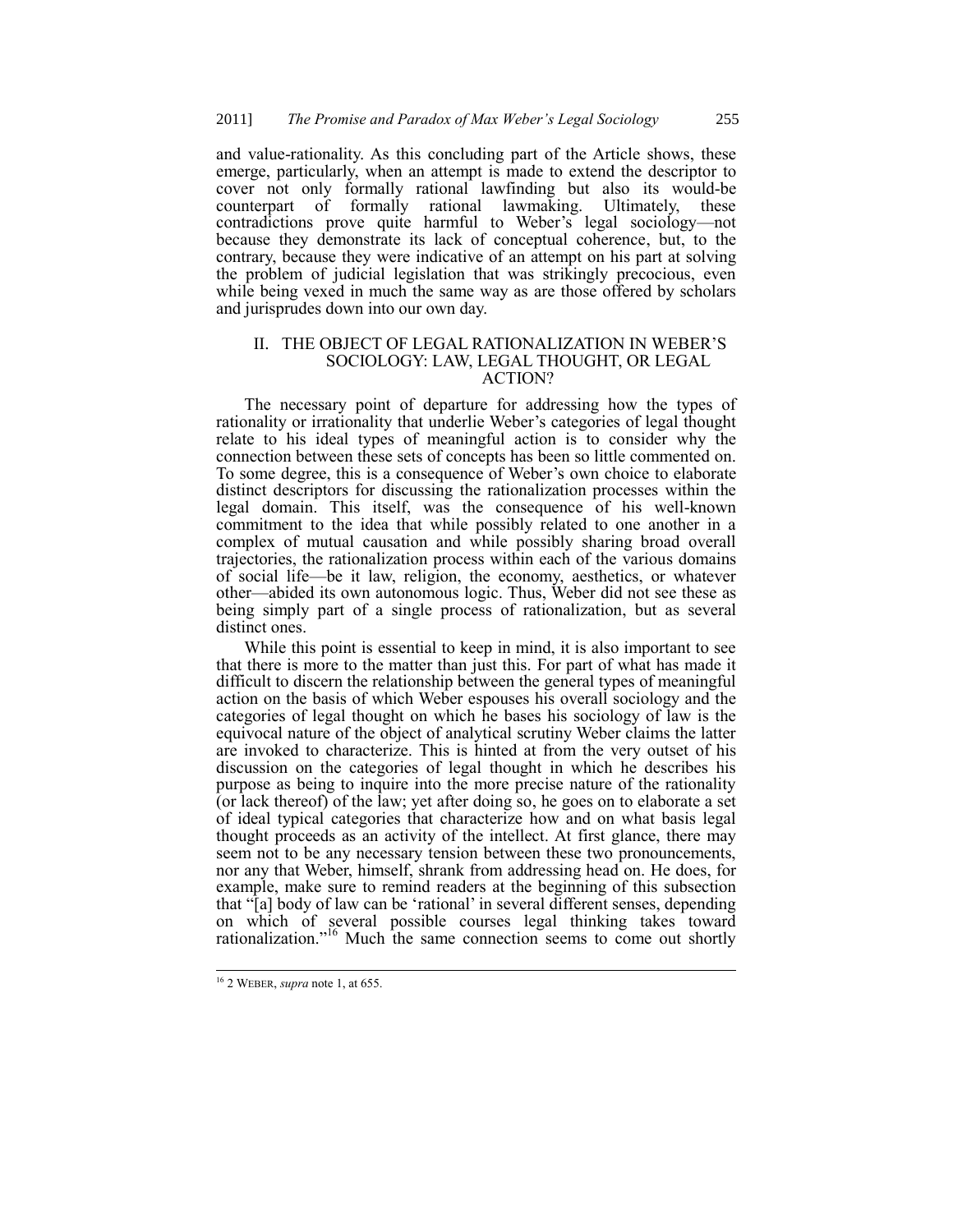and value-rationality. As this concluding part of the Article shows, these emerge, particularly, when an attempt is made to extend the descriptor to cover not only formally rational lawfinding but also its would-be counterpart of formally rational lawmaking. Ultimately, these contradictions prove quite harmful to Weber's legal sociology—not because they demonstrate its lack of conceptual coherence, but, to the contrary, because they were indicative of an attempt on his part at solving the problem of judicial legislation that was strikingly precocious, even while being vexed in much the same way as are those offered by scholars and jurisprudes down into our own day.

### II. THE OBJECT OF LEGAL RATIONALIZATION IN WEBER'S SOCIOLOGY: LAW, LEGAL THOUGHT, OR LEGAL ACTION?

The necessary point of departure for addressing how the types of rationality or irrationality that underlie Weber's categories of legal thought relate to his ideal types of meaningful action is to consider why the connection between these sets of concepts has been so little commented on. To some degree, this is a consequence of Weber's own choice to elaborate distinct descriptors for discussing the rationalization processes within the legal domain. This itself, was the consequence of his well-known commitment to the idea that while possibly related to one another in a complex of mutual causation and while possibly sharing broad overall trajectories, the rationalization process within each of the various domains of social life—be it law, religion, the economy, aesthetics, or whatever other—abided its own autonomous logic. Thus, Weber did not see these as being simply part of a single process of rationalization, but as several distinct ones.

While this point is essential to keep in mind, it is also important to see that there is more to the matter than just this. For part of what has made it difficult to discern the relationship between the general types of meaningful action on the basis of which Weber espouses his overall sociology and the categories of legal thought on which he bases his sociology of law is the equivocal nature of the object of analytical scrutiny Weber claims the latter are invoked to characterize. This is hinted at from the very outset of his discussion on the categories of legal thought in which he describes his purpose as being to inquire into the more precise nature of the rationality (or lack thereof) of the law; yet after doing so, he goes on to elaborate a set of ideal typical categories that characterize how and on what basis legal thought proceeds as an activity of the intellect. At first glance, there may seem not to be any necessary tension between these two pronouncements, nor any that Weber, himself, shrank from addressing head on. He does, for example, make sure to remind readers at the beginning of this subsection that "[a] body of law can be 'rational' in several different senses, depending on which of several possible courses legal thinking takes toward rationalization."<sup>16</sup> Much the same connection seems to come out shortly

<sup>16</sup> 2 WEBER, *supra* not[e 1,](#page-1-0) at 655.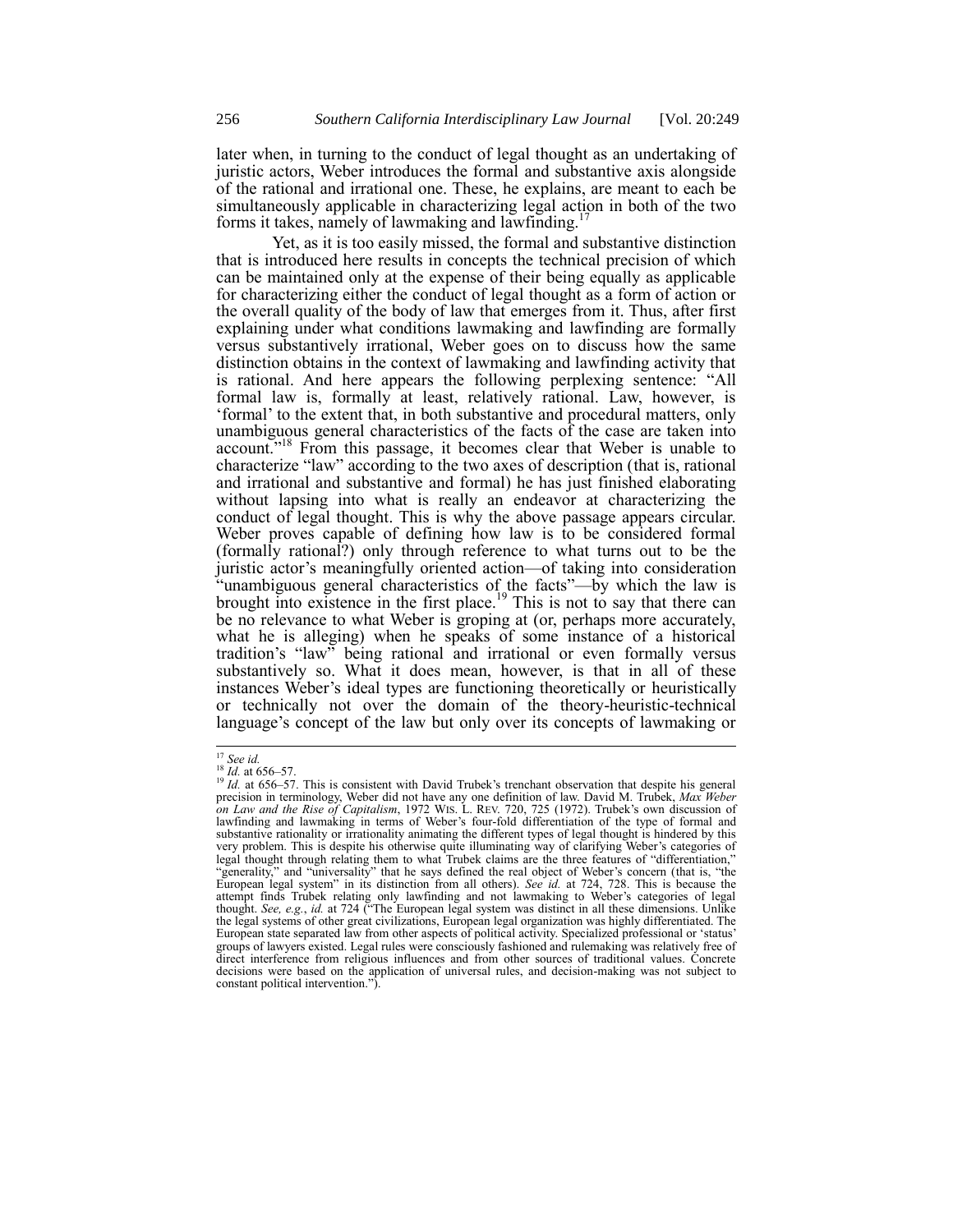later when, in turning to the conduct of legal thought as an undertaking of juristic actors, Weber introduces the formal and substantive axis alongside of the rational and irrational one. These, he explains, are meant to each be simultaneously applicable in characterizing legal action in both of the two forms it takes, namely of lawmaking and lawfinding.<sup>1</sup>

Yet, as it is too easily missed, the formal and substantive distinction that is introduced here results in concepts the technical precision of which can be maintained only at the expense of their being equally as applicable for characterizing either the conduct of legal thought as a form of action or the overall quality of the body of law that emerges from it. Thus, after first explaining under what conditions lawmaking and lawfinding are formally versus substantively irrational, Weber goes on to discuss how the same distinction obtains in the context of lawmaking and lawfinding activity that is rational. And here appears the following perplexing sentence: "All formal law is, formally at least, relatively rational. Law, however, is ‗formal' to the extent that, in both substantive and procedural matters, only unambiguous general characteristics of the facts of the case are taken into account."<sup>18</sup> From this passage, it becomes clear that Weber is unable to characterize "law" according to the two axes of description (that is, rational and irrational and substantive and formal) he has just finished elaborating without lapsing into what is really an endeavor at characterizing the conduct of legal thought. This is why the above passage appears circular. Weber proves capable of defining how law is to be considered formal (formally rational?) only through reference to what turns out to be the juristic actor's meaningfully oriented action—of taking into consideration "unambiguous general characteristics of the facts"—by which the law is brought into existence in the first place.<sup>19</sup> This is not to say that there can be no relevance to what Weber is groping at (or, perhaps more accurately, what he is alleging) when he speaks of some instance of a historical tradition's "law" being rational and irrational or even formally versus substantively so. What it does mean, however, is that in all of these instances Weber's ideal types are functioning theoretically or heuristically or technically not over the domain of the theory-heuristic-technical language's concept of the law but only over its concepts of lawmaking or

<span id="page-7-0"></span><sup>17</sup> *See id.* <sup>18</sup> *Id.* at 656–57.

<sup>&</sup>lt;sup>19</sup> *Id.* at 656–57. This is consistent with David Trubek's trenchant observation that despite his general precision in terminology, Weber did not have any one definition of law. David M. Trubek, *Max Weber on Law and the Rise of Capitalism*, 1972 WIS. L. REV. 720, 725 (1972). Trubek's own discussion of lawfinding and lawmaking in terms of Weber's four-fold differentiation of the type of formal and substantive rationality or irrationality animating the different types of legal thought is hindered by this very problem. This is despite his otherwise quite illuminating way of clarifying Weber's categories of legal thought through relating them to what Trubek claims are the three features of "differentiation," "generality," and "universality" that he says defined the real object of Weber's concern (that is, "the European legal system" in its distinction from all others). *See id.* at 724, 728. This is because the attempt finds Trubek relating only lawfinding and not lawmaking to Weber's categories of legal thought. *See, e.g., id.* at 724 ("The European legal system was distinct in all these dimensions. Unlike the legal systems of other great civilizations, European legal organization was highly differentiated. The European state separated law from other aspects of political activity. Specialized professional or 'status' groups of lawyers existed. Legal rules were consciously fashioned and rulemaking was relatively free of direct interference from religious influences and from other sources of traditional values. Concrete decisions were based on the application of universal rules, and decision-making was not subject to constant political intervention.")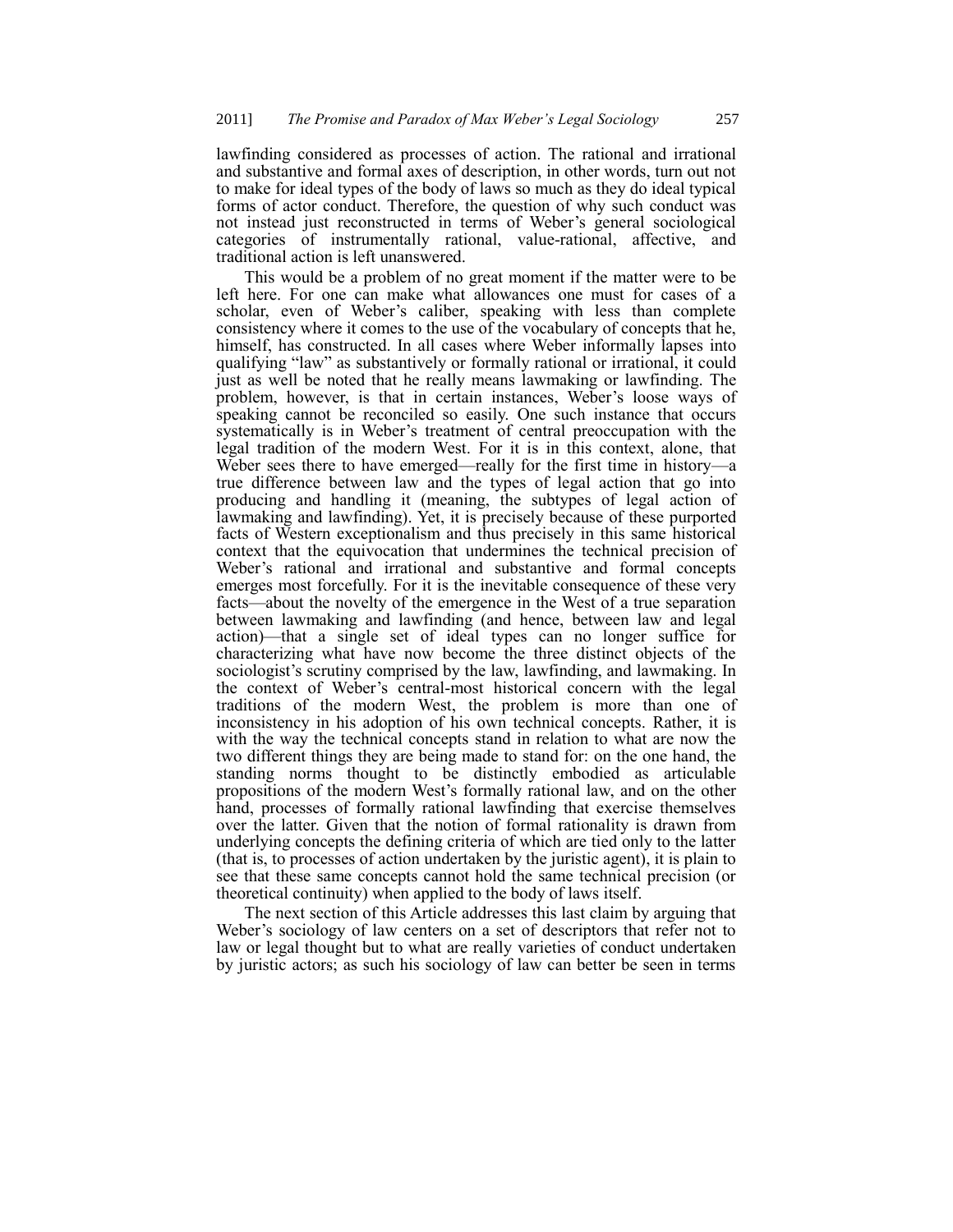lawfinding considered as processes of action. The rational and irrational and substantive and formal axes of description, in other words, turn out not to make for ideal types of the body of laws so much as they do ideal typical forms of actor conduct. Therefore, the question of why such conduct was not instead just reconstructed in terms of Weber's general sociological categories of instrumentally rational, value-rational, affective, and traditional action is left unanswered.

This would be a problem of no great moment if the matter were to be left here. For one can make what allowances one must for cases of a scholar, even of Weber's caliber, speaking with less than complete consistency where it comes to the use of the vocabulary of concepts that he, himself, has constructed. In all cases where Weber informally lapses into qualifying "law" as substantively or formally rational or irrational, it could just as well be noted that he really means lawmaking or lawfinding. The problem, however, is that in certain instances, Weber's loose ways of speaking cannot be reconciled so easily. One such instance that occurs systematically is in Weber's treatment of central preoccupation with the legal tradition of the modern West. For it is in this context, alone, that Weber sees there to have emerged—really for the first time in history—a true difference between law and the types of legal action that go into producing and handling it (meaning, the subtypes of legal action of lawmaking and lawfinding). Yet, it is precisely because of these purported facts of Western exceptionalism and thus precisely in this same historical context that the equivocation that undermines the technical precision of Weber's rational and irrational and substantive and formal concepts emerges most forcefully. For it is the inevitable consequence of these very facts—about the novelty of the emergence in the West of a true separation between lawmaking and lawfinding (and hence, between law and legal action)—that a single set of ideal types can no longer suffice for characterizing what have now become the three distinct objects of the sociologist's scrutiny comprised by the law, lawfinding, and lawmaking. In the context of Weber's central-most historical concern with the legal traditions of the modern West, the problem is more than one of inconsistency in his adoption of his own technical concepts. Rather, it is with the way the technical concepts stand in relation to what are now the two different things they are being made to stand for: on the one hand, the standing norms thought to be distinctly embodied as articulable propositions of the modern West's formally rational law, and on the other hand, processes of formally rational lawfinding that exercise themselves over the latter. Given that the notion of formal rationality is drawn from underlying concepts the defining criteria of which are tied only to the latter (that is, to processes of action undertaken by the juristic agent), it is plain to see that these same concepts cannot hold the same technical precision (or theoretical continuity) when applied to the body of laws itself.

The next section of this Article addresses this last claim by arguing that Weber's sociology of law centers on a set of descriptors that refer not to law or legal thought but to what are really varieties of conduct undertaken by juristic actors; as such his sociology of law can better be seen in terms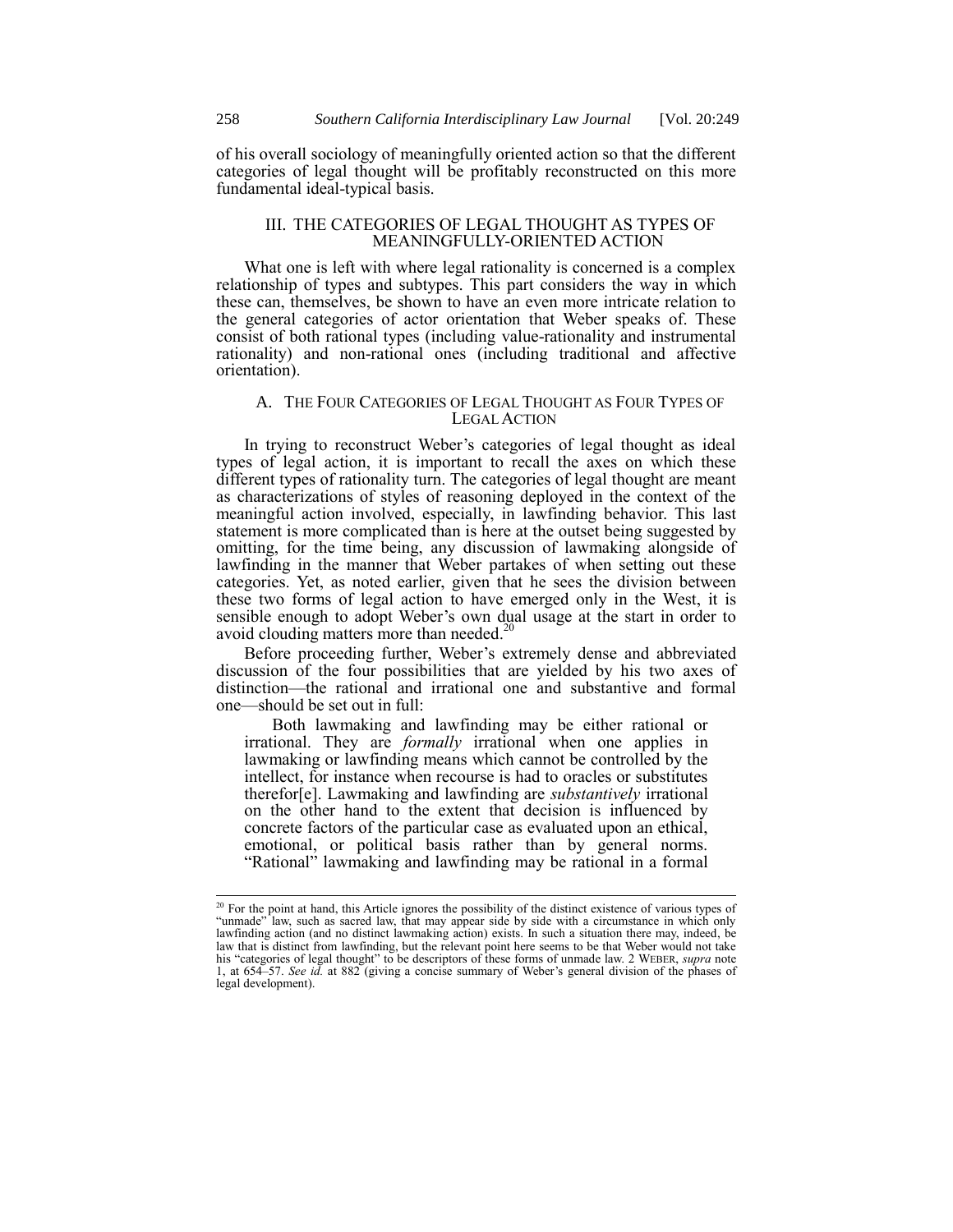of his overall sociology of meaningfully oriented action so that the different categories of legal thought will be profitably reconstructed on this more fundamental ideal-typical basis.

### III. THE CATEGORIES OF LEGAL THOUGHT AS TYPES OF MEANINGFULLY-ORIENTED ACTION

What one is left with where legal rationality is concerned is a complex relationship of types and subtypes. This part considers the way in which these can, themselves, be shown to have an even more intricate relation to the general categories of actor orientation that Weber speaks of. These consist of both rational types (including value-rationality and instrumental rationality) and non-rational ones (including traditional and affective orientation).

### A. THE FOUR CATEGORIES OF LEGAL THOUGHT AS FOUR TYPES OF LEGALACTION

In trying to reconstruct Weber's categories of legal thought as ideal types of legal action, it is important to recall the axes on which these different types of rationality turn. The categories of legal thought are meant as characterizations of styles of reasoning deployed in the context of the meaningful action involved, especially, in lawfinding behavior. This last statement is more complicated than is here at the outset being suggested by omitting, for the time being, any discussion of lawmaking alongside of lawfinding in the manner that Weber partakes of when setting out these categories. Yet, as noted earlier, given that he sees the division between these two forms of legal action to have emerged only in the West, it is sensible enough to adopt Weber's own dual usage at the start in order to avoid clouding matters more than needed. $20$ 

Before proceeding further, Weber's extremely dense and abbreviated discussion of the four possibilities that are yielded by his two axes of distinction—the rational and irrational one and substantive and formal one—should be set out in full:

Both lawmaking and lawfinding may be either rational or irrational. They are *formally* irrational when one applies in lawmaking or lawfinding means which cannot be controlled by the intellect, for instance when recourse is had to oracles or substitutes therefor[e]. Lawmaking and lawfinding are *substantively* irrational on the other hand to the extent that decision is influenced by concrete factors of the particular case as evaluated upon an ethical, emotional, or political basis rather than by general norms. "Rational" lawmaking and lawfinding may be rational in a formal

 $20$  For the point at hand, this Article ignores the possibility of the distinct existence of various types of ―unmade‖ law, such as sacred law, that may appear side by side with a circumstance in which only lawfinding action (and no distinct lawmaking action) exists. In such a situation there may, indeed, be law that is distinct from lawfinding, but the relevant point here seems to be that Weber would not take his "categories of legal thought" to be descriptors of these forms of unmade law. 2 WEBER, *supra* note [1,](#page-1-0) at 654–57. *See id.* at 882 (giving a concise summary of Weber's general division of the phases of legal development).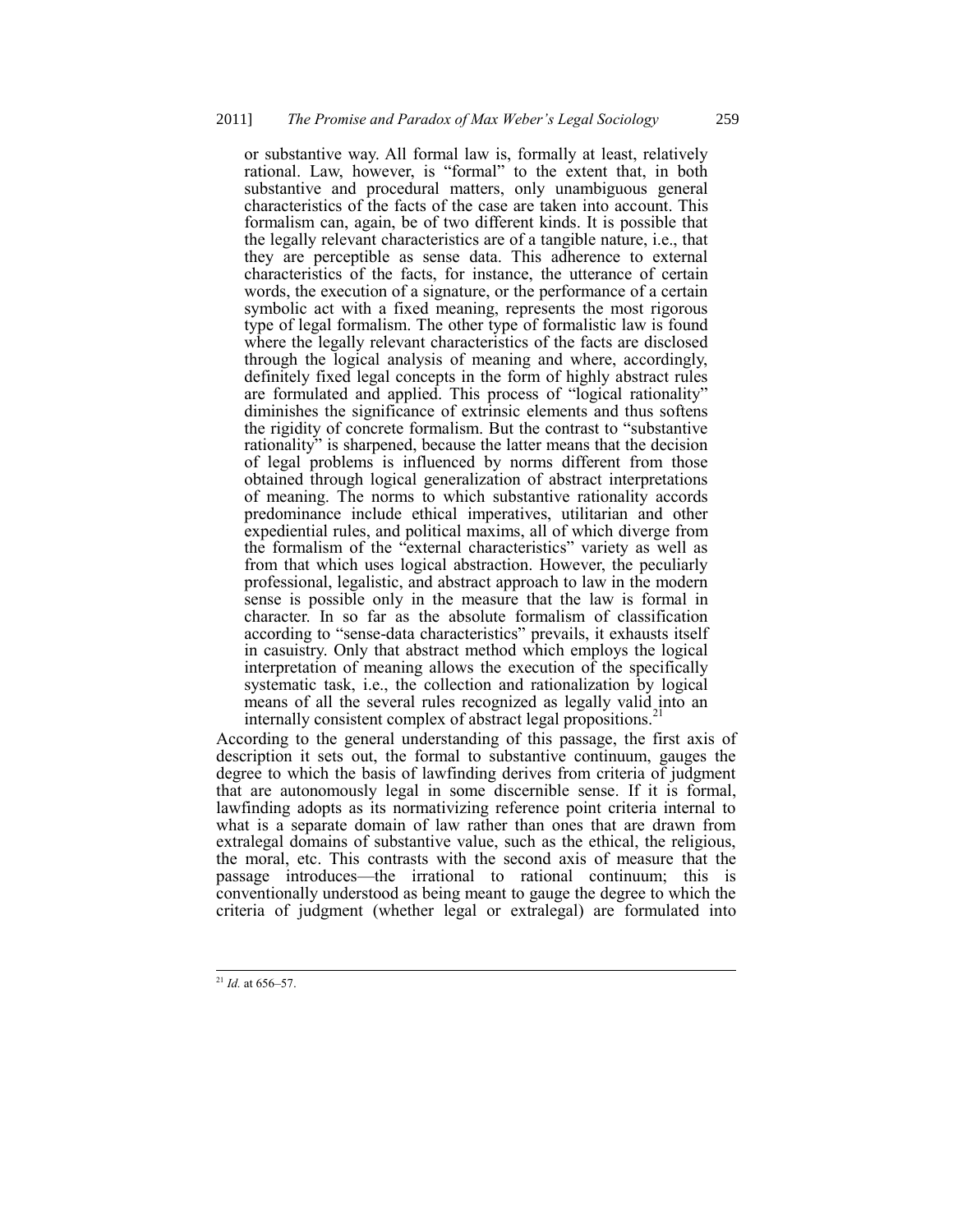or substantive way. All formal law is, formally at least, relatively rational. Law, however, is "formal" to the extent that, in both substantive and procedural matters, only unambiguous general characteristics of the facts of the case are taken into account. This formalism can, again, be of two different kinds. It is possible that the legally relevant characteristics are of a tangible nature, i.e., that they are perceptible as sense data. This adherence to external characteristics of the facts, for instance, the utterance of certain words, the execution of a signature, or the performance of a certain symbolic act with a fixed meaning, represents the most rigorous type of legal formalism. The other type of formalistic law is found where the legally relevant characteristics of the facts are disclosed through the logical analysis of meaning and where, accordingly, definitely fixed legal concepts in the form of highly abstract rules are formulated and applied. This process of "logical rationality" diminishes the significance of extrinsic elements and thus softens the rigidity of concrete formalism. But the contrast to "substantive rationality" is sharpened, because the latter means that the decision of legal problems is influenced by norms different from those obtained through logical generalization of abstract interpretations of meaning. The norms to which substantive rationality accords predominance include ethical imperatives, utilitarian and other expediential rules, and political maxims, all of which diverge from the formalism of the "external characteristics" variety as well as from that which uses logical abstraction. However, the peculiarly professional, legalistic, and abstract approach to law in the modern sense is possible only in the measure that the law is formal in character. In so far as the absolute formalism of classification according to "sense-data characteristics" prevails, it exhausts itself in casuistry. Only that abstract method which employs the logical interpretation of meaning allows the execution of the specifically systematic task, i.e., the collection and rationalization by logical means of all the several rules recognized as legally valid into an internally consistent complex of abstract legal propositions.<sup>2</sup>

According to the general understanding of this passage, the first axis of description it sets out, the formal to substantive continuum, gauges the degree to which the basis of lawfinding derives from criteria of judgment that are autonomously legal in some discernible sense. If it is formal, lawfinding adopts as its normativizing reference point criteria internal to what is a separate domain of law rather than ones that are drawn from extralegal domains of substantive value, such as the ethical, the religious, the moral, etc. This contrasts with the second axis of measure that the passage introduces—the irrational to rational continuum; this is conventionally understood as being meant to gauge the degree to which the criteria of judgment (whether legal or extralegal) are formulated into

<sup>21</sup> *Id.* at 656–57.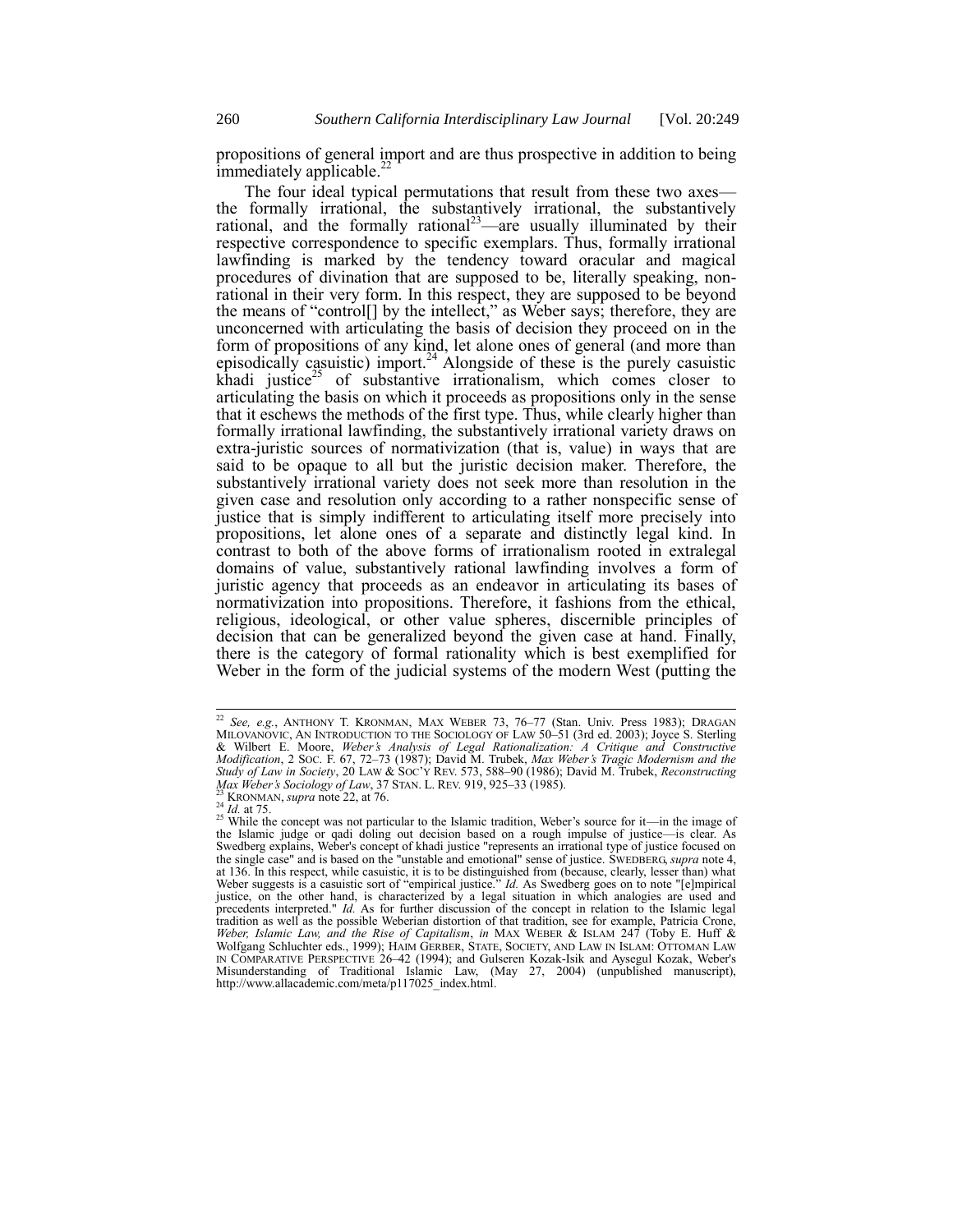<span id="page-11-0"></span>propositions of general import and are thus prospective in addition to being immediately applicable.<sup>22</sup>

The four ideal typical permutations that result from these two axes the formally irrational, the substantively irrational, the substantively rational, and the formally rational<sup>23</sup>—are usually illuminated by their respective correspondence to specific exemplars. Thus, formally irrational lawfinding is marked by the tendency toward oracular and magical procedures of divination that are supposed to be, literally speaking, nonrational in their very form. In this respect, they are supposed to be beyond the means of "control[] by the intellect," as Weber says; therefore, they are unconcerned with articulating the basis of decision they proceed on in the form of propositions of any kind, let alone ones of general (and more than episodically casuistic) import.<sup>24</sup> Alongside of these is the purely casuistic khadi justice<sup>25</sup> of substantive irrationalism, which comes closer to articulating the basis on which it proceeds as propositions only in the sense that it eschews the methods of the first type. Thus, while clearly higher than formally irrational lawfinding, the substantively irrational variety draws on extra-juristic sources of normativization (that is, value) in ways that are said to be opaque to all but the juristic decision maker. Therefore, the substantively irrational variety does not seek more than resolution in the given case and resolution only according to a rather nonspecific sense of justice that is simply indifferent to articulating itself more precisely into propositions, let alone ones of a separate and distinctly legal kind. In contrast to both of the above forms of irrationalism rooted in extralegal domains of value, substantively rational lawfinding involves a form of juristic agency that proceeds as an endeavor in articulating its bases of normativization into propositions. Therefore, it fashions from the ethical, religious, ideological, or other value spheres, discernible principles of decision that can be generalized beyond the given case at hand. Finally, there is the category of formal rationality which is best exemplified for Weber in the form of the judicial systems of the modern West (putting the

<sup>23</sup> KRONMAN, *supra* not[e 22,](#page-11-0) at 76. <sup>24</sup> *Id.* at 75.

<sup>22</sup> *See, e.g.*, ANTHONY T. KRONMAN, MAX WEBER 73, 76–77 (Stan. Univ. Press 1983); DRAGAN MILOVANOVIC, AN INTRODUCTION TO THE SOCIOLOGY OF LAW 50–51 (3rd ed. 2003); Joyce S. Sterling & Wilbert E. Moore, *Weber's Analysis of Legal Rationalization: A Critique and Constructive Modification*, 2 SOC. F. 67, 72–73 (1987); David M. Trubek, *Max Weber's Tragic Modernism and the Study of Law in Society*, 20 LAW & SOC'Y REV. 573, 588–90 (1986); David M. Trubek, *Reconstructing Max Weber's Sociology of Law*, 37 STAN. L. REV. 919, 925–33 (1985).

<sup>&</sup>lt;sup>25</sup> While the concept was not particular to the Islamic tradition, Weber's source for it—in the image of the Islamic judge or qadi doling out decision based on a rough impulse of justice—is clear. As Swedberg explains, Weber's concept of khadi justice "represents an irrational type of justice focused on the single case" and is based on the "unstable and emotional" sense of justice. SWEDBERG, *supra* not[e 4,](#page-1-1) at 136. In this respect, while casuistic, it is to be distinguished from (because, clearly, lesser than) what Weber suggests is a casuistic sort of "empirical justice." *Id.* As Swedberg goes on to note "[e]mpirical justice, on the other hand, is characterized by a legal situation in which analogies are used and precedents interpreted." *Id.* As for further discussion of the concept in relation to the Islamic legal tradition as well as the possible Weberian distortion of that tradition, see for example, Patricia Crone, *Weber, Islamic Law, and the Rise of Capitalism*, *in* MAX WEBER & ISLAM 247 (Toby E. Huff & Wolfgang Schluchter eds., 1999); HAIM GERBER, STATE, SOCIETY, AND LAW IN ISLAM: OTTOMAN LAW IN COMPARATIVE PERSPECTIVE 26–42 (1994); and Gulseren Kozak-Isik and Aysegul Kozak, Weber's Misunderstanding of Traditional Islamic Law, (May 27, 2004) (unpublished manuscript), http://www.allacademic.com/meta/p117025\_index.html.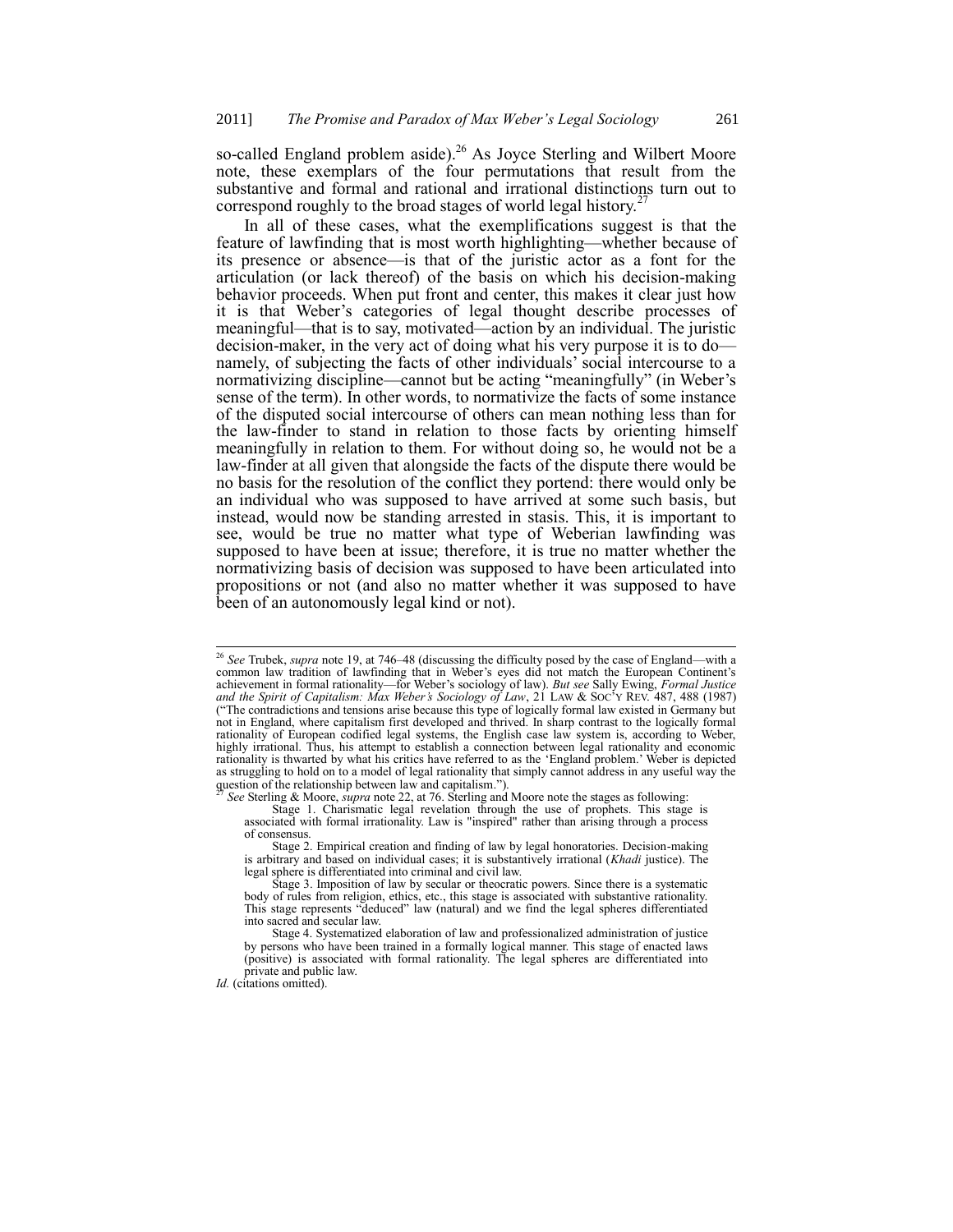<span id="page-12-0"></span>so-called England problem aside).<sup>26</sup> As Joyce Sterling and Wilbert Moore note, these exemplars of the four permutations that result from the substantive and formal and rational and irrational distinctions turn out to correspond roughly to the broad stages of world legal history.<sup>2</sup>

In all of these cases, what the exemplifications suggest is that the feature of lawfinding that is most worth highlighting—whether because of its presence or absence—is that of the juristic actor as a font for the articulation (or lack thereof) of the basis on which his decision-making behavior proceeds. When put front and center, this makes it clear just how it is that Weber's categories of legal thought describe processes of meaningful—that is to say, motivated—action by an individual. The juristic decision-maker, in the very act of doing what his very purpose it is to do namely, of subjecting the facts of other individuals' social intercourse to a normativizing discipline—cannot but be acting "meaningfully" (in Weber's sense of the term). In other words, to normativize the facts of some instance of the disputed social intercourse of others can mean nothing less than for the law-finder to stand in relation to those facts by orienting himself meaningfully in relation to them. For without doing so, he would not be a law-finder at all given that alongside the facts of the dispute there would be no basis for the resolution of the conflict they portend: there would only be an individual who was supposed to have arrived at some such basis, but instead, would now be standing arrested in stasis. This, it is important to see, would be true no matter what type of Weberian lawfinding was supposed to have been at issue; therefore, it is true no matter whether the normativizing basis of decision was supposed to have been articulated into propositions or not (and also no matter whether it was supposed to have been of an autonomously legal kind or not).

<sup>26</sup> *See* Trubek, *supra* not[e 19,](#page-7-0) at 746–48 (discussing the difficulty posed by the case of England—with a common law tradition of lawfinding that in Weber's eyes did not match the European Continent's achievement in formal rationality—for Weber's sociology of law). *But see* Sally Ewing, *Formal Justice*<br>and the Spirit of Capitalism: Max Weber's Sociology of Law, 21 LAW & Soc'y REV. 487, 488 (1987) (―The contradictions and tensions arise because this type of logically formal law existed in Germany but not in England, where capitalism first developed and thrived. In sharp contrast to the logically formal rationality of European codified legal systems, the English case law system is, according to Weber, highly irrational. Thus, his attempt to establish a connection between legal rationality and economic rationality is thwarted by what his critics have referred to as the 'England problem.' Weber is depicted as struggling to hold on to a model of legal rationality that simply cannot address in any useful way the question of the relationship between law and capitalism.").

<sup>&</sup>lt;sup>27</sup> See Sterling & Moore, *supra* not[e 22,](#page-11-0) at 76. Sterling and Moore note the stages as following:<br>Stage 1. Charismatic legal revelation through the use of prophets. This stage is

associated with formal irrationality. Law is "inspired" rather than arising through a process of consensus.

Stage 2. Empirical creation and finding of law by legal honoratories. Decision-making is arbitrary and based on individual cases; it is substantively irrational (*Khadi* justice). The legal sphere is differentiated into criminal and civil law.

Stage 3. Imposition of law by secular or theocratic powers. Since there is a systematic body of rules from religion, ethics, etc., this stage is associated with substantive rationality. This stage represents "deduced" law (natural) and we find the legal spheres differentiated into sacred and secular law.

Stage 4. Systematized elaboration of law and professionalized administration of justice by persons who have been trained in a formally logical manner. This stage of enacted laws (positive) is associated with formal rationality. The legal spheres are differentiated into private and public law.

*Id.* (citations omitted).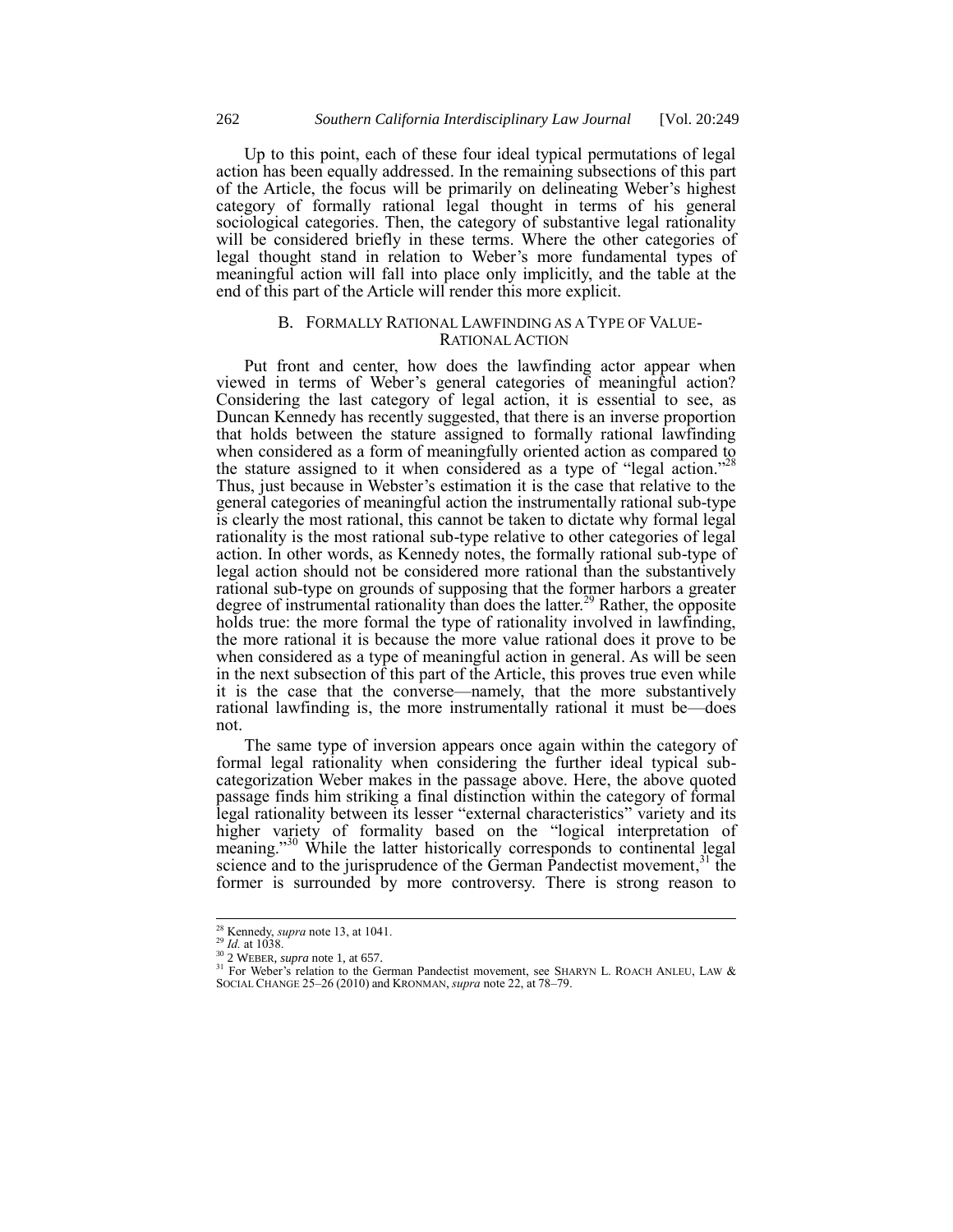Up to this point, each of these four ideal typical permutations of legal action has been equally addressed. In the remaining subsections of this part of the Article, the focus will be primarily on delineating Weber's highest category of formally rational legal thought in terms of his general sociological categories. Then, the category of substantive legal rationality will be considered briefly in these terms. Where the other categories of legal thought stand in relation to Weber's more fundamental types of meaningful action will fall into place only implicitly, and the table at the end of this part of the Article will render this more explicit.

### B. FORMALLY RATIONAL LAWFINDING AS A TYPE OF VALUE-RATIONAL ACTION

Put front and center, how does the lawfinding actor appear when viewed in terms of Weber's general categories of meaningful action? Considering the last category of legal action, it is essential to see, as Duncan Kennedy has recently suggested, that there is an inverse proportion that holds between the stature assigned to formally rational lawfinding when considered as a form of meaningfully oriented action as compared to the stature assigned to it when considered as a type of "legal action."<sup>28</sup> Thus, just because in Webster's estimation it is the case that relative to the general categories of meaningful action the instrumentally rational sub-type is clearly the most rational, this cannot be taken to dictate why formal legal rationality is the most rational sub-type relative to other categories of legal action. In other words, as Kennedy notes, the formally rational sub-type of legal action should not be considered more rational than the substantively rational sub-type on grounds of supposing that the former harbors a greater degree of instrumental rationality than does the latter.<sup>29</sup> Rather, the opposite holds true: the more formal the type of rationality involved in lawfinding, the more rational it is because the more value rational does it prove to be when considered as a type of meaningful action in general. As will be seen in the next subsection of this part of the Article, this proves true even while it is the case that the converse—namely, that the more substantively rational lawfinding is, the more instrumentally rational it must be—does not.

The same type of inversion appears once again within the category of formal legal rationality when considering the further ideal typical subcategorization Weber makes in the passage above. Here, the above quoted passage finds him striking a final distinction within the category of formal legal rationality between its lesser "external characteristics" variety and its higher variety of formality based on the "logical interpretation of meaning."<sup>30</sup> While the latter historically corresponds to continental legal science and to the jurisprudence of the German Pandectist movement, $31$  the former is surrounded by more controversy. There is strong reason to

 $\overline{a}$ 

<sup>28</sup> Kennedy, *supra* not[e 13,](#page-3-0) at 1041.

<sup>29</sup> *Id.* at 1038.

<sup>30</sup> 2 WEBER, *supra* note [1,](#page-1-0) at 657.

<sup>&</sup>lt;sup>31</sup> For Weber's relation to the German Pandectist movement, see SHARYN L. ROACH ANLEU, LAW & SOCIAL CHANGE 25–26 (2010) and KRONMAN, *supra* not[e 22,](#page-11-0) at 78–79.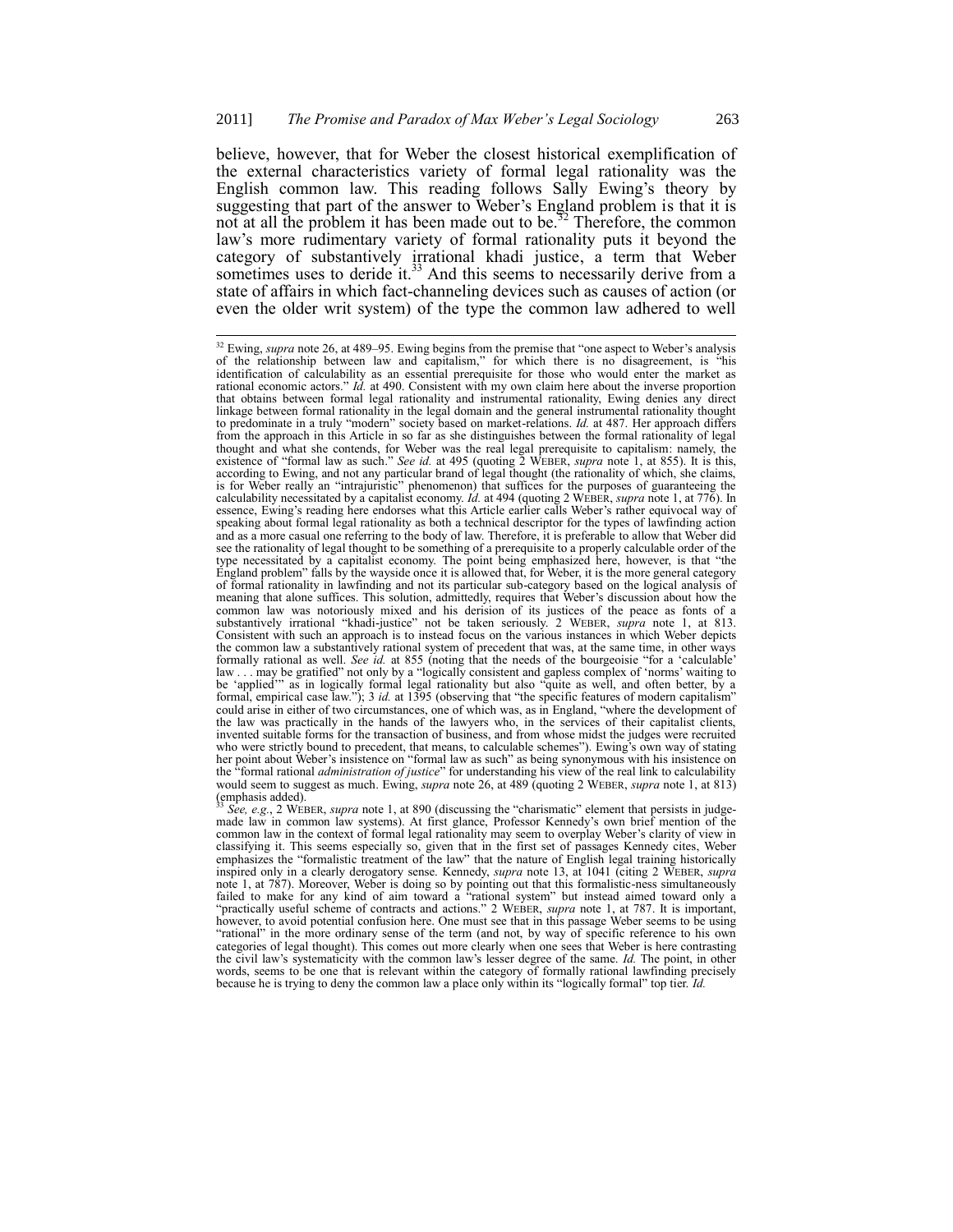l

believe, however, that for Weber the closest historical exemplification of the external characteristics variety of formal legal rationality was the English common law. This reading follows Sally Ewing's theory by suggesting that part of the answer to Weber's England problem is that it is not at all the problem it has been made out to be.<sup>32</sup> Therefore, the common law's more rudimentary variety of formal rationality puts it beyond the category of substantively irrational khadi justice, a term that Weber sometimes uses to deride it.<sup>33</sup> And this seems to necessarily derive from a state of affairs in which fact-channeling devices such as causes of action (or even the older writ system) of the type the common law adhered to well

<sup>&</sup>lt;sup>32</sup> Ewing, *supra* not[e 26,](#page-12-0) at 489–95. Ewing begins from the premise that "one aspect to Weber's analysis of the relationship between law and capitalism," for which there is no disagreement, is "his identification of calculability as an essential prerequisite for those who would enter the market as rational economic actors." *Id.* at 490. Consistent with my own claim here about the inverse proportion that obtains between formal legal rationality and instrumental rationality, Ewing denies any direct linkage between formal rationality in the legal domain and the general instrumental rationality thought to predominate in a truly "modern" society based on market-relations. *Id.* at 487. Her approach differs from the approach in this Article in so far as she distinguishes between the formal rationality of legal thought and what she contends, for Weber was the real legal prerequisite to capitalism: namely, the existence of "formal law as such." See id. at 495 (quoting 2 WEBER, *supra* note [1,](#page-1-0) at 855). It is this, according to Ewing, and not any particular brand of legal thought (the rationality of which, she claims, is for Weber really an "intrajuristic" phenomenon) that suffices for the purposes of guaranteeing the calculability necessitated by a capitalist economy. *Id.* at 494 (quoting 2 WEBER, *supra* not[e 1,](#page-1-0) at 776). In essence, Ewing's reading here endorses what this Article earlier calls Weber's rather equivocal way of speaking about formal legal rationality as both a technical descriptor for the types of lawfinding action and as a more casual one referring to the body of law. Therefore, it is preferable to allow that Weber did see the rationality of legal thought to be something of a prerequisite to a properly calculable order of the type necessitated by a capitalist economy. The point being emphasized here, however, is that "the England problem" falls by the wayside once it is allowed that, for Weber, it is the more general category of formal rationality in lawfinding and not its particular sub-category based on the logical analysis of meaning that alone suffices. This solution, admittedly, requires that Weber's discussion about how the common law was notoriously mixed and his derision of its justices of the peace as fonts of a substantively irrational "khadi-justice" not be taken seriously. 2 WEBER, *supra* note [1,](#page-1-0) at 813. Consistent with such an approach is to instead focus on the various instances in which Weber depicts the common law a substantively rational system of precedent that was, at the same time, in other ways formally rational as well. *See id.* at 855 (noting that the needs of the bourgeoisie "for a 'calculable' law . . . may be gratified" not only by a "logically consistent and gapless complex of 'norms' waiting to be 'applied''' as in logically formal legal rationality but also "quite as well, and often better, by a formal, empirical case law."); 3 *id.* at 1395 (observing that "the specific features of modern capitalism" could arise in either of two circumstances, one of which was, as in England, "where the development of the law was practically in the hands of the lawyers who, in the services of their capitalist clients, invented suitable forms for the transaction of business, and from whose midst the judges were recruited who were strictly bound to precedent, that means, to calculable schemes"). Ewing's own way of stating her point about Weber's insistence on "formal law as such" as being synonymous with his insistence on the "formal rational *administration of justice*" for understanding his view of the real link to calculability would seem to suggest as much. Ewing, *supra* not[e 26,](#page-12-0) at 489 (quoting 2 WEBER, *supra* not[e 1,](#page-1-0) at 813)  $\lim_{33}$   $\frac{1}{6}$  emphasis added).

See, e.g., 2 WEBER, *supra* not[e 1,](#page-1-0) at 890 (discussing the "charismatic" element that persists in judgemade law in common law systems). At first glance, Professor Kennedy's own brief mention of the common law in the context of formal legal rationality may seem to overplay Weber's clarity of view in classifying it. This seems especially so, given that in the first set of passages Kennedy cites, Weber emphasizes the "formalistic treatment of the law" that the nature of English legal training historically inspired only in a clearly derogatory sense. Kennedy, *supra* note [13,](#page-3-0) at 1041 (citing 2 WEBER, *supra*  note [1,](#page-1-0) at 787). Moreover, Weber is doing so by pointing out that this formalistic-ness simultaneously failed to make for any kind of aim toward a "rational system" but instead aimed toward only a "practically useful scheme of contracts and actions." 2 WEBER, *supra* note [1,](#page-1-0) at 787. It is important, however, to avoid potential confusion here. One must see that in this passage Weber seems to be using ―rational‖ in the more ordinary sense of the term (and not, by way of specific reference to his own categories of legal thought). This comes out more clearly when one sees that Weber is here contrasting the civil law's systematicity with the common law's lesser degree of the same. *Id.* The point, in other words, seems to be one that is relevant within the category of formally rational lawfinding precisely because he is trying to deny the common law a place only within its "logically formal" top tier. *Id.*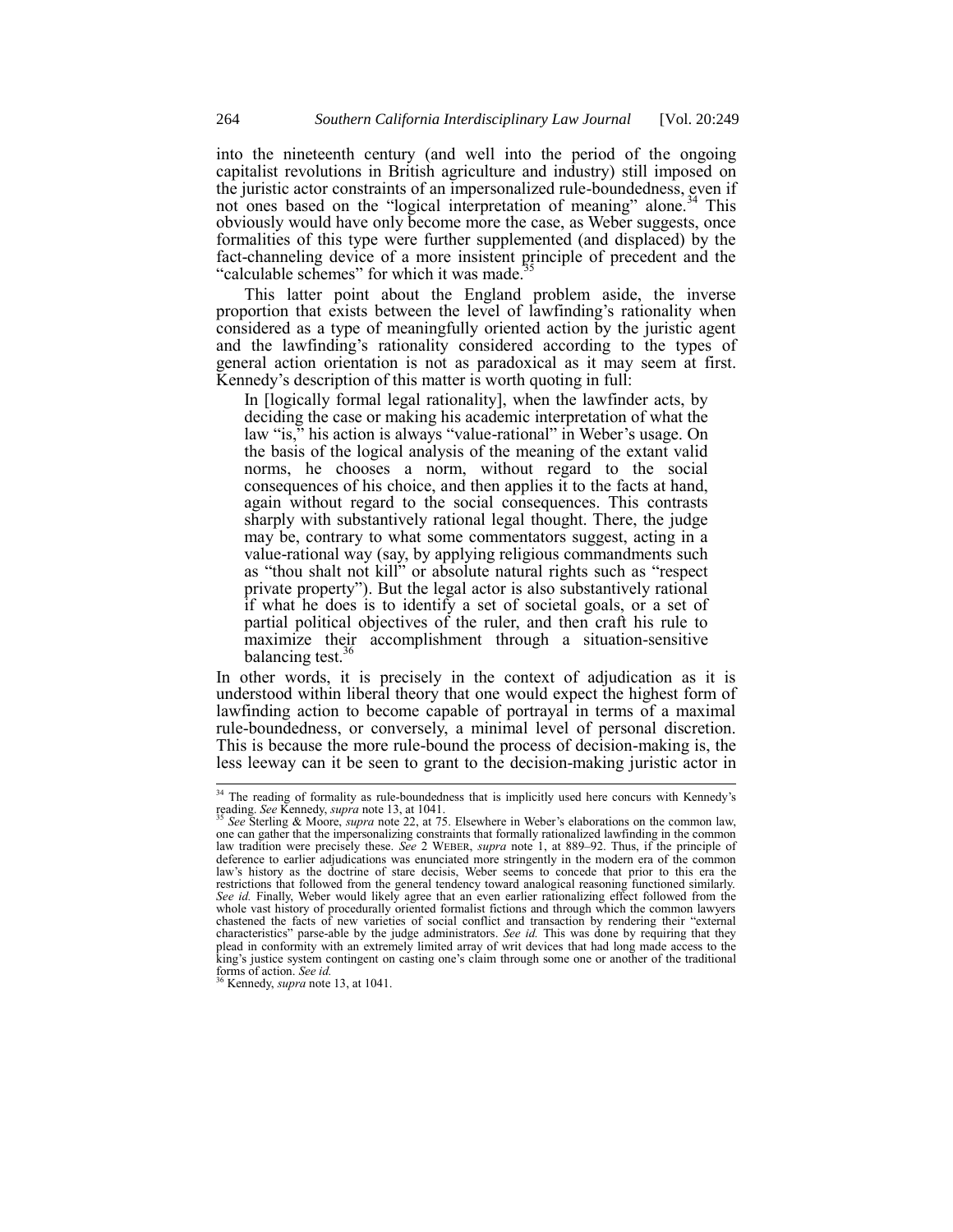into the nineteenth century (and well into the period of the ongoing capitalist revolutions in British agriculture and industry) still imposed on the juristic actor constraints of an impersonalized rule-boundedness, even if not ones based on the "logical interpretation of meaning" alone.<sup>34</sup> This obviously would have only become more the case, as Weber suggests, once formalities of this type were further supplemented (and displaced) by the fact-channeling device of a more insistent principle of precedent and the "calculable schemes" for which it was made.

This latter point about the England problem aside, the inverse proportion that exists between the level of lawfinding's rationality when considered as a type of meaningfully oriented action by the juristic agent and the lawfinding's rationality considered according to the types of general action orientation is not as paradoxical as it may seem at first. Kennedy's description of this matter is worth quoting in full:

In [logically formal legal rationality], when the lawfinder acts, by deciding the case or making his academic interpretation of what the law "is," his action is always "value-rational" in Weber's usage. On the basis of the logical analysis of the meaning of the extant valid norms, he chooses a norm, without regard to the social consequences of his choice, and then applies it to the facts at hand, again without regard to the social consequences. This contrasts sharply with substantively rational legal thought. There, the judge may be, contrary to what some commentators suggest, acting in a value-rational way (say, by applying religious commandments such as "thou shalt not kill" or absolute natural rights such as "respect" private property"). But the legal actor is also substantively rational if what he does is to identify a set of societal goals, or a set of partial political objectives of the ruler, and then craft his rule to maximize their accomplishment through a situation-sensitive balancing test.<sup>36</sup>

In other words, it is precisely in the context of adjudication as it is understood within liberal theory that one would expect the highest form of lawfinding action to become capable of portrayal in terms of a maximal rule-boundedness, or conversely, a minimal level of personal discretion. This is because the more rule-bound the process of decision-making is, the less leeway can it be seen to grant to the decision-making juristic actor in

<sup>34</sup> The reading of formality as rule-boundedness that is implicitly used here concurs with Kennedy's reading. *See* Kennedy, *supra* not[e 13,](#page-3-0) at 1041.

<sup>35</sup> *See* Sterling & Moore, *supra* note [22,](#page-11-0) at 75. Elsewhere in Weber's elaborations on the common law, one can gather that the impersonalizing constraints that formally rationalized lawfinding in the common law tradition were precisely these. *See* 2 WEBER, *supra* note [1,](#page-1-0) at 889–92. Thus, if the principle of deference to earlier adjudications was enunciated more stringently in the modern era of the common law's history as the doctrine of stare decisis, Weber seems to concede that prior to this era the restrictions that followed from the general tendency toward analogical reasoning functioned similarly. See id. Finally, Weber would likely agree that an even earlier rationalizing effect followed from the whole vast history of procedurally oriented formalist fictions and through which the common lawyers chastened the facts of new varieties of social conflict and transaction by rendering their "external characteristics‖ parse-able by the judge administrators. *See id.* This was done by requiring that they plead in conformity with an extremely limited array of writ devices that had long made access to the king's justice system contingent on casting one's claim through some one or another of the traditional

forms of action. *See id.* <sup>36</sup> Kennedy, *supra* not[e 13,](#page-3-0) at 1041.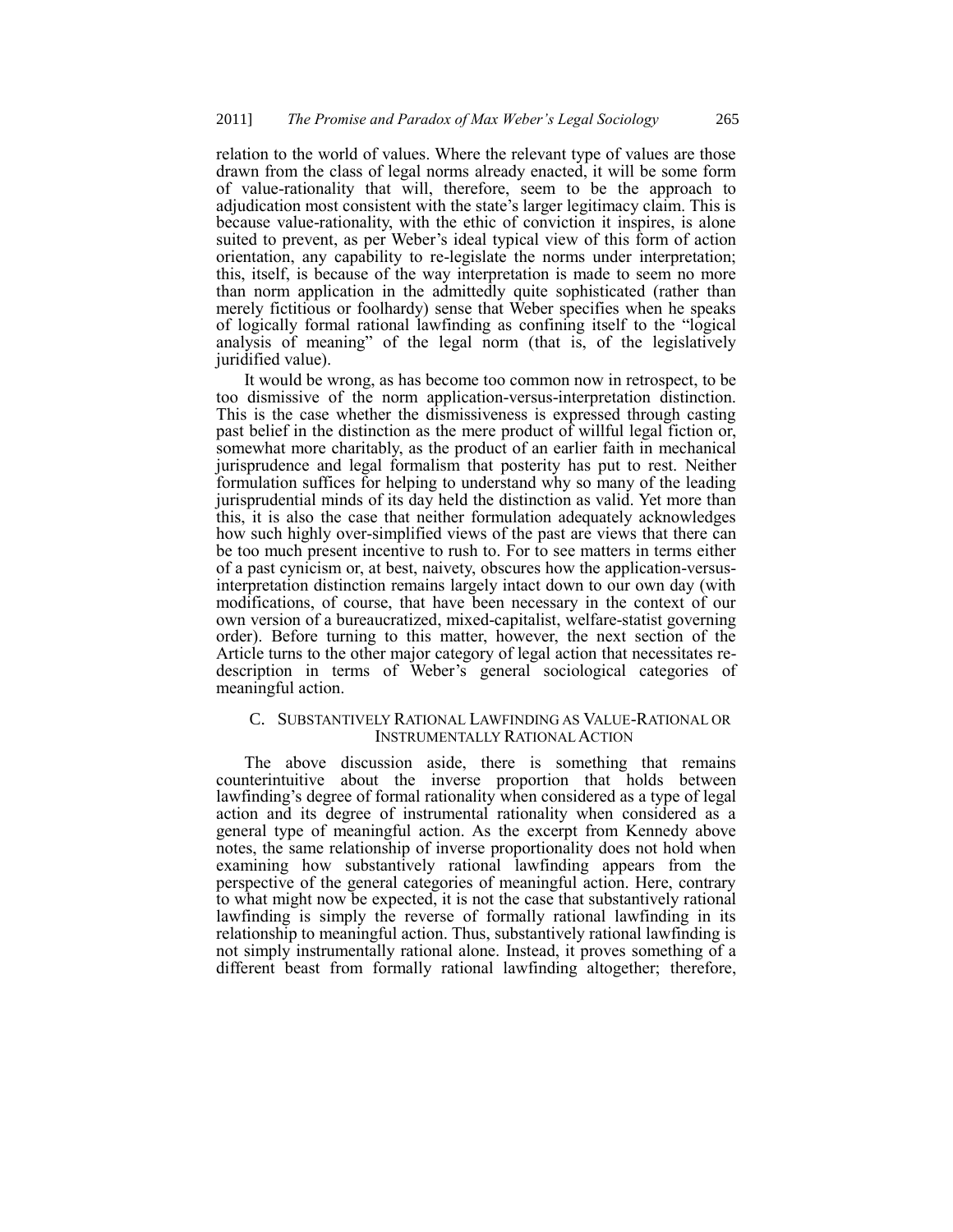relation to the world of values. Where the relevant type of values are those drawn from the class of legal norms already enacted, it will be some form of value-rationality that will, therefore, seem to be the approach to adjudication most consistent with the state's larger legitimacy claim. This is because value-rationality, with the ethic of conviction it inspires, is alone suited to prevent, as per Weber's ideal typical view of this form of action orientation, any capability to re-legislate the norms under interpretation; this, itself, is because of the way interpretation is made to seem no more than norm application in the admittedly quite sophisticated (rather than merely fictitious or foolhardy) sense that Weber specifies when he speaks of logically formal rational lawfinding as confining itself to the "logical analysis of meaning" of the legal norm (that is, of the legislatively juridified value).

It would be wrong, as has become too common now in retrospect, to be too dismissive of the norm application-versus-interpretation distinction. This is the case whether the dismissiveness is expressed through casting past belief in the distinction as the mere product of willful legal fiction or, somewhat more charitably, as the product of an earlier faith in mechanical jurisprudence and legal formalism that posterity has put to rest. Neither formulation suffices for helping to understand why so many of the leading jurisprudential minds of its day held the distinction as valid. Yet more than this, it is also the case that neither formulation adequately acknowledges how such highly over-simplified views of the past are views that there can be too much present incentive to rush to. For to see matters in terms either of a past cynicism or, at best, naivety, obscures how the application-versusinterpretation distinction remains largely intact down to our own day (with modifications, of course, that have been necessary in the context of our own version of a bureaucratized, mixed-capitalist, welfare-statist governing order). Before turning to this matter, however, the next section of the Article turns to the other major category of legal action that necessitates redescription in terms of Weber's general sociological categories of meaningful action.

### C. SUBSTANTIVELY RATIONAL LAWFINDING AS VALUE-RATIONAL OR INSTRUMENTALLY RATIONAL ACTION

The above discussion aside, there is something that remains counterintuitive about the inverse proportion that holds between lawfinding's degree of formal rationality when considered as a type of legal action and its degree of instrumental rationality when considered as a general type of meaningful action. As the excerpt from Kennedy above notes, the same relationship of inverse proportionality does not hold when examining how substantively rational lawfinding appears from the perspective of the general categories of meaningful action. Here, contrary to what might now be expected, it is not the case that substantively rational lawfinding is simply the reverse of formally rational lawfinding in its relationship to meaningful action. Thus, substantively rational lawfinding is not simply instrumentally rational alone. Instead, it proves something of a different beast from formally rational lawfinding altogether; therefore,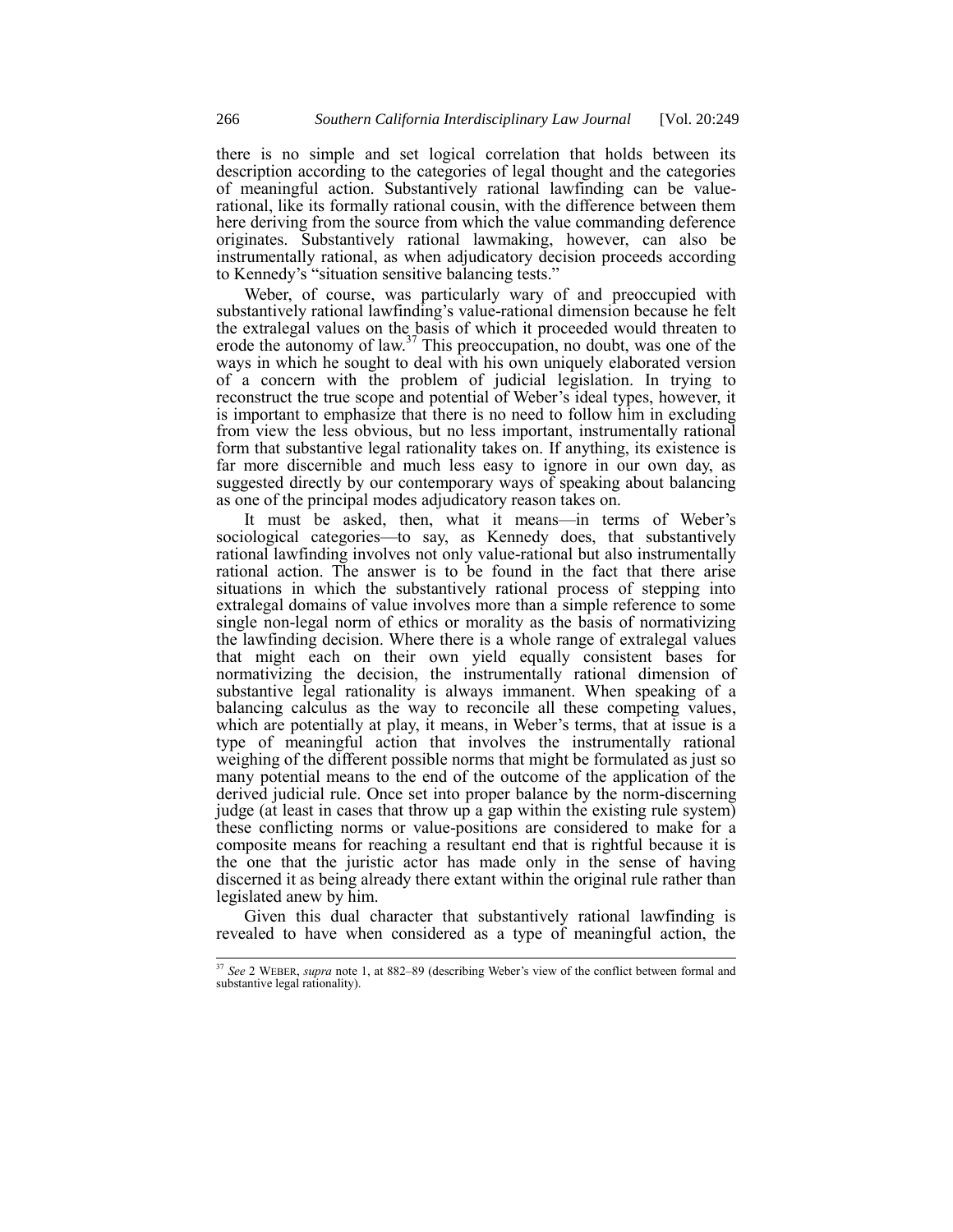there is no simple and set logical correlation that holds between its description according to the categories of legal thought and the categories of meaningful action. Substantively rational lawfinding can be valuerational, like its formally rational cousin, with the difference between them here deriving from the source from which the value commanding deference originates. Substantively rational lawmaking, however, can also be instrumentally rational, as when adjudicatory decision proceeds according to Kennedy's "situation sensitive balancing tests."

Weber, of course, was particularly wary of and preoccupied with substantively rational lawfinding's value-rational dimension because he felt the extralegal values on the basis of which it proceeded would threaten to erode the autonomy of law.<sup>37</sup> This preoccupation, no doubt, was one of the ways in which he sought to deal with his own uniquely elaborated version of a concern with the problem of judicial legislation. In trying to reconstruct the true scope and potential of Weber's ideal types, however, it is important to emphasize that there is no need to follow him in excluding from view the less obvious, but no less important, instrumentally rational form that substantive legal rationality takes on. If anything, its existence is far more discernible and much less easy to ignore in our own day, as suggested directly by our contemporary ways of speaking about balancing as one of the principal modes adjudicatory reason takes on.

It must be asked, then, what it means—in terms of Weber's sociological categories—to say, as Kennedy does, that substantively rational lawfinding involves not only value-rational but also instrumentally rational action. The answer is to be found in the fact that there arise situations in which the substantively rational process of stepping into extralegal domains of value involves more than a simple reference to some single non-legal norm of ethics or morality as the basis of normativizing the lawfinding decision. Where there is a whole range of extralegal values that might each on their own yield equally consistent bases for normativizing the decision, the instrumentally rational dimension of substantive legal rationality is always immanent. When speaking of a balancing calculus as the way to reconcile all these competing values, which are potentially at play, it means, in Weber's terms, that at issue is a type of meaningful action that involves the instrumentally rational weighing of the different possible norms that might be formulated as just so many potential means to the end of the outcome of the application of the derived judicial rule. Once set into proper balance by the norm-discerning judge (at least in cases that throw up a gap within the existing rule system) these conflicting norms or value-positions are considered to make for a composite means for reaching a resultant end that is rightful because it is the one that the juristic actor has made only in the sense of having discerned it as being already there extant within the original rule rather than legislated anew by him.

Given this dual character that substantively rational lawfinding is revealed to have when considered as a type of meaningful action, the

<sup>37</sup> *See* 2 WEBER, *supra* note [1,](#page-1-0) at 882–89 (describing Weber's view of the conflict between formal and substantive legal rationality).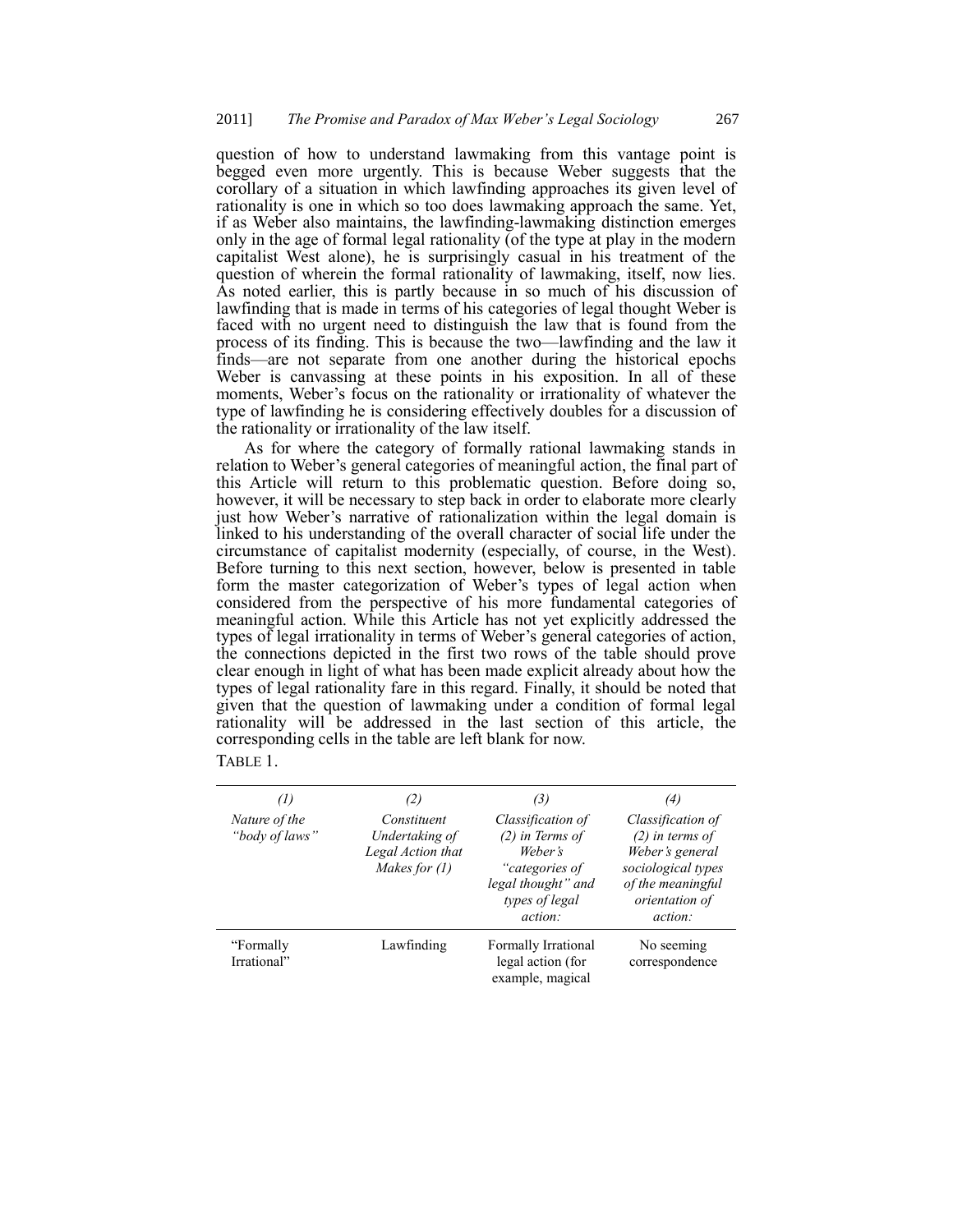question of how to understand lawmaking from this vantage point is begged even more urgently. This is because Weber suggests that the corollary of a situation in which lawfinding approaches its given level of rationality is one in which so too does lawmaking approach the same. Yet, if as Weber also maintains, the lawfinding-lawmaking distinction emerges only in the age of formal legal rationality (of the type at play in the modern capitalist West alone), he is surprisingly casual in his treatment of the question of wherein the formal rationality of lawmaking, itself, now lies. As noted earlier, this is partly because in so much of his discussion of lawfinding that is made in terms of his categories of legal thought Weber is faced with no urgent need to distinguish the law that is found from the process of its finding. This is because the two—lawfinding and the law it finds—are not separate from one another during the historical epochs Weber is canvassing at these points in his exposition. In all of these moments, Weber's focus on the rationality or irrationality of whatever the type of lawfinding he is considering effectively doubles for a discussion of the rationality or irrationality of the law itself.

As for where the category of formally rational lawmaking stands in relation to Weber's general categories of meaningful action, the final part of this Article will return to this problematic question. Before doing so, however, it will be necessary to step back in order to elaborate more clearly just how Weber's narrative of rationalization within the legal domain is linked to his understanding of the overall character of social life under the circumstance of capitalist modernity (especially, of course, in the West). Before turning to this next section, however, below is presented in table form the master categorization of Weber's types of legal action when considered from the perspective of his more fundamental categories of meaningful action. While this Article has not yet explicitly addressed the types of legal irrationality in terms of Weber's general categories of action, the connections depicted in the first two rows of the table should prove clear enough in light of what has been made explicit already about how the types of legal rationality fare in this regard. Finally, it should be noted that given that the question of lawmaking under a condition of formal legal rationality will be addressed in the last section of this article, the corresponding cells in the table are left blank for now. TABLE 1.

|                                 | (2)                                                                   | (3)                                                                                                                    | (4)                                                                                                                               |
|---------------------------------|-----------------------------------------------------------------------|------------------------------------------------------------------------------------------------------------------------|-----------------------------------------------------------------------------------------------------------------------------------|
| Nature of the<br>"body of laws" | Constituent<br>Undertaking of<br>Legal Action that<br>Makes for $(1)$ | Classification of<br>$(2)$ in Terms of<br>Weber's<br>"categories of<br>legal thought" and<br>types of legal<br>action: | Classification of<br>$(2)$ in terms of<br>Weber's general<br>sociological types<br>of the meaningful<br>orientation of<br>action: |
| "Formally<br>Irrational"        | Lawfinding                                                            | Formally Irrational<br>legal action (for<br>example, magical                                                           | No seeming<br>correspondence                                                                                                      |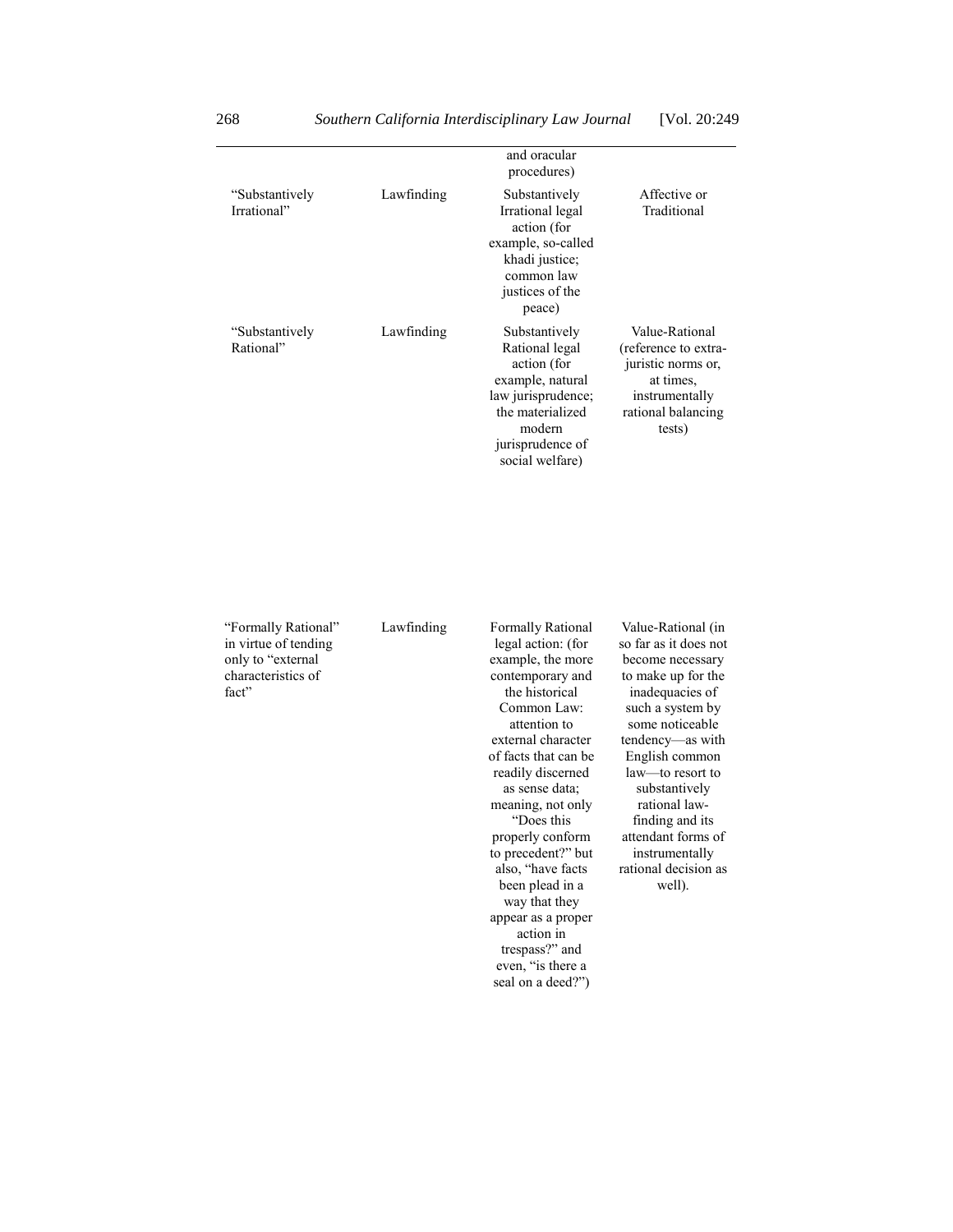|                                |            | and oracular<br>procedures)                                                                                                                                   |                                                                                                                             |
|--------------------------------|------------|---------------------------------------------------------------------------------------------------------------------------------------------------------------|-----------------------------------------------------------------------------------------------------------------------------|
| "Substantively"<br>Irrational" | Lawfinding | Substantively<br>Irrational legal<br>action (for<br>example, so-called<br>khadi justice;<br>common law<br>justices of the<br>peace)                           | Affective or<br>Traditional                                                                                                 |
| "Substantively"<br>Rational"   | Lawfinding | Substantively<br>Rational legal<br>action (for<br>example, natural<br>law jurisprudence;<br>the materialized<br>modern<br>jurisprudence of<br>social welfare) | Value-Rational<br>(reference to extra-<br>juristic norms or,<br>at times,<br>instrumentally<br>rational balancing<br>tests) |

"Formally Rational" in virtue of tending only to "external characteristics of fact"

Lawfinding Formally Rational legal action: (for example, the more contemporary and the historical Common Law: attention to external character of facts that can be readily discerned as sense data; meaning, not only ―Does this properly conform to precedent?" but also, "have facts been plead in a way that they appear as a proper action in trespass?" and even, "is there a seal on a deed?")

Value-Rational (in so far as it does not become necessary to make up for the inadequacies of such a system by some noticeable tendency—as with English common law—to resort to substantively rational lawfinding and its attendant forms of instrumentally rational decision as well).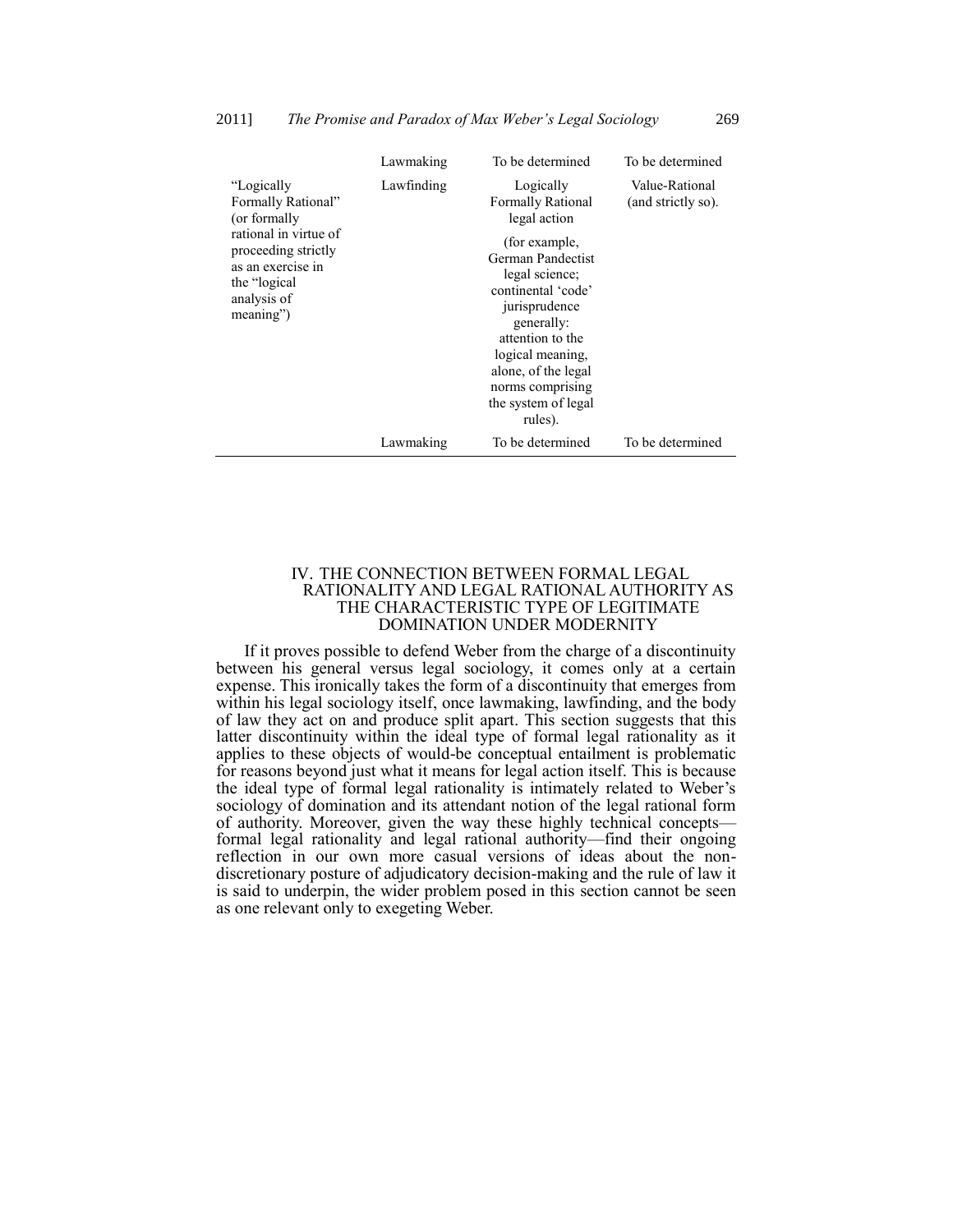|                                                                                                                                                                      | Lawmaking  | To be determined                                                                                                                                                                                                                                                                        | To be determined                     |
|----------------------------------------------------------------------------------------------------------------------------------------------------------------------|------------|-----------------------------------------------------------------------------------------------------------------------------------------------------------------------------------------------------------------------------------------------------------------------------------------|--------------------------------------|
| "Logically"<br>Formally Rational"<br>(or formally)<br>rational in virtue of<br>proceeding strictly<br>as an exercise in<br>the "logical"<br>analysis of<br>meaning") | Lawfinding | Logically<br><b>Formally Rational</b><br>legal action<br>(for example,<br>German Pandectist<br>legal science;<br>continental 'code'<br>jurisprudence<br>generally:<br>attention to the<br>logical meaning.<br>alone, of the legal<br>norms comprising<br>the system of legal<br>rules). | Value-Rational<br>(and strictly so). |
|                                                                                                                                                                      | Lawmaking  | To be determined                                                                                                                                                                                                                                                                        | To be determined                     |

### IV. THE CONNECTION BETWEEN FORMAL LEGAL RATIONALITY AND LEGAL RATIONAL AUTHORITY AS THE CHARACTERISTIC TYPE OF LEGITIMATE DOMINATION UNDER MODERNITY

If it proves possible to defend Weber from the charge of a discontinuity between his general versus legal sociology, it comes only at a certain expense. This ironically takes the form of a discontinuity that emerges from within his legal sociology itself, once lawmaking, lawfinding, and the body of law they act on and produce split apart. This section suggests that this latter discontinuity within the ideal type of formal legal rationality as it applies to these objects of would-be conceptual entailment is problematic for reasons beyond just what it means for legal action itself. This is because the ideal type of formal legal rationality is intimately related to Weber's sociology of domination and its attendant notion of the legal rational form of authority. Moreover, given the way these highly technical concepts formal legal rationality and legal rational authority—find their ongoing reflection in our own more casual versions of ideas about the nondiscretionary posture of adjudicatory decision-making and the rule of law it is said to underpin, the wider problem posed in this section cannot be seen as one relevant only to exegeting Weber.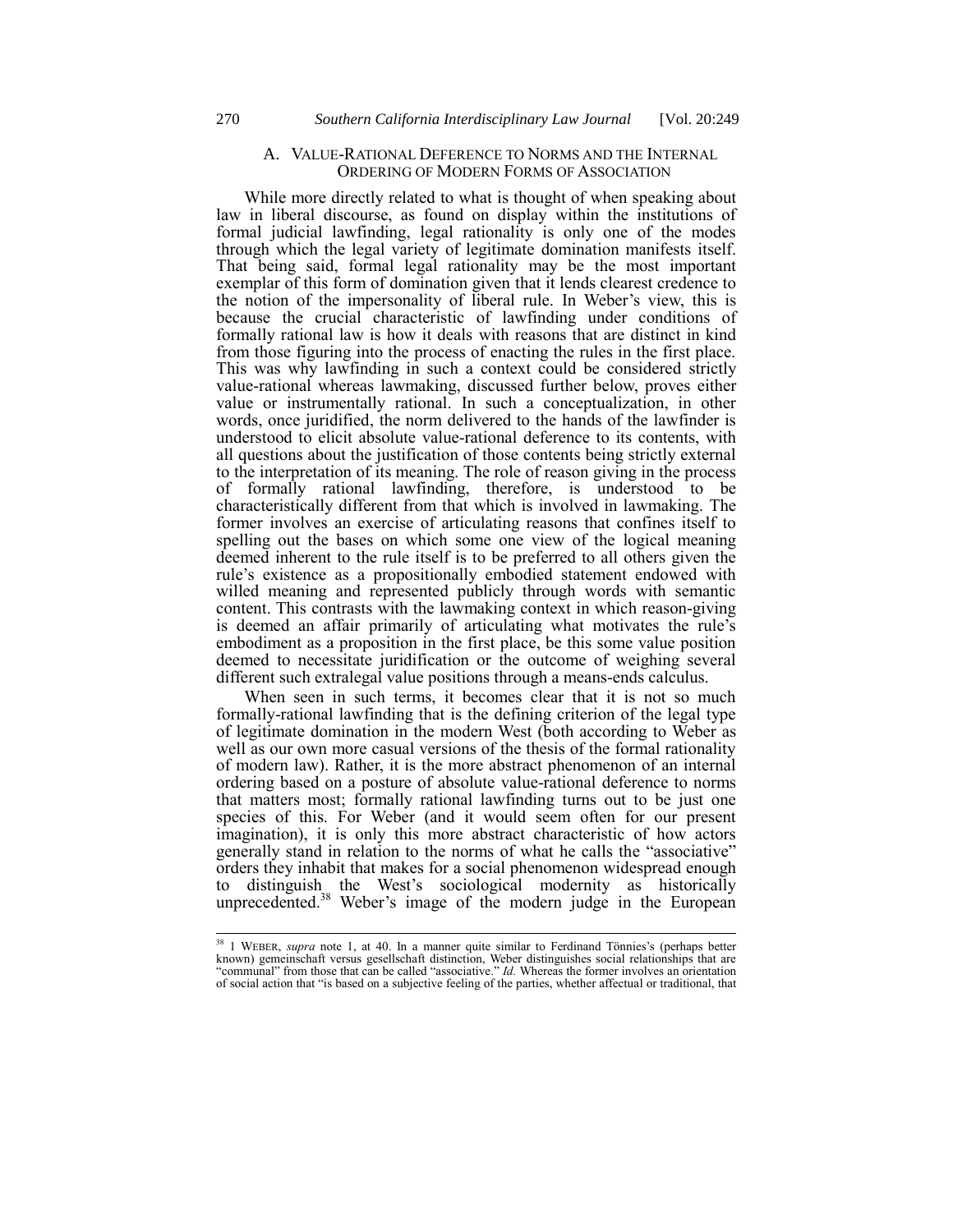### A. VALUE-RATIONAL DEFERENCE TO NORMS AND THE INTERNAL ORDERING OF MODERN FORMS OF ASSOCIATION

While more directly related to what is thought of when speaking about law in liberal discourse, as found on display within the institutions of formal judicial lawfinding, legal rationality is only one of the modes through which the legal variety of legitimate domination manifests itself. That being said, formal legal rationality may be the most important exemplar of this form of domination given that it lends clearest credence to the notion of the impersonality of liberal rule. In Weber's view, this is because the crucial characteristic of lawfinding under conditions of formally rational law is how it deals with reasons that are distinct in kind from those figuring into the process of enacting the rules in the first place. This was why lawfinding in such a context could be considered strictly value-rational whereas lawmaking, discussed further below, proves either value or instrumentally rational. In such a conceptualization, in other words, once juridified, the norm delivered to the hands of the lawfinder is understood to elicit absolute value-rational deference to its contents, with all questions about the justification of those contents being strictly external to the interpretation of its meaning. The role of reason giving in the process of formally rational lawfinding, therefore, is understood to be characteristically different from that which is involved in lawmaking. The former involves an exercise of articulating reasons that confines itself to spelling out the bases on which some one view of the logical meaning deemed inherent to the rule itself is to be preferred to all others given the rule's existence as a propositionally embodied statement endowed with willed meaning and represented publicly through words with semantic content. This contrasts with the lawmaking context in which reason-giving is deemed an affair primarily of articulating what motivates the rule's embodiment as a proposition in the first place, be this some value position deemed to necessitate juridification or the outcome of weighing several different such extralegal value positions through a means-ends calculus.

When seen in such terms, it becomes clear that it is not so much formally-rational lawfinding that is the defining criterion of the legal type of legitimate domination in the modern West (both according to Weber as well as our own more casual versions of the thesis of the formal rationality of modern law). Rather, it is the more abstract phenomenon of an internal ordering based on a posture of absolute value-rational deference to norms that matters most; formally rational lawfinding turns out to be just one species of this. For Weber (and it would seem often for our present imagination), it is only this more abstract characteristic of how actors generally stand in relation to the norms of what he calls the "associative" orders they inhabit that makes for a social phenomenon widespread enough to distinguish the West's sociological modernity as historically unprecedented.<sup>38</sup> Weber's image of the modern judge in the European

<sup>&</sup>lt;sup>38</sup> 1 WEBER, *supra* note [1,](#page-1-0) at 40. In a manner quite similar to Ferdinand Tönnies's (perhaps better known) gemeinschaft versus gesellschaft distinction, Weber distinguishes social relationships that are "communal" from those that can be called "associative." *Id.* Whereas the former involves an orientation of social action that "is based on a subjective feeling of the parties, whether affectual or traditional, that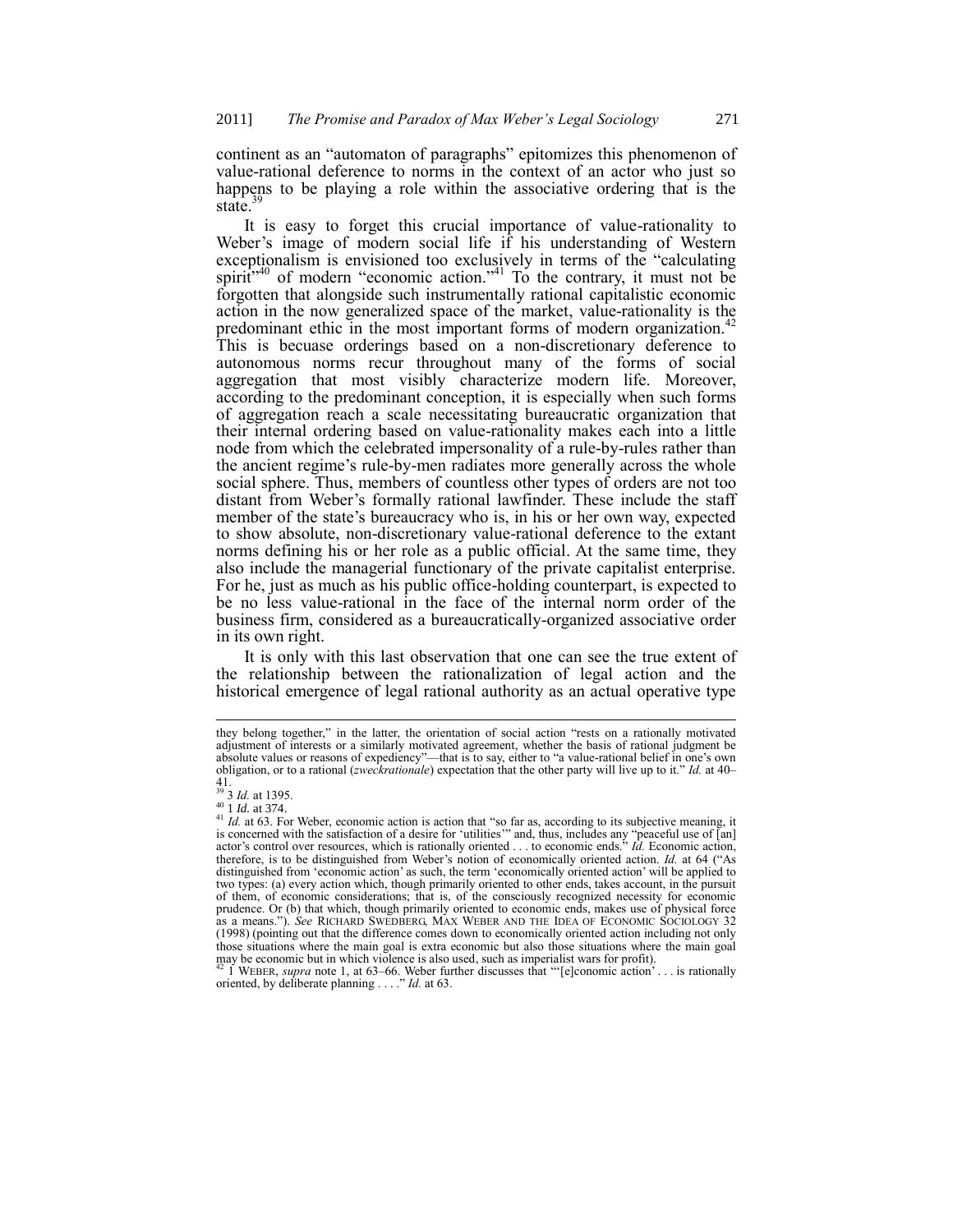continent as an "automaton of paragraphs" epitomizes this phenomenon of value-rational deference to norms in the context of an actor who just so happens to be playing a role within the associative ordering that is the state.<sup>39</sup>

<span id="page-22-0"></span>It is easy to forget this crucial importance of value-rationality to Weber's image of modern social life if his understanding of Western exceptionalism is envisioned too exclusively in terms of the "calculating spirit<sup>,40</sup> of modern "economic action."<sup>41</sup> To the contrary, it must not be forgotten that alongside such instrumentally rational capitalistic economic action in the now generalized space of the market, value-rationality is the predominant ethic in the most important forms of modern organization.<sup>4</sup> This is becuase orderings based on a non-discretionary deference to autonomous norms recur throughout many of the forms of social aggregation that most visibly characterize modern life. Moreover, according to the predominant conception, it is especially when such forms of aggregation reach a scale necessitating bureaucratic organization that their internal ordering based on value-rationality makes each into a little node from which the celebrated impersonality of a rule-by-rules rather than the ancient regime's rule-by-men radiates more generally across the whole social sphere. Thus, members of countless other types of orders are not too distant from Weber's formally rational lawfinder. These include the staff member of the state's bureaucracy who is, in his or her own way, expected to show absolute, non-discretionary value-rational deference to the extant norms defining his or her role as a public official. At the same time, they also include the managerial functionary of the private capitalist enterprise. For he, just as much as his public office-holding counterpart, is expected to be no less value-rational in the face of the internal norm order of the business firm, considered as a bureaucratically-organized associative order in its own right.

It is only with this last observation that one can see the true extent of the relationship between the rationalization of legal action and the historical emergence of legal rational authority as an actual operative type

they belong together," in the latter, the orientation of social action "rests on a rationally motivated adjustment of interests or a similarly motivated agreement, whether the basis of rational judgment be absolute values or reasons of expediency"—that is to say, either to "a value-rational belief in one's own obligation, or to a rational (*zweckrationale*) expectation that the other party will live up to it." *Id.* at 40–

<sup>41.</sup> <sup>39</sup> 3 *Id.* at 1395.

<sup>40</sup> 1 *Id.* at 374.

<sup>&</sup>lt;sup>41</sup> *Id.* at 63. For Weber, economic action is action that "so far as, according to its subjective meaning, it is concerned with the satisfaction of a desire for 'utilities'" and, thus, includes any "peaceful use of [an] actor's control over resources, which is rationally oriented . . . to economic ends." *Id.* Economic action, therefore, is to be distinguished from Weber's notion of economically oriented action. *Id.* at 64 ("As distinguished from 'economic action' as such, the term 'economically oriented action' will be applied to two types: (a) every action which, though primarily oriented to other ends, takes account, in the pursuit of them, of economic considerations; that is, of the consciously recognized necessity for economic prudence. Or (b) that which, though primarily oriented to economic ends, makes use of physical force as a means."). *See* RICHARD SWEDBERG, MAX WEBER AND THE IDEA OF ECONOMIC SOCIOLOGY 32 (1998) (pointing out that the difference comes down to economically oriented action including not only those situations where the main goal is extra economic but also those situations where the main goal

may be economic but in which violence is also used, such as imperialist wars for profit).<br><sup>42</sup> 1 WEBER, *supra* not[e 1,](#page-1-0) at 63–66. Weber further discusses that "'[e]conomic action' . . . is rationally oriented, by deliberate planning . . . ." *Id.* at 63.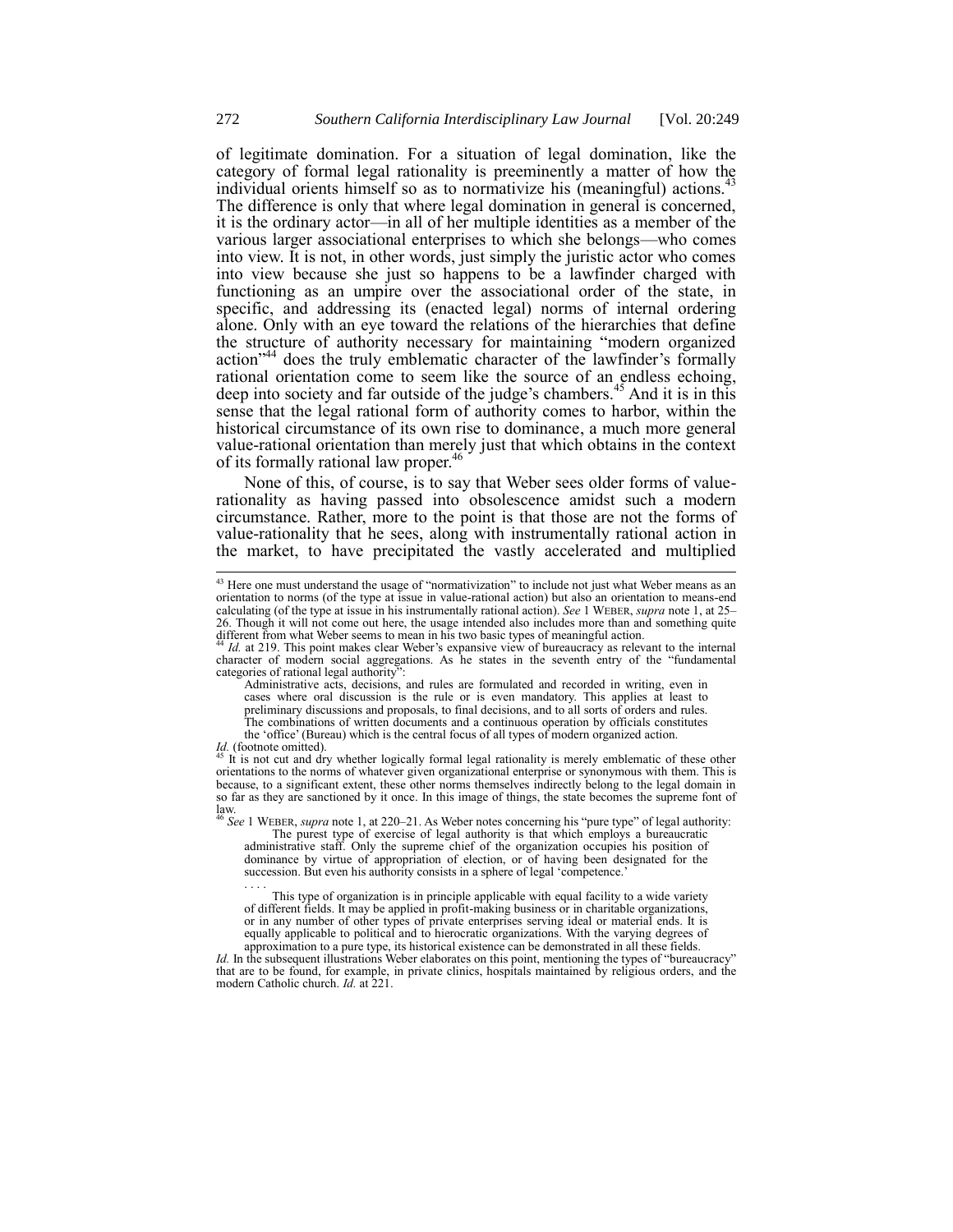of legitimate domination. For a situation of legal domination, like the category of formal legal rationality is preeminently a matter of how the individual orients himself so as to normativize his (meaningful) actions.<sup>43</sup> The difference is only that where legal domination in general is concerned, it is the ordinary actor—in all of her multiple identities as a member of the various larger associational enterprises to which she belongs—who comes into view. It is not, in other words, just simply the juristic actor who comes into view because she just so happens to be a lawfinder charged with functioning as an umpire over the associational order of the state, in specific, and addressing its (enacted legal) norms of internal ordering alone. Only with an eye toward the relations of the hierarchies that define the structure of authority necessary for maintaining "modern organized action<sup>"44</sup> does the truly emblematic character of the lawfinder's formally rational orientation come to seem like the source of an endless echoing, deep into society and far outside of the judge's chambers.<sup>45</sup> And it is in this sense that the legal rational form of authority comes to harbor, within the historical circumstance of its own rise to dominance, a much more general value-rational orientation than merely just that which obtains in the context of its formally rational law proper.<sup>46</sup>

None of this, of course, is to say that Weber sees older forms of valuerationality as having passed into obsolescence amidst such a modern circumstance. Rather, more to the point is that those are not the forms of value-rationality that he sees, along with instrumentally rational action in the market, to have precipitated the vastly accelerated and multiplied

Id. (footnote omitted).

l

 $6$  *See* 1 WEBER, *supra* not[e 1,](#page-1-0) at 220–21. As Weber notes concerning his "pure type" of legal authority: The purest type of exercise of legal authority is that which employs a bureaucratic administrative staff. Only the supreme chief of the organization occupies his position of dominance by virtue of appropriation of election, or of having been designated for the succession. But even his authority consists in a sphere of legal 'competence.'

approximation to a pure type, its historical existence can be demonstrated in all these fields.<br>*Id.* In the subsequent illustrations Weber elaborates on this point, mentioning the types of "bureaucracy" that are to be found, for example, in private clinics, hospitals maintained by religious orders, and the modern Catholic church. *Id.* at 221.

 $43$  Here one must understand the usage of "normativization" to include not just what Weber means as an orientation to norms (of the type at issue in value-rational action) but also an orientation to means-end calculating (of the type at issue in his instrumentally rational action). *See* 1 WEBER, *supra* not[e 1,](#page-1-0) at 25– 26. Though it will not come out here, the usage intended also includes more than and something quite different from what Weber seems to mean in his two basic types of meaningful action.

*Id.* at 219. This point makes clear Weber's expansive view of bureaucracy as relevant to the internal character of modern social aggregations. As he states in the seventh entry of the "fundamental categories of rational legal authority":

Administrative acts, decisions, and rules are formulated and recorded in writing, even in cases where oral discussion is the rule or is even mandatory. This applies at least to preliminary discussions and proposals, to final decisions, and to all sorts of orders and rules. The combinations of written documents and a continuous operation by officials constitutes the 'office' (Bureau) which is the central focus of all types of modern organized action.

It is not cut and dry whether logically formal legal rationality is merely emblematic of these other orientations to the norms of whatever given organizational enterprise or synonymous with them. This is because, to a significant extent, these other norms themselves indirectly belong to the legal domain in so far as they are sanctioned by it once. In this image of things, the state becomes the supreme font of  $\lim_{46}$ 

<sup>.</sup> . . . This type of organization is in principle applicable with equal facility to a wide variety of different fields. It may be applied in profit-making business or in charitable organizations, or in any number of other types of private enterprises serving ideal or material ends. It is equally applicable to political and to hierocratic organizations. With the varying degrees of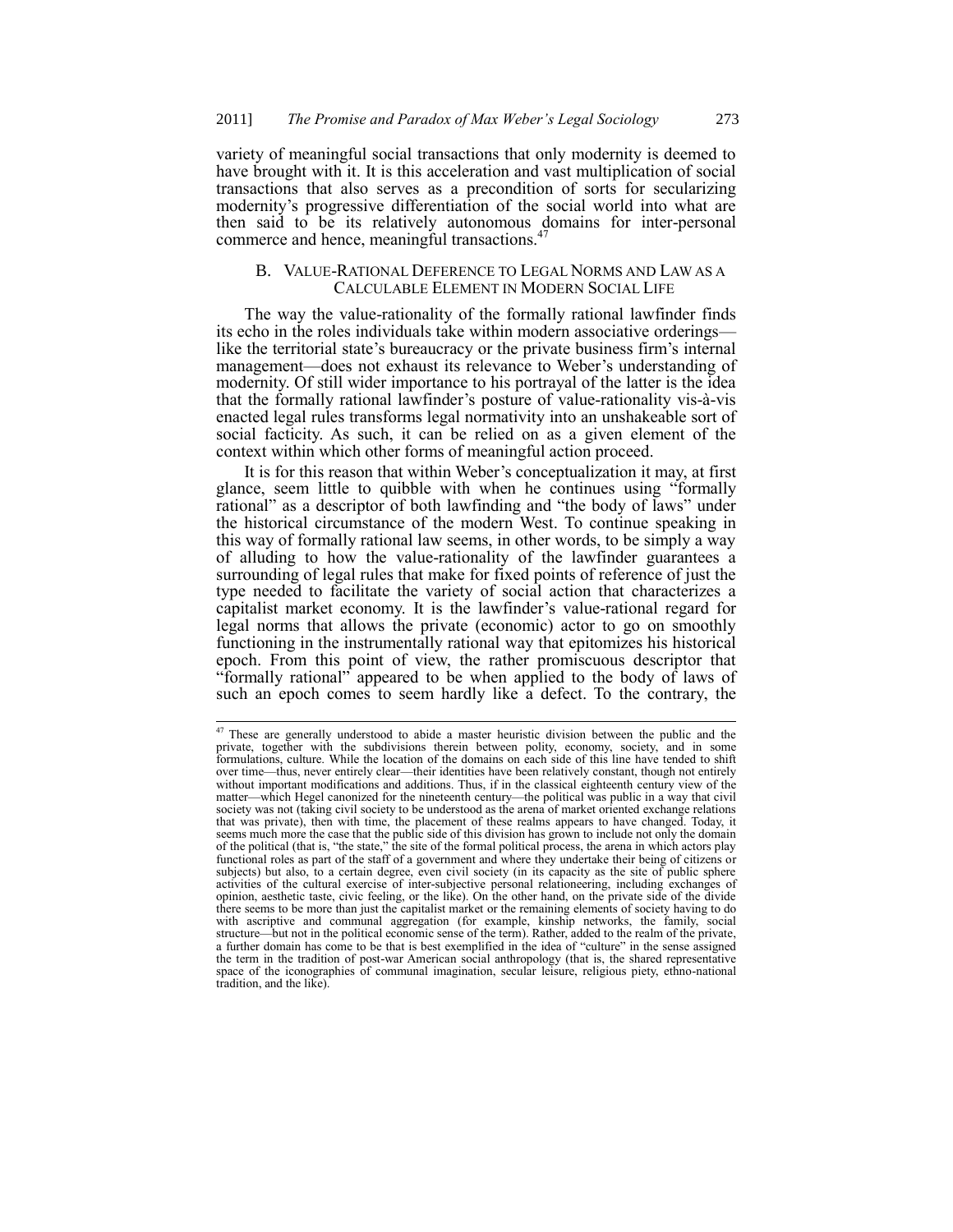variety of meaningful social transactions that only modernity is deemed to have brought with it. It is this acceleration and vast multiplication of social transactions that also serves as a precondition of sorts for secularizing modernity's progressive differentiation of the social world into what are then said to be its relatively autonomous domains for inter-personal commerce and hence, meaningful transactions.<sup>47</sup>

### B. VALUE-RATIONAL DEFERENCE TO LEGAL NORMS AND LAW AS A CALCULABLE ELEMENT IN MODERN SOCIAL LIFE

The way the value-rationality of the formally rational lawfinder finds its echo in the roles individuals take within modern associative orderings like the territorial state's bureaucracy or the private business firm's internal management—does not exhaust its relevance to Weber's understanding of modernity. Of still wider importance to his portrayal of the latter is the idea that the formally rational lawfinder's posture of value-rationality vis-à-vis enacted legal rules transforms legal normativity into an unshakeable sort of social facticity. As such, it can be relied on as a given element of the context within which other forms of meaningful action proceed.

It is for this reason that within Weber's conceptualization it may, at first glance, seem little to quibble with when he continues using "formally" rational" as a descriptor of both lawfinding and "the body of laws" under the historical circumstance of the modern West. To continue speaking in this way of formally rational law seems, in other words, to be simply a way of alluding to how the value-rationality of the lawfinder guarantees a surrounding of legal rules that make for fixed points of reference of just the type needed to facilitate the variety of social action that characterizes a capitalist market economy. It is the lawfinder's value-rational regard for legal norms that allows the private (economic) actor to go on smoothly functioning in the instrumentally rational way that epitomizes his historical epoch. From this point of view, the rather promiscuous descriptor that "formally rational" appeared to be when applied to the body of laws of such an epoch comes to seem hardly like a defect. To the contrary, the

 $47$  These are generally understood to abide a master heuristic division between the public and the private, together with the subdivisions therein between polity, economy, society, and in some formulations, culture. While the location of the domains on each side of this line have tended to shift over time—thus, never entirely clear—their identities have been relatively constant, though not entirely without important modifications and additions. Thus, if in the classical eighteenth century view of the matter—which Hegel canonized for the nineteenth century—the political was public in a way that civil society was not (taking civil society to be understood as the arena of market oriented exchange relations that was private), then with time, the placement of these realms appears to have changed. Today, it seems much more the case that the public side of this division has grown to include not only the domain of the political (that is, "the state," the site of the formal political process, the arena in which actors play functional roles as part of the staff of a government and where they undertake their being of citizens or subjects) but also, to a certain degree, even civil society (in its capacity as the site of public sphere activities of the cultural exercise of inter-subjective personal relationeering, including exchanges of opinion, aesthetic taste, civic feeling, or the like). On the other hand, on the private side of the divide there seems to be more than just the capitalist market or the remaining elements of society having to do with ascriptive and communal aggregation (for example, kinship networks, the family, social structure—but not in the political economic sense of the term). Rather, added to the realm of the private, a further domain has come to be that is best exemplified in the idea of "culture" in the sense assigned the term in the tradition of post-war American social anthropology (that is, the shared representative space of the iconographies of communal imagination, secular leisure, religious piety, ethno-national tradition, and the like).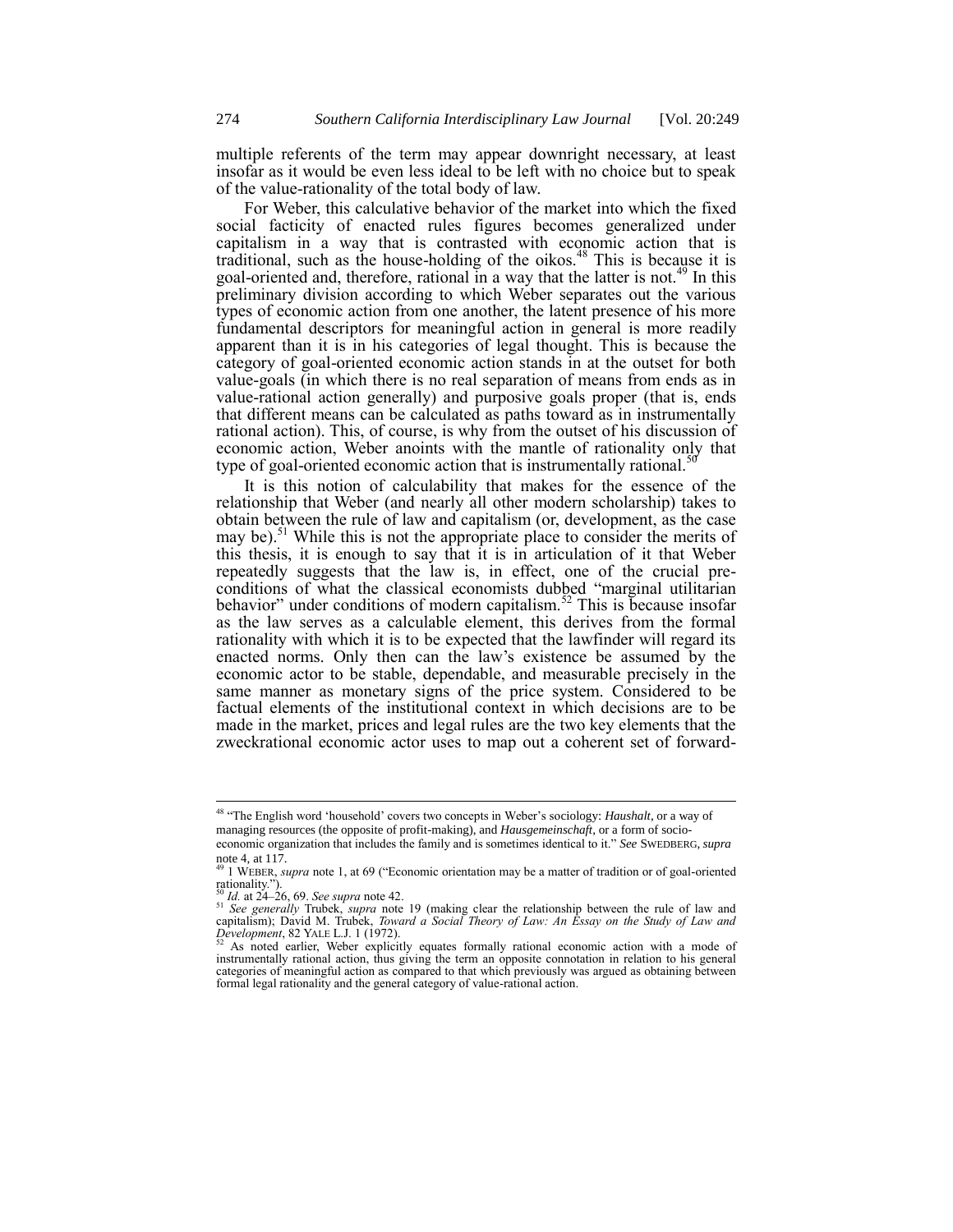multiple referents of the term may appear downright necessary, at least insofar as it would be even less ideal to be left with no choice but to speak of the value-rationality of the total body of law.

For Weber, this calculative behavior of the market into which the fixed social facticity of enacted rules figures becomes generalized under capitalism in a way that is contrasted with economic action that is traditional, such as the house-holding of the oikos.<sup>48</sup> This is because it is goal-oriented and, therefore, rational in a way that the latter is not.<sup>49</sup> In this preliminary division according to which Weber separates out the various types of economic action from one another, the latent presence of his more fundamental descriptors for meaningful action in general is more readily apparent than it is in his categories of legal thought. This is because the category of goal-oriented economic action stands in at the outset for both value-goals (in which there is no real separation of means from ends as in value-rational action generally) and purposive goals proper (that is, ends that different means can be calculated as paths toward as in instrumentally rational action). This, of course, is why from the outset of his discussion of economic action, Weber anoints with the mantle of rationality only that type of goal-oriented economic action that is instrumentally rational.<sup>50</sup>

It is this notion of calculability that makes for the essence of the relationship that Weber (and nearly all other modern scholarship) takes to obtain between the rule of law and capitalism (or, development, as the case may be).<sup>51</sup> While this is not the appropriate place to consider the merits of this thesis, it is enough to say that it is in articulation of it that Weber repeatedly suggests that the law is, in effect, one of the crucial preconditions of what the classical economists dubbed "marginal utilitarian behavior" under conditions of modern capitalism.<sup>52</sup> This is because insofar as the law serves as a calculable element, this derives from the formal rationality with which it is to be expected that the lawfinder will regard its enacted norms. Only then can the law's existence be assumed by the economic actor to be stable, dependable, and measurable precisely in the same manner as monetary signs of the price system. Considered to be factual elements of the institutional context in which decisions are to be made in the market, prices and legal rules are the two key elements that the zweckrational economic actor uses to map out a coherent set of forward-

<sup>48</sup> "The English word "household" covers two concepts in Weber"s sociology: *Haushalt*, or a way of managing resources (the opposite of profit-making), and *Hausgemeinschaft*, or a form of socio-

economic organization that includes the family and is sometimes identical to it." *See* SWEDBERG, *supra* note [4](#page-1-1), at 117.

<sup>&</sup>lt;sup>49</sup> 1 WEBER, *supra* note [1,](#page-1-0) at 69 ("Economic orientation may be a matter of tradition or of goal-oriented rationality.‖). <sup>50</sup> *Id.* at 24–26, 69. *See supra* note [42.](#page-22-0)

<sup>51</sup> *See generally* Trubek, *supra* note [19](#page-7-0) (making clear the relationship between the rule of law and capitalism); David M. Trubek, *Toward a Social Theory of Law: An Essay on the Study of Law and Development*, 82 YALE L.J. 1 (1972).

As noted earlier, Weber explicitly equates formally rational economic action with a mode of instrumentally rational action, thus giving the term an opposite connotation in relation to his general categories of meaningful action as compared to that which previously was argued as obtaining between formal legal rationality and the general category of value-rational action.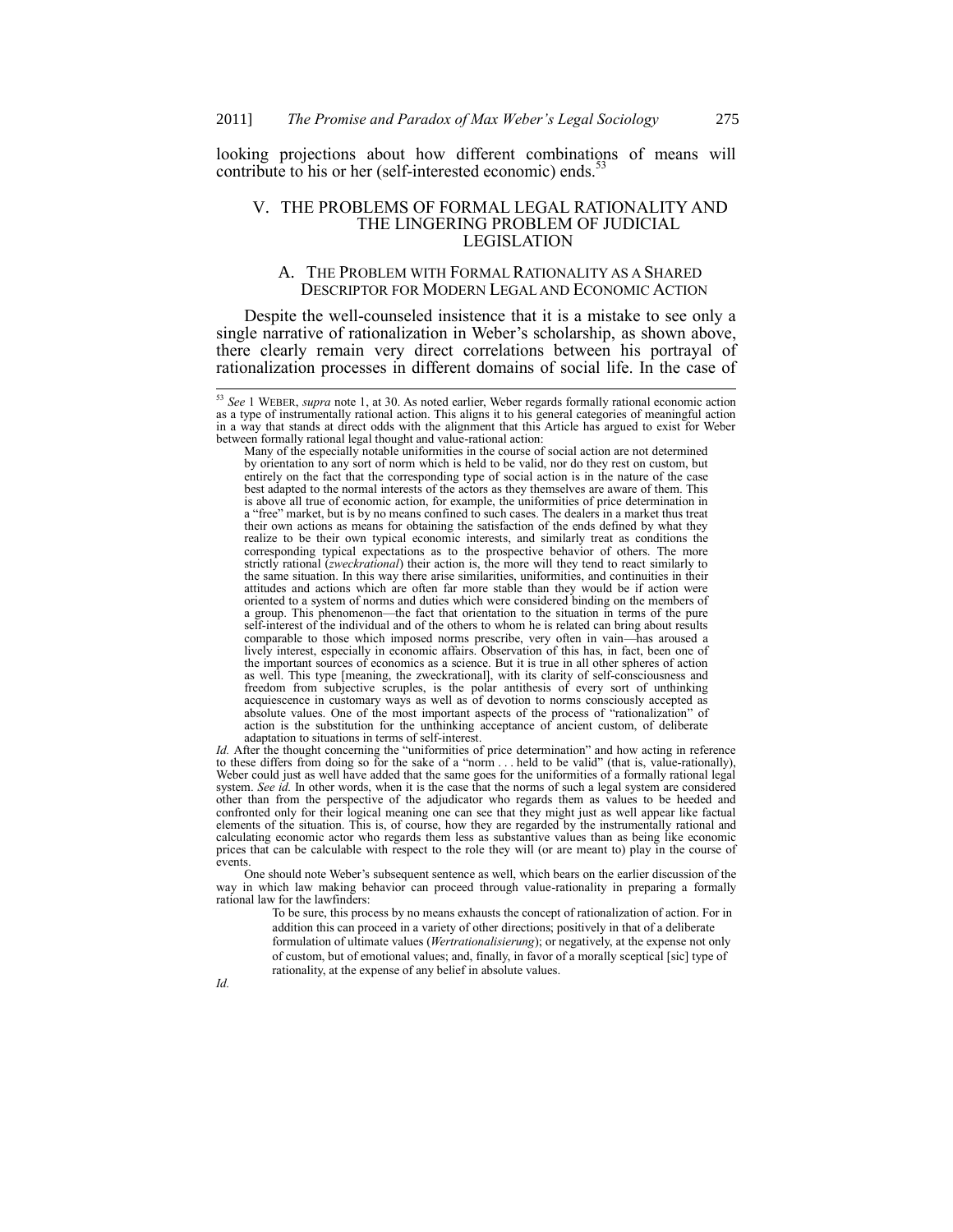looking projections about how different combinations of means will contribute to his or her (self-interested economic) ends.<sup>5</sup>

### V. THE PROBLEMS OF FORMAL LEGAL RATIONALITY AND THE LINGERING PROBLEM OF JUDICIAL LEGISLATION

### A. THE PROBLEM WITH FORMAL RATIONALITY AS A SHARED DESCRIPTOR FOR MODERN LEGAL AND ECONOMIC ACTION

Despite the well-counseled insistence that it is a mistake to see only a single narrative of rationalization in Weber's scholarship, as shown above, there clearly remain very direct correlations between his portrayal of rationalization processes in different domains of social life. In the case of

*Id.* After the thought concerning the "uniformities of price determination" and how acting in reference to these differs from doing so for the sake of a "norm . . . held to be valid" (that is, value-rationally), Weber could just as well have added that the same goes for the uniformities of a formally rational legal system. *See id.* In other words, when it is the case that the norms of such a legal system are considered other than from the perspective of the adjudicator who regards them as values to be heeded and confronted only for their logical meaning one can see that they might just as well appear like factual elements of the situation. This is, of course, how they are regarded by the instrumentally rational and calculating economic actor who regards them less as substantive values than as being like economic prices that can be calculable with respect to the role they will (or are meant to) play in the course of events

One should note Weber's subsequent sentence as well, which bears on the earlier discussion of the way in which law making behavior can proceed through value-rationality in preparing a formally rational law for the lawfinders:

To be sure, this process by no means exhausts the concept of rationalization of action. For in addition this can proceed in a variety of other directions; positively in that of a deliberate formulation of ultimate values (*Wertrationalisierung*); or negatively, at the expense not only of custom, but of emotional values; and, finally, in favor of a morally sceptical [sic] type of rationality, at the expense of any belief in absolute values.

*Id.* 

 $\overline{a}$ 

<sup>53</sup> *See* 1 WEBER, *supra* note [1,](#page-1-0) at 30. As noted earlier, Weber regards formally rational economic action as a type of instrumentally rational action. This aligns it to his general categories of meaningful action in a way that stands at direct odds with the alignment that this Article has argued to exist for Weber between formally rational legal thought and value-rational action:

Many of the especially notable uniformities in the course of social action are not determined by orientation to any sort of norm which is held to be valid, nor do they rest on custom, but entirely on the fact that the corresponding type of social action is in the nature of the case best adapted to the normal interests of the actors as they themselves are aware of them. This is above all true of economic action, for example, the uniformities of price determination in a "free" market, but is by no means confined to such cases. The dealers in a market thus treat their own actions as means for obtaining the satisfaction of the ends defined by what they realize to be their own typical economic interests, and similarly treat as conditions the corresponding typical expectations as to the prospective behavior of others. The more strictly rational (*zweckrational*) their action is, the more will they tend to react similarly to the same situation. In this way there arise similarities, uniformities, and continuities in their attitudes and actions which are often far more stable than they would be if action were oriented to a system of norms and duties which were considered binding on the members of a group. This phenomenon—the fact that orientation to the situation in terms of the pure self-interest of the individual and of the others to whom he is related can bring about results comparable to those which imposed norms prescribe, very often in vain—has aroused a lively interest, especially in economic affairs. Observation of this has, in fact, been one of the important sources of economics as a science. But it is true in all other spheres of action as well. This type [meaning, the zweckrational], with its clarity of self-consciousness and freedom from subjective scruples, is the polar antithesis of every sort of unthinking acquiescence in customary ways as well as of devotion to norms consciously accepted as absolute values. One of the most important aspects of the process of "rationalization" of action is the substitution for the unthinking acceptance of ancient custom, of deliberate adaptation to situations in terms of self-interest.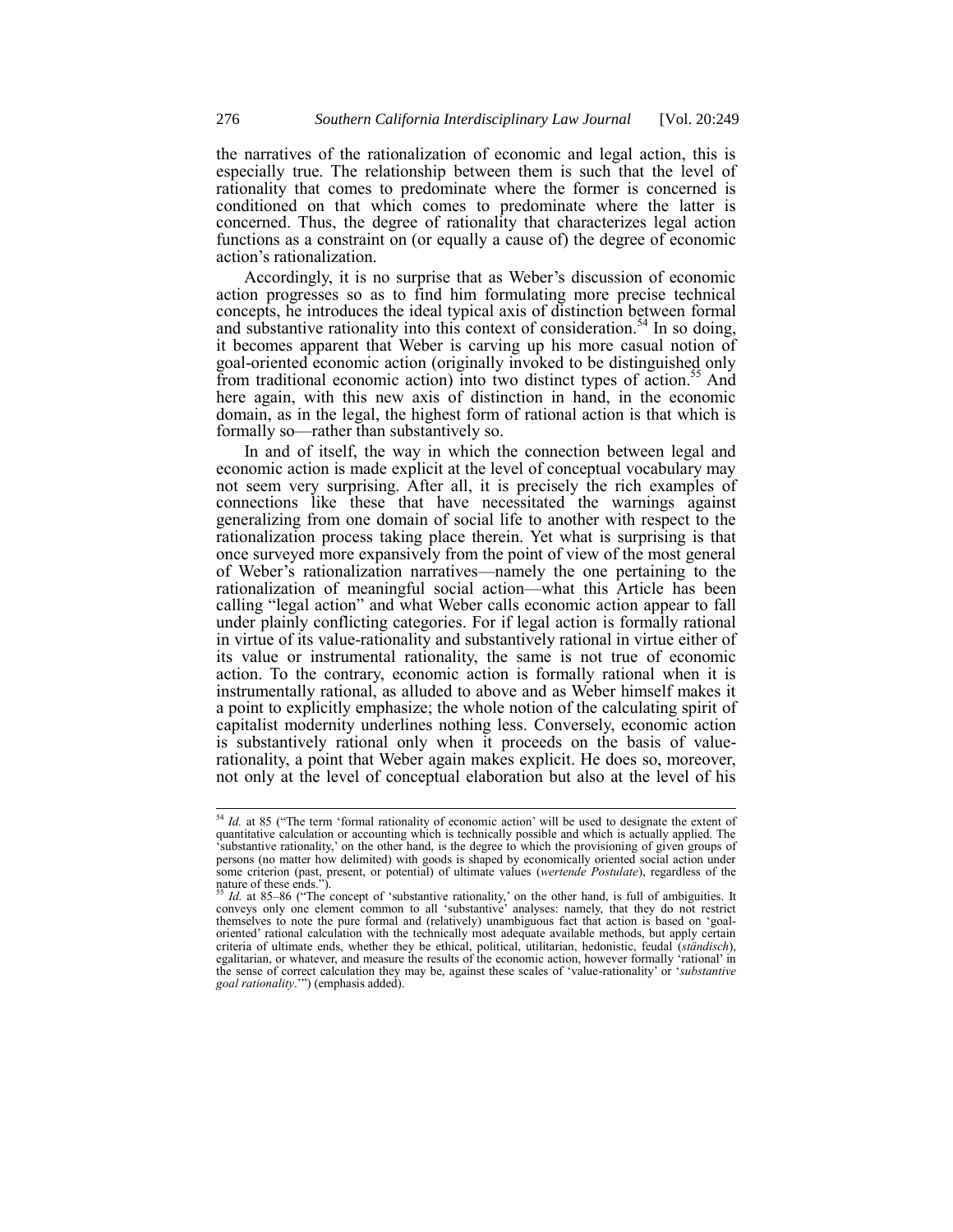the narratives of the rationalization of economic and legal action, this is especially true. The relationship between them is such that the level of rationality that comes to predominate where the former is concerned is conditioned on that which comes to predominate where the latter is concerned. Thus, the degree of rationality that characterizes legal action functions as a constraint on (or equally a cause of) the degree of economic action's rationalization.

Accordingly, it is no surprise that as Weber's discussion of economic action progresses so as to find him formulating more precise technical concepts, he introduces the ideal typical axis of distinction between formal and substantive rationality into this context of consideration.<sup>54</sup> In so doing, it becomes apparent that Weber is carving up his more casual notion of goal-oriented economic action (originally invoked to be distinguished only from traditional economic action) into two distinct types of action. <sup>55</sup> And here again, with this new axis of distinction in hand, in the economic domain, as in the legal, the highest form of rational action is that which is formally so—rather than substantively so.

In and of itself, the way in which the connection between legal and economic action is made explicit at the level of conceptual vocabulary may not seem very surprising. After all, it is precisely the rich examples of connections like these that have necessitated the warnings against generalizing from one domain of social life to another with respect to the rationalization process taking place therein. Yet what is surprising is that once surveyed more expansively from the point of view of the most general of Weber's rationalization narratives—namely the one pertaining to the rationalization of meaningful social action—what this Article has been calling "legal action" and what Weber calls economic action appear to fall under plainly conflicting categories. For if legal action is formally rational in virtue of its value-rationality and substantively rational in virtue either of its value or instrumental rationality, the same is not true of economic action. To the contrary, economic action is formally rational when it is instrumentally rational, as alluded to above and as Weber himself makes it a point to explicitly emphasize; the whole notion of the calculating spirit of capitalist modernity underlines nothing less. Conversely, economic action is substantively rational only when it proceeds on the basis of valuerationality, a point that Weber again makes explicit. He does so, moreover, not only at the level of conceptual elaboration but also at the level of his

<sup>&</sup>lt;sup>54</sup> *Id.* at 85 ("The term 'formal rationality of economic action' will be used to designate the extent of quantitative calculation or accounting which is technically possible and which is actually applied. The 'substantive rationality,' on the other hand, is the degree to which the provisioning of given groups of persons (no matter how delimited) with goods is shaped by economically oriented social action under some criterion (past, present, or potential) of ultimate values (*wertende Postulate*), regardless of the nature of these ends.").

<sup>&</sup>lt;sup>55</sup> *Id.* at 85–86 ("The concept of 'substantive rationality,' on the other hand, is full of ambiguities. It conveys only one element common to all 'substantive' analyses: namely, that they do not restrict themselves to note the pure formal and (relatively) unambiguous fact that action is based on 'goaloriented' rational calculation with the technically most adequate available methods, but apply certain criteria of ultimate ends, whether they be ethical, political, utilitarian, hedonistic, feudal *(ständisch)*, egalitarian, or whatever, and measure the results of the economic action, however formally 'rational' in the sense of correct calculation they may be, against these scales of 'value-rationality' or 'substantive' *goal rationality*.'‖) (emphasis added).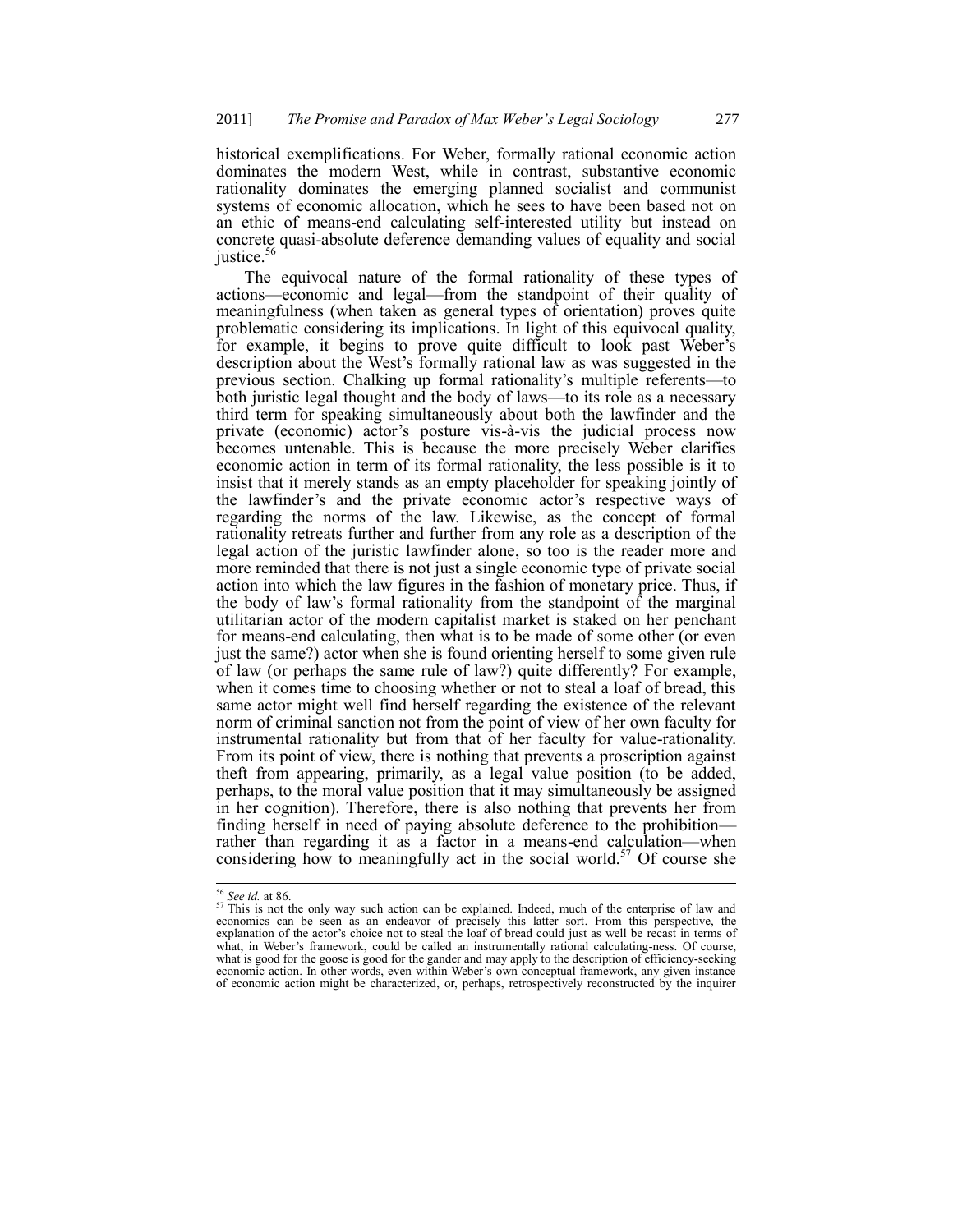historical exemplifications. For Weber, formally rational economic action dominates the modern West, while in contrast, substantive economic rationality dominates the emerging planned socialist and communist systems of economic allocation, which he sees to have been based not on an ethic of means-end calculating self-interested utility but instead on concrete quasi-absolute deference demanding values of equality and social justice.<sup>5</sup>

The equivocal nature of the formal rationality of these types of actions—economic and legal—from the standpoint of their quality of meaningfulness (when taken as general types of orientation) proves quite problematic considering its implications. In light of this equivocal quality, for example, it begins to prove quite difficult to look past Weber's description about the West's formally rational law as was suggested in the previous section. Chalking up formal rationality's multiple referents—to both juristic legal thought and the body of laws—to its role as a necessary third term for speaking simultaneously about both the lawfinder and the private (economic) actor's posture vis-à-vis the judicial process now becomes untenable. This is because the more precisely Weber clarifies economic action in term of its formal rationality, the less possible is it to insist that it merely stands as an empty placeholder for speaking jointly of the lawfinder's and the private economic actor's respective ways of regarding the norms of the law. Likewise, as the concept of formal rationality retreats further and further from any role as a description of the legal action of the juristic lawfinder alone, so too is the reader more and more reminded that there is not just a single economic type of private social action into which the law figures in the fashion of monetary price. Thus, if the body of law's formal rationality from the standpoint of the marginal utilitarian actor of the modern capitalist market is staked on her penchant for means-end calculating, then what is to be made of some other (or even just the same?) actor when she is found orienting herself to some given rule of law (or perhaps the same rule of law?) quite differently? For example, when it comes time to choosing whether or not to steal a loaf of bread, this same actor might well find herself regarding the existence of the relevant norm of criminal sanction not from the point of view of her own faculty for instrumental rationality but from that of her faculty for value-rationality. From its point of view, there is nothing that prevents a proscription against theft from appearing, primarily, as a legal value position (to be added, perhaps, to the moral value position that it may simultaneously be assigned in her cognition). Therefore, there is also nothing that prevents her from finding herself in need of paying absolute deference to the prohibition rather than regarding it as a factor in a means-end calculation—when considering how to meaningfully act in the social world.<sup>57</sup> Of course she

<sup>56</sup> *See id.* at 86.

 $57$  This is not the only way such action can be explained. Indeed, much of the enterprise of law and economics can be seen as an endeavor of precisely this latter sort. From this perspective, the explanation of the actor's choice not to steal the loaf of bread could just as well be recast in terms of what, in Weber's framework, could be called an instrumentally rational calculating-ness. Of course, what is good for the goose is good for the gander and may apply to the description of efficiency-seeking economic action. In other words, even within Weber's own conceptual framework, any given instance of economic action might be characterized, or, perhaps, retrospectively reconstructed by the inquirer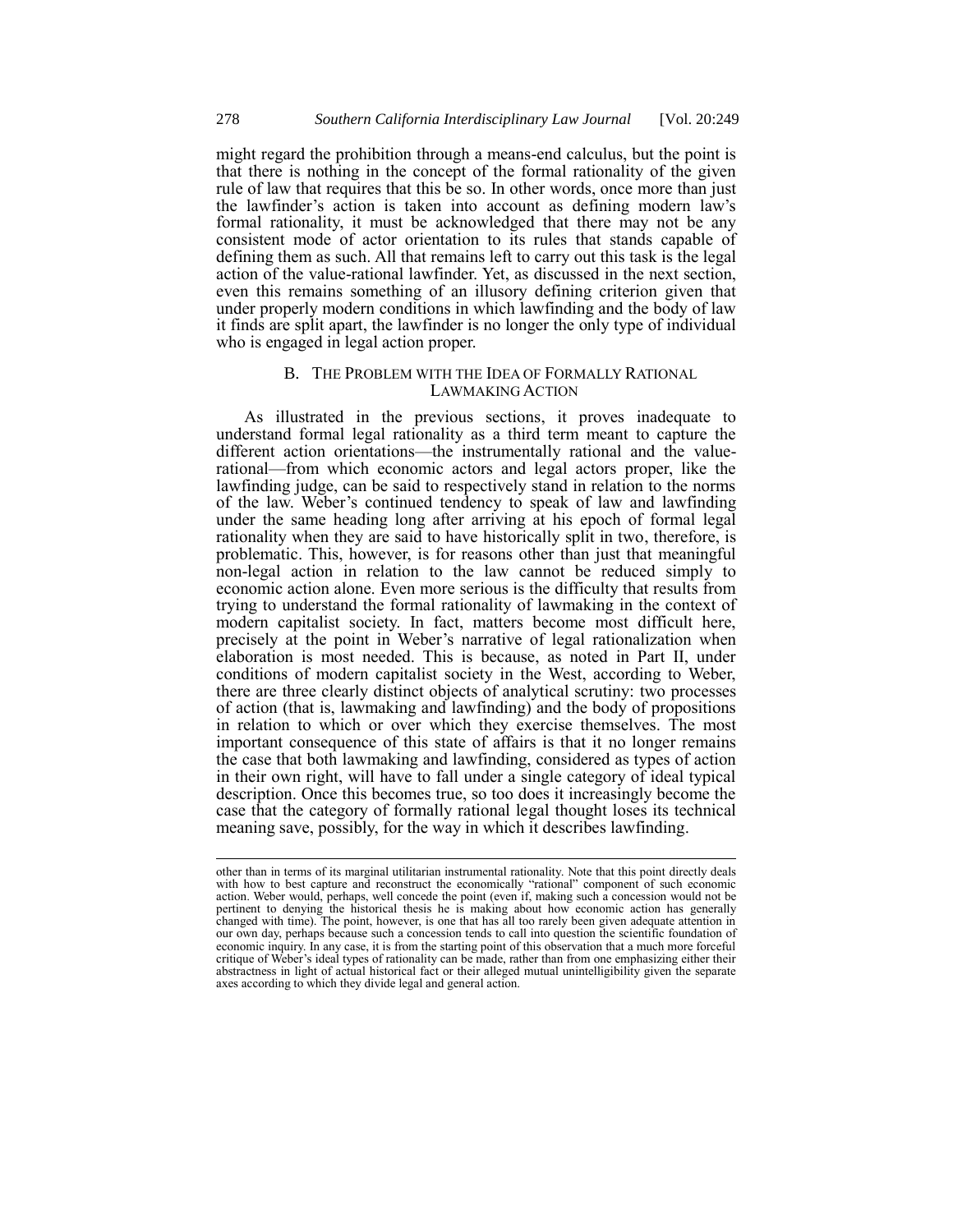might regard the prohibition through a means-end calculus, but the point is that there is nothing in the concept of the formal rationality of the given rule of law that requires that this be so. In other words, once more than just the lawfinder's action is taken into account as defining modern law's formal rationality, it must be acknowledged that there may not be any consistent mode of actor orientation to its rules that stands capable of defining them as such. All that remains left to carry out this task is the legal action of the value-rational lawfinder. Yet, as discussed in the next section, even this remains something of an illusory defining criterion given that under properly modern conditions in which lawfinding and the body of law it finds are split apart, the lawfinder is no longer the only type of individual who is engaged in legal action proper.

### B. THE PROBLEM WITH THE IDEA OF FORMALLY RATIONAL LAWMAKING ACTION

As illustrated in the previous sections, it proves inadequate to understand formal legal rationality as a third term meant to capture the different action orientations—the instrumentally rational and the valuerational—from which economic actors and legal actors proper, like the lawfinding judge, can be said to respectively stand in relation to the norms of the law. Weber's continued tendency to speak of law and lawfinding under the same heading long after arriving at his epoch of formal legal rationality when they are said to have historically split in two, therefore, is problematic. This, however, is for reasons other than just that meaningful non-legal action in relation to the law cannot be reduced simply to economic action alone. Even more serious is the difficulty that results from trying to understand the formal rationality of lawmaking in the context of modern capitalist society. In fact, matters become most difficult here, precisely at the point in Weber's narrative of legal rationalization when elaboration is most needed. This is because, as noted in Part II, under conditions of modern capitalist society in the West, according to Weber, there are three clearly distinct objects of analytical scrutiny: two processes of action (that is, lawmaking and lawfinding) and the body of propositions in relation to which or over which they exercise themselves. The most important consequence of this state of affairs is that it no longer remains the case that both lawmaking and lawfinding, considered as types of action in their own right, will have to fall under a single category of ideal typical description. Once this becomes true, so too does it increasingly become the case that the category of formally rational legal thought loses its technical meaning save, possibly, for the way in which it describes lawfinding.

other than in terms of its marginal utilitarian instrumental rationality. Note that this point directly deals with how to best capture and reconstruct the economically "rational" component of such economic action. Weber would, perhaps, well concede the point (even if, making such a concession would not be pertinent to denying the historical thesis he is making about how economic action has generally changed with time). The point, however, is one that has all too rarely been given adequate attention in our own day, perhaps because such a concession tends to call into question the scientific foundation of economic inquiry. In any case, it is from the starting point of this observation that a much more forceful critique of Weber's ideal types of rationality can be made, rather than from one emphasizing either their abstractness in light of actual historical fact or their alleged mutual unintelligibility given the separate axes according to which they divide legal and general action.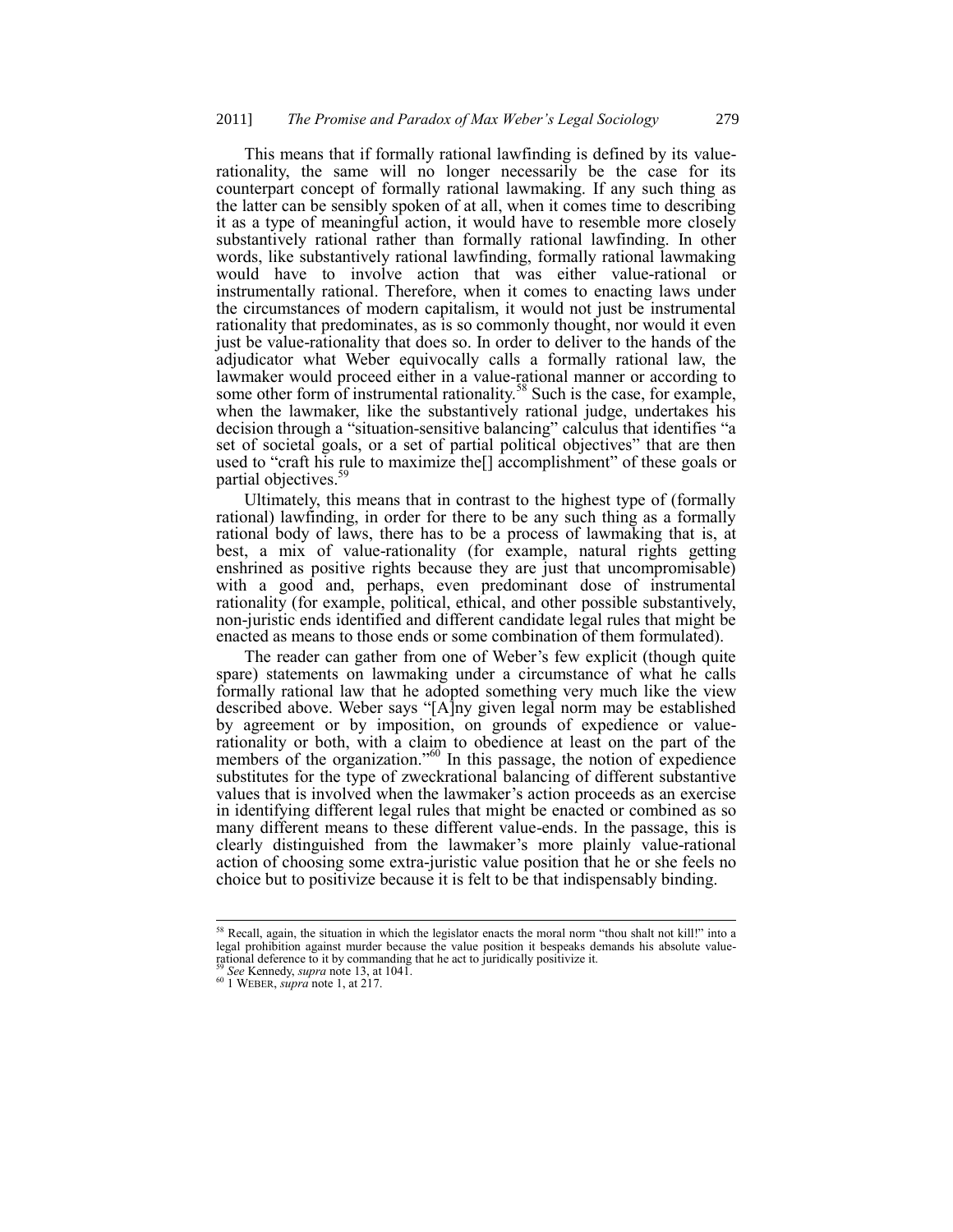This means that if formally rational lawfinding is defined by its valuerationality, the same will no longer necessarily be the case for its counterpart concept of formally rational lawmaking. If any such thing as the latter can be sensibly spoken of at all, when it comes time to describing it as a type of meaningful action, it would have to resemble more closely substantively rational rather than formally rational lawfinding. In other words, like substantively rational lawfinding, formally rational lawmaking would have to involve action that was either value-rational or instrumentally rational. Therefore, when it comes to enacting laws under the circumstances of modern capitalism, it would not just be instrumental rationality that predominates, as is so commonly thought, nor would it even just be value-rationality that does so. In order to deliver to the hands of the adjudicator what Weber equivocally calls a formally rational law, the lawmaker would proceed either in a value-rational manner or according to some other form of instrumental rationality.<sup>58</sup> Such is the case, for example, when the lawmaker, like the substantively rational judge, undertakes his decision through a "situation-sensitive balancing" calculus that identifies "a set of societal goals, or a set of partial political objectives" that are then used to "craft his rule to maximize the  $\lceil$  accomplishment" of these goals or partial objectives.<sup>39</sup>

Ultimately, this means that in contrast to the highest type of (formally rational) lawfinding, in order for there to be any such thing as a formally rational body of laws, there has to be a process of lawmaking that is, at best, a mix of value-rationality (for example, natural rights getting enshrined as positive rights because they are just that uncompromisable) with a good and, perhaps, even predominant dose of instrumental rationality (for example, political, ethical, and other possible substantively, non-juristic ends identified and different candidate legal rules that might be enacted as means to those ends or some combination of them formulated).

The reader can gather from one of Weber's few explicit (though quite spare) statements on lawmaking under a circumstance of what he calls formally rational law that he adopted something very much like the view described above. Weber says " $[A]$ ny given legal norm may be established by agreement or by imposition, on grounds of expedience or valuerationality or both, with a claim to obedience at least on the part of the members of the organization."<sup>60</sup> In this passage, the notion of expedience substitutes for the type of zweckrational balancing of different substantive values that is involved when the lawmaker's action proceeds as an exercise in identifying different legal rules that might be enacted or combined as so many different means to these different value-ends. In the passage, this is clearly distinguished from the lawmaker's more plainly value-rational action of choosing some extra-juristic value position that he or she feels no choice but to positivize because it is felt to be that indispensably binding.

<sup>&</sup>lt;sup>58</sup> Recall, again, the situation in which the legislator enacts the moral norm "thou shalt not kill!" into a legal prohibition against murder because the value position it bespeaks demands his absolute valuerational deference to it by commanding that he act to juridically positivize it.

<sup>59</sup> *See* Kennedy, *supra* not[e 13,](#page-3-0) at 1041.

<sup>60</sup> 1 WEBER, *supra* not[e 1,](#page-1-0) at 217.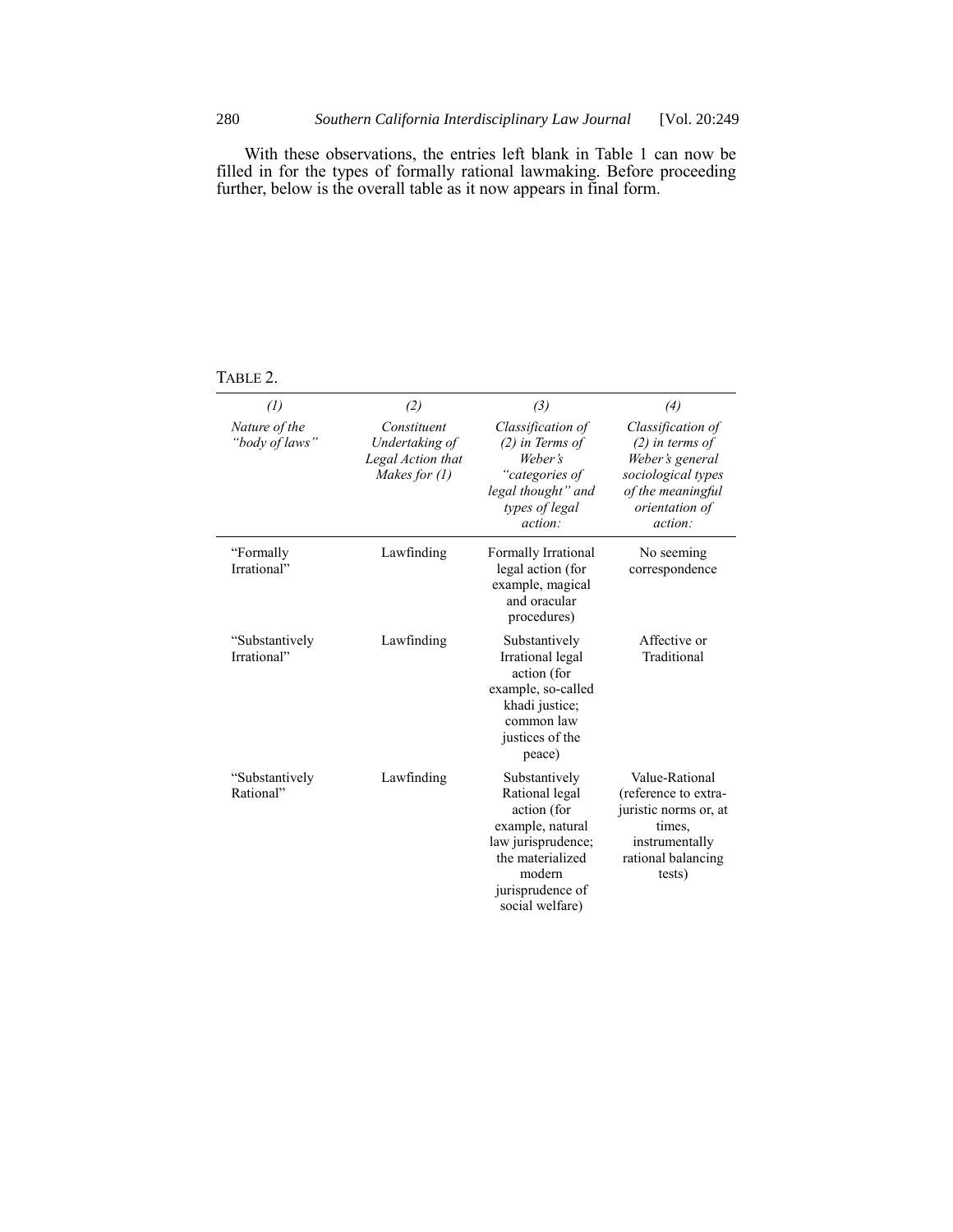With these observations, the entries left blank in Table 1 can now be filled in for the types of formally rational lawmaking. Before proceeding further, below is the overall table as it now appears in final form.

TABLE 2.

| (1)<br>Nature of the<br>"body of laws" | (2)<br>Constituent<br>Undertaking of<br>Legal Action that<br>Makes for $(1)$ | (3)<br>Classification of<br>$(2)$ in Terms of<br>Weber's<br>"categories of<br>legal thought" and<br>types of legal<br>action:                                 | (4)<br>Classification of<br>$(2)$ in terms of<br>Weber's general<br>sociological types<br>of the meaningful<br>orientation of<br>action: |
|----------------------------------------|------------------------------------------------------------------------------|---------------------------------------------------------------------------------------------------------------------------------------------------------------|------------------------------------------------------------------------------------------------------------------------------------------|
| "Formally<br>Irrational"               | Lawfinding                                                                   | Formally Irrational<br>legal action (for<br>example, magical<br>and oracular<br>procedures)                                                                   | No seeming<br>correspondence                                                                                                             |
| "Substantively<br>Irrational"          | Lawfinding                                                                   | Substantively<br>Irrational legal<br>action (for<br>example, so-called<br>khadi justice;<br>common law<br>justices of the<br>peace)                           | Affective or<br>Traditional                                                                                                              |
| "Substantively<br>Rational"            | Lawfinding                                                                   | Substantively<br>Rational legal<br>action (for<br>example, natural<br>law jurisprudence;<br>the materialized<br>modern<br>jurisprudence of<br>social welfare) | Value-Rational<br>(reference to extra-<br>juristic norms or, at<br>times.<br>instrumentally<br>rational balancing<br>tests)              |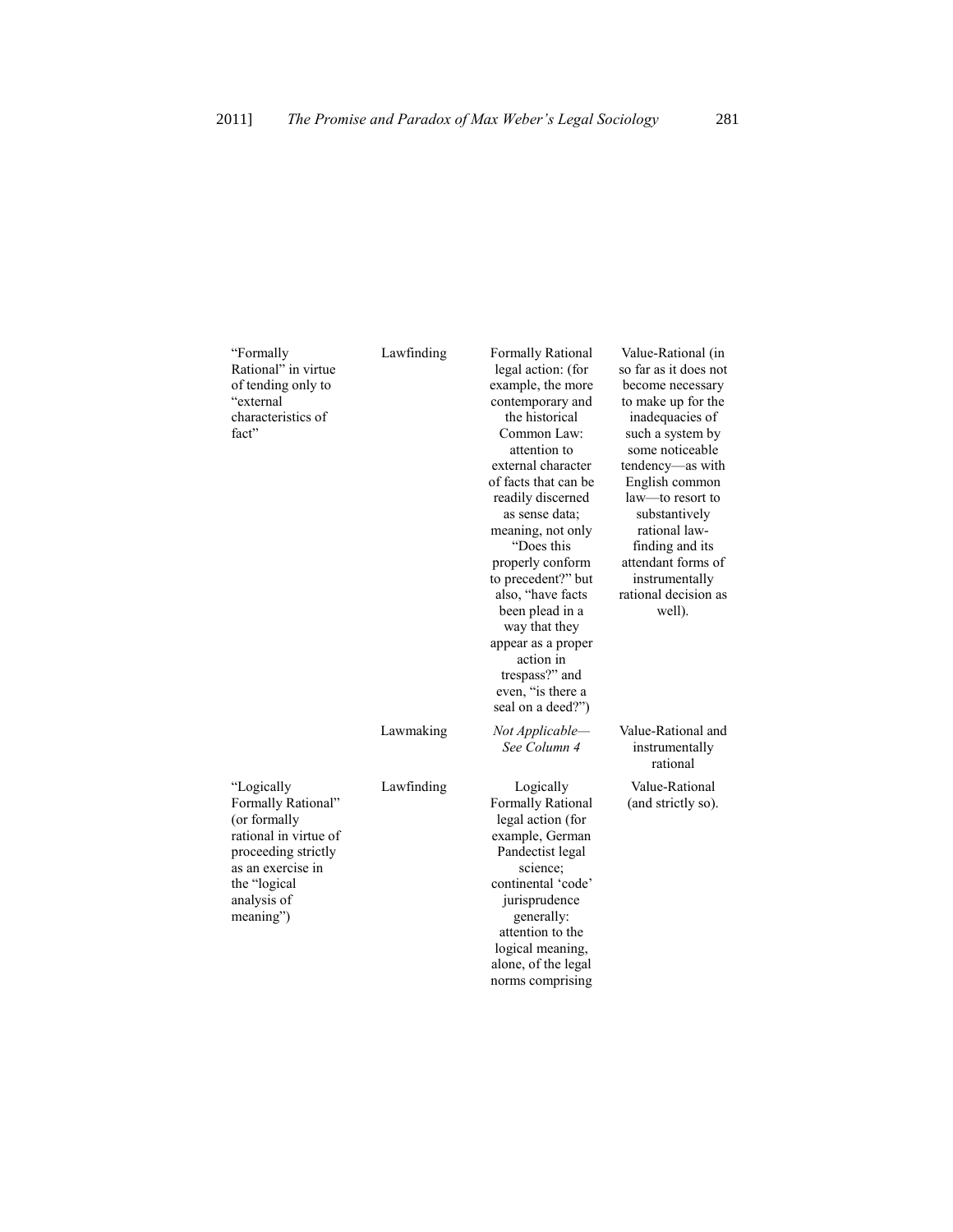| "Formally<br>Rational" in virtue<br>of tending only to<br>"external<br>characteristics of<br>fact"                                                                | Lawfinding | <b>Formally Rational</b><br>legal action: (for<br>example, the more<br>contemporary and<br>the historical<br>Common Law:<br>attention to<br>external character<br>of facts that can be<br>readily discerned<br>as sense data;<br>meaning, not only<br>"Does this<br>properly conform<br>to precedent?" but<br>also, "have facts<br>been plead in a<br>way that they<br>appear as a proper<br>action in<br>trespass?" and<br>even, "is there a<br>seal on a deed?") | Value-Rational (in<br>so far as it does not<br>become necessary<br>to make up for the<br>inadequacies of<br>such a system by<br>some noticeable<br>tendency—as with<br>English common<br>law-to resort to<br>substantively<br>rational law-<br>finding and its<br>attendant forms of<br>instrumentally<br>rational decision as<br>well). |
|-------------------------------------------------------------------------------------------------------------------------------------------------------------------|------------|--------------------------------------------------------------------------------------------------------------------------------------------------------------------------------------------------------------------------------------------------------------------------------------------------------------------------------------------------------------------------------------------------------------------------------------------------------------------|------------------------------------------------------------------------------------------------------------------------------------------------------------------------------------------------------------------------------------------------------------------------------------------------------------------------------------------|
|                                                                                                                                                                   | Lawmaking  | Not Applicable-<br>See Column 4                                                                                                                                                                                                                                                                                                                                                                                                                                    | Value-Rational and<br>instrumentally<br>rational                                                                                                                                                                                                                                                                                         |
| "Logically<br>Formally Rational"<br>(or formally<br>rational in virtue of<br>proceeding strictly<br>as an exercise in<br>the "logical<br>analysis of<br>meaning") | Lawfinding | Logically<br>Formally Rational<br>legal action (for<br>example, German<br>Pandectist legal<br>science:<br>continental 'code'<br>jurisprudence<br>generally:<br>attention to the<br>logical meaning,<br>alone, of the legal<br>norms comprising                                                                                                                                                                                                                     | Value-Rational<br>(and strictly so).                                                                                                                                                                                                                                                                                                     |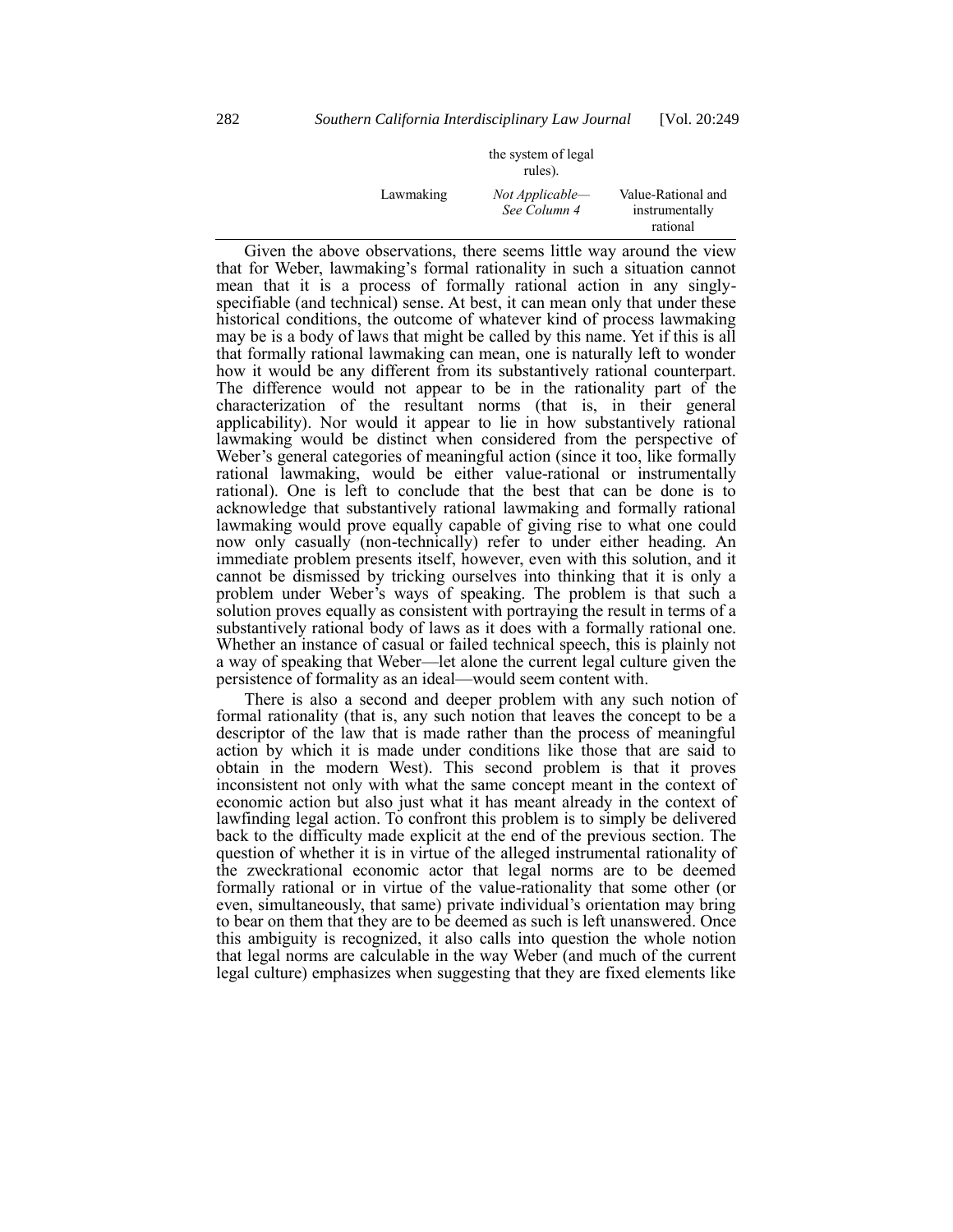|           | the system of legal<br>rules). |                                                  |
|-----------|--------------------------------|--------------------------------------------------|
| Lawmaking | $Not\, Apple-$<br>See Column 4 | Value-Rational and<br>instrumentally<br>rational |

Given the above observations, there seems little way around the view that for Weber, lawmaking's formal rationality in such a situation cannot mean that it is a process of formally rational action in any singlyspecifiable (and technical) sense. At best, it can mean only that under these historical conditions, the outcome of whatever kind of process lawmaking may be is a body of laws that might be called by this name. Yet if this is all that formally rational lawmaking can mean, one is naturally left to wonder how it would be any different from its substantively rational counterpart. The difference would not appear to be in the rationality part of the characterization of the resultant norms (that is, in their general applicability). Nor would it appear to lie in how substantively rational lawmaking would be distinct when considered from the perspective of Weber's general categories of meaningful action (since it too, like formally rational lawmaking, would be either value-rational or instrumentally rational). One is left to conclude that the best that can be done is to acknowledge that substantively rational lawmaking and formally rational lawmaking would prove equally capable of giving rise to what one could now only casually (non-technically) refer to under either heading. An immediate problem presents itself, however, even with this solution, and it cannot be dismissed by tricking ourselves into thinking that it is only a problem under Weber's ways of speaking. The problem is that such a solution proves equally as consistent with portraying the result in terms of a substantively rational body of laws as it does with a formally rational one. Whether an instance of casual or failed technical speech, this is plainly not a way of speaking that Weber—let alone the current legal culture given the persistence of formality as an ideal—would seem content with.

There is also a second and deeper problem with any such notion of formal rationality (that is, any such notion that leaves the concept to be a descriptor of the law that is made rather than the process of meaningful action by which it is made under conditions like those that are said to obtain in the modern West). This second problem is that it proves inconsistent not only with what the same concept meant in the context of economic action but also just what it has meant already in the context of lawfinding legal action. To confront this problem is to simply be delivered back to the difficulty made explicit at the end of the previous section. The question of whether it is in virtue of the alleged instrumental rationality of the zweckrational economic actor that legal norms are to be deemed formally rational or in virtue of the value-rationality that some other (or even, simultaneously, that same) private individual's orientation may bring to bear on them that they are to be deemed as such is left unanswered. Once this ambiguity is recognized, it also calls into question the whole notion that legal norms are calculable in the way Weber (and much of the current legal culture) emphasizes when suggesting that they are fixed elements like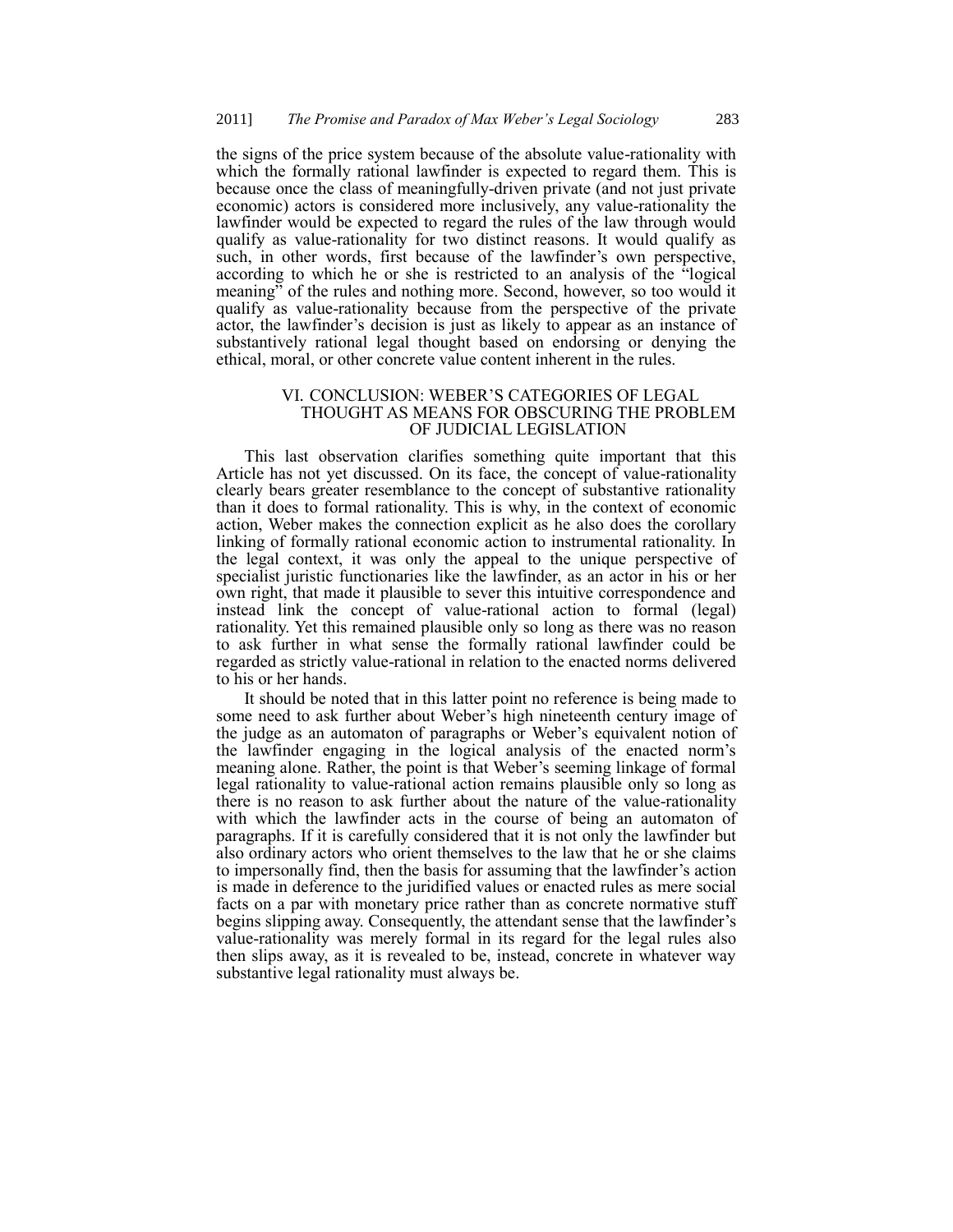the signs of the price system because of the absolute value-rationality with which the formally rational lawfinder is expected to regard them. This is because once the class of meaningfully-driven private (and not just private economic) actors is considered more inclusively, any value-rationality the lawfinder would be expected to regard the rules of the law through would qualify as value-rationality for two distinct reasons. It would qualify as such, in other words, first because of the lawfinder's own perspective, according to which he or she is restricted to an analysis of the "logical meaning" of the rules and nothing more. Second, however, so too would it qualify as value-rationality because from the perspective of the private actor, the lawfinder's decision is just as likely to appear as an instance of substantively rational legal thought based on endorsing or denying the ethical, moral, or other concrete value content inherent in the rules.

### VI. CONCLUSION: WEBER'S CATEGORIES OF LEGAL THOUGHT AS MEANS FOR OBSCURING THE PROBLEM OF JUDICIAL LEGISLATION

This last observation clarifies something quite important that this Article has not yet discussed. On its face, the concept of value-rationality clearly bears greater resemblance to the concept of substantive rationality than it does to formal rationality. This is why, in the context of economic action, Weber makes the connection explicit as he also does the corollary linking of formally rational economic action to instrumental rationality. In the legal context, it was only the appeal to the unique perspective of specialist juristic functionaries like the lawfinder, as an actor in his or her own right, that made it plausible to sever this intuitive correspondence and instead link the concept of value-rational action to formal (legal) rationality. Yet this remained plausible only so long as there was no reason to ask further in what sense the formally rational lawfinder could be regarded as strictly value-rational in relation to the enacted norms delivered to his or her hands.

It should be noted that in this latter point no reference is being made to some need to ask further about Weber's high nineteenth century image of the judge as an automaton of paragraphs or Weber's equivalent notion of the lawfinder engaging in the logical analysis of the enacted norm's meaning alone. Rather, the point is that Weber's seeming linkage of formal legal rationality to value-rational action remains plausible only so long as there is no reason to ask further about the nature of the value-rationality with which the lawfinder acts in the course of being an automaton of paragraphs. If it is carefully considered that it is not only the lawfinder but also ordinary actors who orient themselves to the law that he or she claims to impersonally find, then the basis for assuming that the lawfinder's action is made in deference to the juridified values or enacted rules as mere social facts on a par with monetary price rather than as concrete normative stuff begins slipping away. Consequently, the attendant sense that the lawfinder's value-rationality was merely formal in its regard for the legal rules also then slips away, as it is revealed to be, instead, concrete in whatever way substantive legal rationality must always be.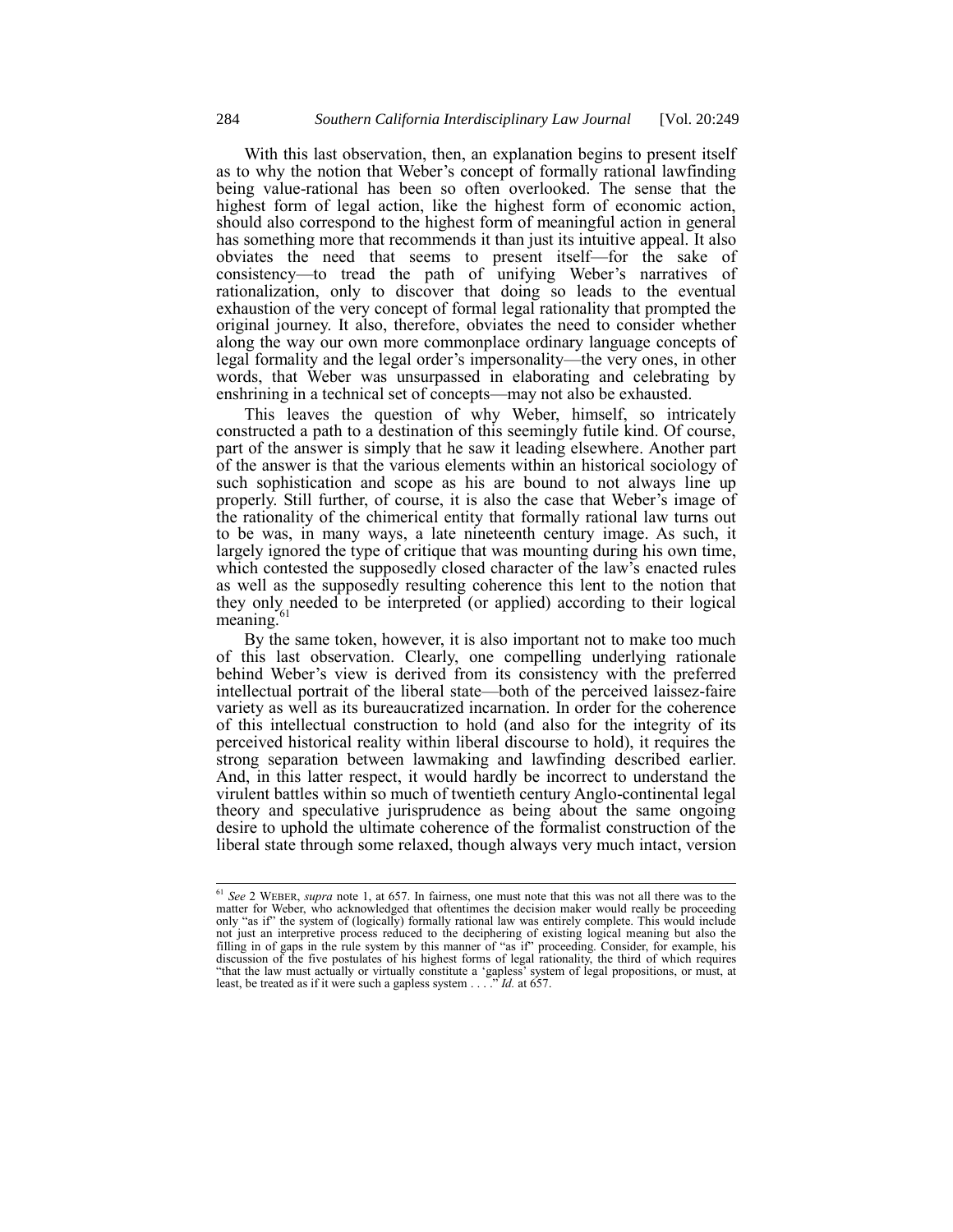With this last observation, then, an explanation begins to present itself as to why the notion that Weber's concept of formally rational lawfinding being value-rational has been so often overlooked. The sense that the highest form of legal action, like the highest form of economic action, should also correspond to the highest form of meaningful action in general has something more that recommends it than just its intuitive appeal. It also obviates the need that seems to present itself—for the sake of consistency—to tread the path of unifying Weber's narratives of rationalization, only to discover that doing so leads to the eventual exhaustion of the very concept of formal legal rationality that prompted the original journey. It also, therefore, obviates the need to consider whether along the way our own more commonplace ordinary language concepts of legal formality and the legal order's impersonality—the very ones, in other words, that Weber was unsurpassed in elaborating and celebrating by enshrining in a technical set of concepts—may not also be exhausted.

This leaves the question of why Weber, himself, so intricately constructed a path to a destination of this seemingly futile kind. Of course, part of the answer is simply that he saw it leading elsewhere. Another part of the answer is that the various elements within an historical sociology of such sophistication and scope as his are bound to not always line up properly. Still further, of course, it is also the case that Weber's image of the rationality of the chimerical entity that formally rational law turns out to be was, in many ways, a late nineteenth century image. As such, it largely ignored the type of critique that was mounting during his own time, which contested the supposedly closed character of the law's enacted rules as well as the supposedly resulting coherence this lent to the notion that they only needed to be interpreted (or applied) according to their logical meaning.<sup>1</sup>

By the same token, however, it is also important not to make too much of this last observation. Clearly, one compelling underlying rationale behind Weber's view is derived from its consistency with the preferred intellectual portrait of the liberal state—both of the perceived laissez-faire variety as well as its bureaucratized incarnation. In order for the coherence of this intellectual construction to hold (and also for the integrity of its perceived historical reality within liberal discourse to hold), it requires the strong separation between lawmaking and lawfinding described earlier. And, in this latter respect, it would hardly be incorrect to understand the virulent battles within so much of twentieth century Anglo-continental legal theory and speculative jurisprudence as being about the same ongoing desire to uphold the ultimate coherence of the formalist construction of the liberal state through some relaxed, though always very much intact, version

<sup>61</sup> *See* 2 WEBER, *supra* not[e 1,](#page-1-0) at 657. In fairness, one must note that this was not all there was to the matter for Weber, who acknowledged that oftentimes the decision maker would really be proceeding only "as if" the system of (logically) formally rational law was entirely complete. This would include not just an interpretive process reduced to the deciphering of existing logical meaning but also the filling in of gaps in the rule system by this manner of "as if" proceeding. Consider, for example, his discussion of the five postulates of his highest forms of legal rationality, the third of which requires ―that the law must actually or virtually constitute a ‗gapless' system of legal propositions, or must, at least, be treated as if it were such a gapless system  $\ldots$  *II.* at 657.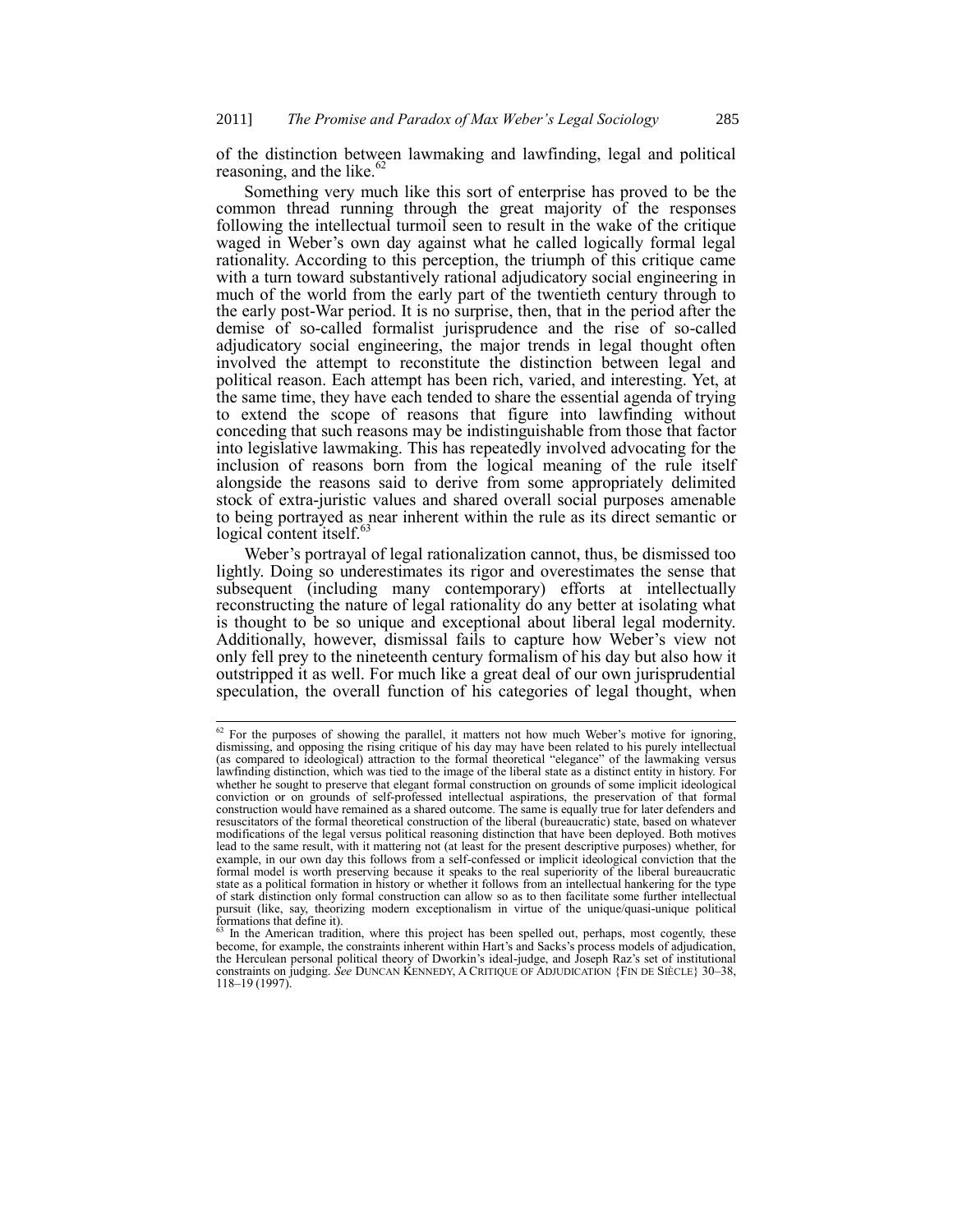of the distinction between lawmaking and lawfinding, legal and political reasoning, and the like.<sup>62</sup>

Something very much like this sort of enterprise has proved to be the common thread running through the great majority of the responses following the intellectual turmoil seen to result in the wake of the critique waged in Weber's own day against what he called logically formal legal rationality. According to this perception, the triumph of this critique came with a turn toward substantively rational adjudicatory social engineering in much of the world from the early part of the twentieth century through to the early post-War period. It is no surprise, then, that in the period after the demise of so-called formalist jurisprudence and the rise of so-called adjudicatory social engineering, the major trends in legal thought often involved the attempt to reconstitute the distinction between legal and political reason. Each attempt has been rich, varied, and interesting. Yet, at the same time, they have each tended to share the essential agenda of trying to extend the scope of reasons that figure into lawfinding without conceding that such reasons may be indistinguishable from those that factor into legislative lawmaking. This has repeatedly involved advocating for the inclusion of reasons born from the logical meaning of the rule itself alongside the reasons said to derive from some appropriately delimited stock of extra-juristic values and shared overall social purposes amenable to being portrayed as near inherent within the rule as its direct semantic or logical content itself.<sup>63</sup>

Weber's portrayal of legal rationalization cannot, thus, be dismissed too lightly. Doing so underestimates its rigor and overestimates the sense that subsequent (including many contemporary) efforts at intellectually reconstructing the nature of legal rationality do any better at isolating what is thought to be so unique and exceptional about liberal legal modernity. Additionally, however, dismissal fails to capture how Weber's view not only fell prey to the nineteenth century formalism of his day but also how it outstripped it as well. For much like a great deal of our own jurisprudential speculation, the overall function of his categories of legal thought, when

 $62$  For the purposes of showing the parallel, it matters not how much Weber's motive for ignoring, dismissing, and opposing the rising critique of his day may have been related to his purely intellectual (as compared to ideological) attraction to the formal theoretical "elegance" of the lawmaking versus lawfinding distinction, which was tied to the image of the liberal state as a distinct entity in history. For whether he sought to preserve that elegant formal construction on grounds of some implicit ideological conviction or on grounds of self-professed intellectual aspirations, the preservation of that formal construction would have remained as a shared outcome. The same is equally true for later defenders and resuscitators of the formal theoretical construction of the liberal (bureaucratic) state, based on whatever modifications of the legal versus political reasoning distinction that have been deployed. Both motives lead to the same result, with it mattering not (at least for the present descriptive purposes) whether, for example, in our own day this follows from a self-confessed or implicit ideological conviction that the formal model is worth preserving because it speaks to the real superiority of the liberal bureaucratic state as a political formation in history or whether it follows from an intellectual hankering for the type of stark distinction only formal construction can allow so as to then facilitate some further intellectual pursuit (like, say, theorizing modern exceptionalism in virtue of the unique/quasi-unique political formations that define it).

In the American tradition, where this project has been spelled out, perhaps, most cogently, these become, for example, the constraints inherent within Hart's and Sacks's process models of adjudication, the Herculean personal political theory of Dworkin's ideal-judge, and Joseph Raz's set of institutional constraints on judging. *See* DUNCAN KENNEDY, A CRITIQUE OF ADJUDICATION {FIN DE SIÈCLE} 30–38, 118–19 (1997).